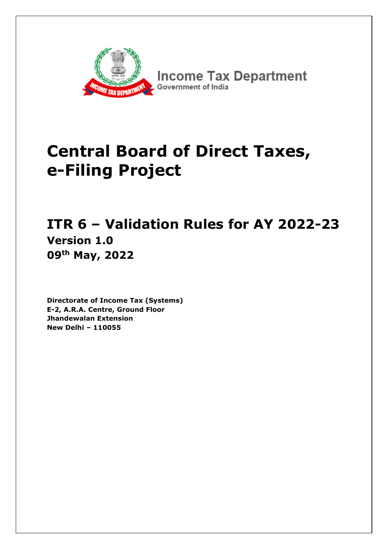

**Income Tax Department** Government of India

# **Central Board of Direct Taxes, e-Filing Project**

# **ITR 6 – Validation Rules for AY 2022-23 Version 1.0 09th May, 2022**

**Directorate of Income Tax (Systems) E-2, A.R.A. Centre, Ground Floor Jhandewalan Extension New Delhi – 110055**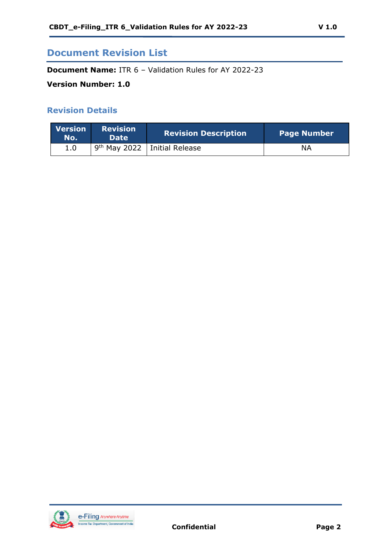## **Document Revision List**

**Document Name:** ITR 6 – Validation Rules for AY 2022-23

#### **Version Number: 1.0**

#### **Revision Details**

| <b>Version</b><br>No. | <b>Revision</b><br><b>Date</b> | <b>Revision Description</b>      | Page Number |
|-----------------------|--------------------------------|----------------------------------|-------------|
| 1.0                   |                                | $9th$ May 2022   Initial Release | NΑ          |

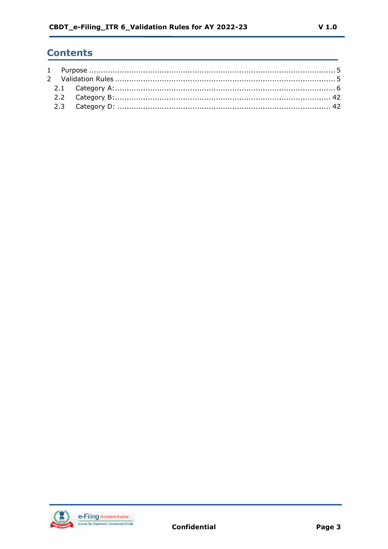# **Contents**

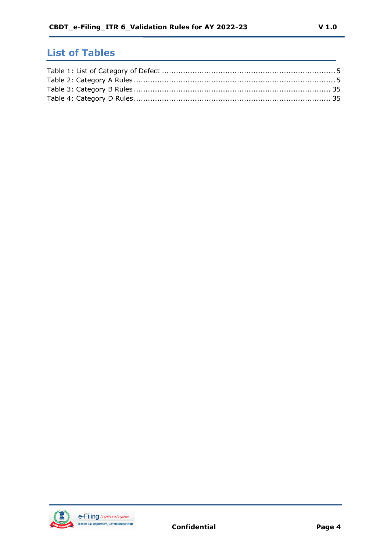# **List of Tables**

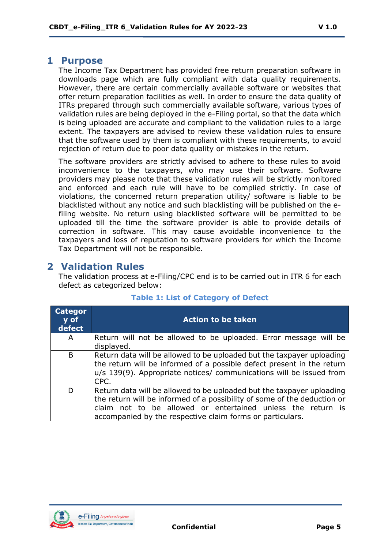#### <span id="page-4-0"></span>**1 Purpose**

The Income Tax Department has provided free return preparation software in downloads page which are fully compliant with data quality requirements. However, there are certain commercially available software or websites that offer return preparation facilities as well. In order to ensure the data quality of ITRs prepared through such commercially available software, various types of validation rules are being deployed in the e-Filing portal, so that the data which is being uploaded are accurate and compliant to the validation rules to a large extent. The taxpayers are advised to review these validation rules to ensure that the software used by them is compliant with these requirements, to avoid rejection of return due to poor data quality or mistakes in the return.

The software providers are strictly advised to adhere to these rules to avoid inconvenience to the taxpayers, who may use their software. Software providers may please note that these validation rules will be strictly monitored and enforced and each rule will have to be complied strictly. In case of violations, the concerned return preparation utility/ software is liable to be blacklisted without any notice and such blacklisting will be published on the efiling website. No return using blacklisted software will be permitted to be uploaded till the time the software provider is able to provide details of correction in software. This may cause avoidable inconvenience to the taxpayers and loss of reputation to software providers for which the Income Tax Department will not be responsible.

# <span id="page-4-1"></span>**2 Validation Rules**

The validation process at e-Filing/CPC end is to be carried out in ITR 6 for each defect as categorized below:

| <b>Categor</b><br>$\overline{y}$ of<br>defect | <b>Action to be taken</b>                                                                                                                                                                                                                                                     |
|-----------------------------------------------|-------------------------------------------------------------------------------------------------------------------------------------------------------------------------------------------------------------------------------------------------------------------------------|
| A                                             | Return will not be allowed to be uploaded. Error message will be<br>displayed.                                                                                                                                                                                                |
| B                                             | Return data will be allowed to be uploaded but the taxpayer uploading<br>the return will be informed of a possible defect present in the return<br>u/s 139(9). Appropriate notices/ communications will be issued from<br>CPC.                                                |
| D                                             | Return data will be allowed to be uploaded but the taxpayer uploading<br>the return will be informed of a possibility of some of the deduction or<br>claim not to be allowed or entertained unless the return is<br>accompanied by the respective claim forms or particulars. |

#### **Table 1: List of Category of Defect**

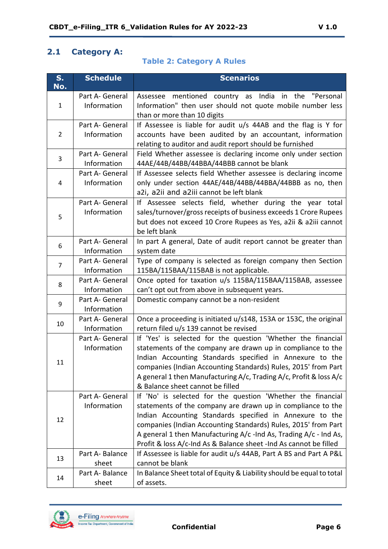#### <span id="page-5-0"></span>**2.1 Category A:**

#### **Table 2: Category A Rules**

| S.<br>No.      | <b>Schedule</b>                | <b>Scenarios</b>                                                                                                                                                                                                                                                                                                                                                                                   |
|----------------|--------------------------------|----------------------------------------------------------------------------------------------------------------------------------------------------------------------------------------------------------------------------------------------------------------------------------------------------------------------------------------------------------------------------------------------------|
| $\mathbf{1}$   | Part A- General<br>Information | Assessee mentioned country as India<br>in the<br>"Personal<br>Information" then user should not quote mobile number less<br>than or more than 10 digits                                                                                                                                                                                                                                            |
| $\overline{2}$ | Part A- General<br>Information | If Assessee is liable for audit u/s 44AB and the flag is Y for<br>accounts have been audited by an accountant, information<br>relating to auditor and audit report should be furnished                                                                                                                                                                                                             |
| 3              | Part A- General<br>Information | Field Whether assessee is declaring income only under section<br>44AE/44B/44BB/44BBA/44BBB cannot be blank                                                                                                                                                                                                                                                                                         |
| 4              | Part A- General<br>Information | If Assessee selects field Whether assessee is declaring income<br>only under section 44AE/44B/44BB/44BBA/44BBB as no, then<br>a2i, a2ii and a2iii cannot be left blank                                                                                                                                                                                                                             |
| 5              | Part A- General<br>Information | If Assessee selects field, whether during the year total<br>sales/turnover/gross receipts of business exceeds 1 Crore Rupees<br>but does not exceed 10 Crore Rupees as Yes, a2ii & a2iii cannot<br>be left blank                                                                                                                                                                                   |
| 6              | Part A- General<br>Information | In part A general, Date of audit report cannot be greater than<br>system date                                                                                                                                                                                                                                                                                                                      |
| $\overline{7}$ | Part A- General<br>Information | Type of company is selected as foreign company then Section<br>115BA/115BAA/115BAB is not applicable.                                                                                                                                                                                                                                                                                              |
| 8              | Part A- General<br>Information | Once opted for taxation u/s 115BA/115BAA/115BAB, assessee<br>can't opt out from above in subsequent years.                                                                                                                                                                                                                                                                                         |
| 9              | Part A- General<br>Information | Domestic company cannot be a non-resident                                                                                                                                                                                                                                                                                                                                                          |
| 10             | Part A- General<br>Information | Once a proceeding is initiated u/s148, 153A or 153C, the original<br>return filed u/s 139 cannot be revised                                                                                                                                                                                                                                                                                        |
| 11             | Part A- General<br>Information | If 'Yes' is selected for the question 'Whether the financial<br>statements of the company are drawn up in compliance to the<br>Indian Accounting Standards specified in Annexure to the<br>companies (Indian Accounting Standards) Rules, 2015' from Part<br>A general 1 then Manufacturing A/c, Trading A/c, Profit & loss A/c<br>& Balance sheet cannot be filled                                |
| 12             | Part A- General<br>Information | If 'No' is selected for the question 'Whether the financial<br>statements of the company are drawn up in compliance to the<br>Indian Accounting Standards specified in Annexure to the<br>companies (Indian Accounting Standards) Rules, 2015' from Part<br>A general 1 then Manufacturing A/c -Ind As, Trading A/c - Ind As,<br>Profit & loss A/c-Ind As & Balance sheet -Ind As cannot be filled |
| 13             | Part A-Balance<br>sheet        | If Assessee is liable for audit u/s 44AB, Part A BS and Part A P&L<br>cannot be blank                                                                                                                                                                                                                                                                                                              |
| 14             | Part A-Balance<br>sheet        | In Balance Sheet total of Equity & Liability should be equal to total<br>of assets.                                                                                                                                                                                                                                                                                                                |

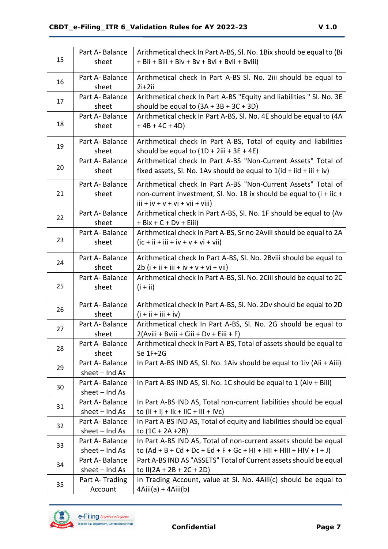|    | Part A-Balance            | Arithmetical check In Part A-BS, SI. No. 1Bix should be equal to (Bi                      |
|----|---------------------------|-------------------------------------------------------------------------------------------|
| 15 | sheet                     | + Bii + Biii + Biv + Bv + Bvi + Bvii + Bviii)                                             |
|    | Part A-Balance            | Arithmetical check In Part A-BS SI. No. 2iii should be equal to                           |
| 16 | sheet                     | $2i+2ii$                                                                                  |
|    | Part A-Balance            | Arithmetical check In Part A-BS "Equity and liabilities " SI. No. 3E                      |
| 17 | sheet                     | should be equal to $(3A + 3B + 3C + 3D)$                                                  |
|    | Part A-Balance            | Arithmetical check In Part A-BS, SI. No. 4E should be equal to (4A                        |
| 18 | sheet                     | $+4B + 4C + 4D$                                                                           |
|    |                           |                                                                                           |
| 19 | Part A-Balance            | Arithmetical check In Part A-BS, Total of equity and liabilities                          |
|    | sheet                     | should be equal to $(1D + 2iii + 3E + 4E)$                                                |
|    | Part A-Balance            | Arithmetical check In Part A-BS "Non-Current Assets" Total of                             |
| 20 | sheet                     | fixed assets, SI. No. 1Av should be equal to $1(id + iid + iii + iv)$                     |
|    | Part A-Balance            | Arithmetical check In Part A-BS "Non-Current Assets" Total of                             |
| 21 | sheet                     | non-current investment, Sl. No. 1B ix should be equal to (i + iic +                       |
|    |                           | $iii + iv + v + vi + vii + viii)$                                                         |
|    | Part A-Balance            | Arithmetical check In Part A-BS, Sl. No. 1F should be equal to (Av                        |
| 22 | sheet                     | $+ Bix + C + Dv + Eiii)$                                                                  |
|    | Part A-Balance            | Arithmetical check In Part A-BS, Sr no 2Aviii should be equal to 2A                       |
| 23 | sheet                     | $(ic + ii + iii + iv + v + vi + vii)$                                                     |
|    |                           |                                                                                           |
| 24 | Part A-Balance            | Arithmetical check In Part A-BS, SI. No. 2Bviii should be equal to                        |
|    | sheet                     | $2b$ (i + ii + iii + iv + v + vi + vii)                                                   |
| 25 | Part A-Balance            | Arithmetical check In Part A-BS, Sl. No. 2Ciii should be equal to 2C                      |
|    | sheet                     | $(i + ii)$                                                                                |
|    | Part A-Balance            | Arithmetical check In Part A-BS, SI. No. 2Dv should be equal to 2D                        |
| 26 | sheet                     | $(i + ii + iii + iv)$                                                                     |
|    | Part A-Balance            | Arithmetical check In Part A-BS, SI. No. 2G should be equal to                            |
| 27 | sheet                     | 2(Aviii + Bviii + Ciii + Dv + Eiii + F)                                                   |
|    | Part A-Balance            | Arithmetical check In Part A-BS, Total of assets should be equal to                       |
| 28 | sheet                     | Se 1F+2G                                                                                  |
| 29 | Part A-Balance            | In Part A-BS IND AS, SI. No. 1Aiv should be equal to 1iv (Aii + Aiii)                     |
|    | $sheet - Ind As$          |                                                                                           |
| 30 | Part A-Balance            | In Part A-BS IND AS, SI. No. 1C should be equal to 1 (Aiv + Biii)                         |
|    | $sheet - Ind As$          |                                                                                           |
| 31 | Part A-Balance            | In Part A-BS IND AS, Total non-current liabilities should be equal                        |
|    | sheet $-$ Ind As          | to $($ ii +  j +  k +  lC +  l  +  Vc)                                                    |
| 32 | Part A-Balance            | In Part A-BS IND AS, Total of equity and liabilities should be equal                      |
|    | sheet $-$ Ind As          | to $(1C + 2A + 2B)$                                                                       |
| 33 | Part A-Balance            | In Part A-BS IND AS, Total of non-current assets should be equal                          |
|    | sheet $-$ Ind As          | to $(Ad + B + Cd + Dc + Ed + F + Gc + HI + HII + HIII + HIV + I + J)$                     |
| 34 | Part A-Balance            | Part A-BS IND AS "ASSETS" Total of Current assets should be equal                         |
|    |                           |                                                                                           |
|    | sheet $-$ Ind As          | to II(2A + 2B + 2C + 2D)                                                                  |
| 35 | Part A-Trading<br>Account | In Trading Account, value at SI. No. 4Aiii(c) should be equal to<br>$4Aiii(a) + 4Aiii(b)$ |

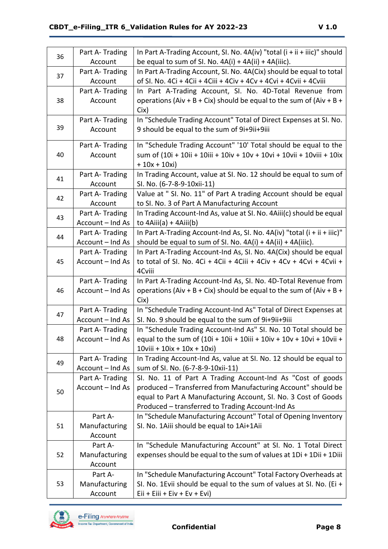| 36 | Part A- Trading  | In Part A-Trading Account, SI. No. 4A(iv) "total (i + ii + iiic)" should                                      |
|----|------------------|---------------------------------------------------------------------------------------------------------------|
|    | Account          | be equal to sum of SI. No. $4A(i) + 4A(ii) + 4A(iii)$ .                                                       |
| 37 | Part A-Trading   | In Part A-Trading Account, SI. No. 4A(Cix) should be equal to total                                           |
|    | Account          | of SI. No. 4Ci + 4Cii + 4Ciii + 4Civ + 4Cv + 4Cvi + 4Cvii + 4Cviii                                            |
|    | Part A- Trading  | In Part A-Trading Account, SI. No. 4D-Total Revenue from                                                      |
| 38 | Account          | operations (Aiv + B + Cix) should be equal to the sum of (Aiv + B +                                           |
|    |                  | Cix)                                                                                                          |
|    | Part A-Trading   | In "Schedule Trading Account" Total of Direct Expenses at SI. No.                                             |
| 39 | Account          | 9 should be equal to the sum of 9i+9ii+9iii                                                                   |
|    | Part A-Trading   | In "Schedule Trading Account" '10' Total should be equal to the                                               |
| 40 | Account          | sum of (10i + 10ii + 10iii + 10iv + 10v + 10vi + 10vii + 10viii + 10ix                                        |
|    |                  | $+10x + 10xi)$                                                                                                |
| 41 | Part A-Trading   | In Trading Account, value at SI. No. 12 should be equal to sum of                                             |
|    | Account          | SI. No. (6-7-8-9-10xii-11)                                                                                    |
| 42 | Part A-Trading   | Value at " SI. No. 11" of Part A trading Account should be equal                                              |
|    | Account          | to SI. No. 3 of Part A Manufacturing Account                                                                  |
| 43 | Part A-Trading   | In Trading Account-Ind As, value at SI. No. 4Aiii(c) should be equal                                          |
|    | Account - Ind As | to $4Aiii(a) + 4Aiii(b)$                                                                                      |
| 44 | Part A-Trading   | In Part A-Trading Account-Ind As, SI. No. $4A(iv)$ "total (i + ii + iiic)"                                    |
|    | Account - Ind As | should be equal to sum of SI. No. 4A(i) + 4A(ii) + 4A(iiic).                                                  |
|    | Part A-Trading   | In Part A-Trading Account-Ind As, SI. No. 4A(Cix) should be equal                                             |
| 45 | Account - Ind As | to total of SI. No. 4Ci + 4Cii + 4Ciii + 4Civ + 4Cv + 4Cvi + 4Cvii +                                          |
|    |                  | 4Cviii                                                                                                        |
|    | Part A-Trading   | In Part A-Trading Account-Ind As, SI. No. 4D-Total Revenue from                                               |
| 46 | Account - Ind As | operations (Aiv + B + Cix) should be equal to the sum of (Aiv + B +                                           |
|    |                  | Cix)                                                                                                          |
| 47 | Part A-Trading   | In "Schedule Trading Account-Ind As" Total of Direct Expenses at                                              |
|    | Account - Ind As | SI. No. 9 should be equal to the sum of 9i+9ii+9iii                                                           |
| 48 | Part A-Trading   | In "Schedule Trading Account-Ind As" SI. No. 10 Total should be                                               |
|    | Account – Ind As | equal to the sum of (10i + 10ii + 10iii + 10iv + 10v + 10vi + 10vii +<br>$10$ viii + $10$ ix + $10x + 10x$ i) |
|    | Part A-Trading   | In Trading Account-Ind As, value at SI. No. 12 should be equal to                                             |
| 49 | Account - Ind As | sum of SI. No. (6-7-8-9-10xii-11)                                                                             |
|    | Part A-Trading   | SI. No. 11 of Part A Trading Account-Ind As "Cost of goods                                                    |
|    | Account - Ind As | produced - Transferred from Manufacturing Account" should be                                                  |
| 50 |                  | equal to Part A Manufacturing Account, SI. No. 3 Cost of Goods                                                |
|    |                  | Produced - transferred to Trading Account-Ind As                                                              |
|    | Part A-          | In "Schedule Manufacturing Account" Total of Opening Inventory                                                |
| 51 | Manufacturing    | SI. No. 1Aiii should be equal to 1Ai+1Aii                                                                     |
|    | Account          |                                                                                                               |
|    | Part A-          | In "Schedule Manufacturing Account" at SI. No. 1 Total Direct                                                 |
| 52 | Manufacturing    | expenses should be equal to the sum of values at 1Di + 1Dii + 1Diii                                           |
|    | Account          |                                                                                                               |
|    | Part A-          | In "Schedule Manufacturing Account" Total Factory Overheads at                                                |
| 53 | Manufacturing    | SI. No. 1Evii should be equal to the sum of values at SI. No. (Ei +                                           |
|    | Account          | $Eii + Eiii + Eiv + Ev + Evi)$                                                                                |

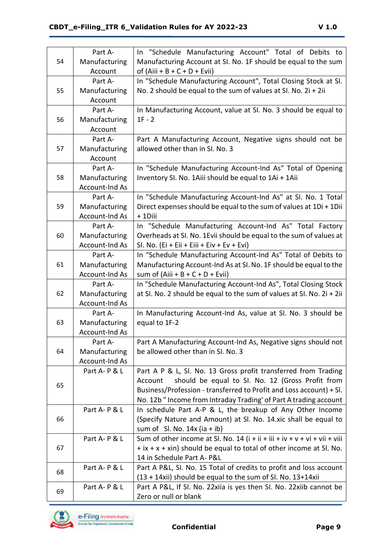|    | Part A-               | In "Schedule Manufacturing Account" Total of Debits to                     |
|----|-----------------------|----------------------------------------------------------------------------|
| 54 | Manufacturing         | Manufacturing Account at SI. No. 1F should be equal to the sum             |
|    | Account               | of $(Aiii + B + C + D + Evii)$                                             |
|    | Part A-               | In "Schedule Manufacturing Account", Total Closing Stock at SI.            |
| 55 | Manufacturing         | No. 2 should be equal to the sum of values at SI. No. 2i + 2ii             |
|    | Account               |                                                                            |
|    | Part A-               | In Manufacturing Account, value at SI. No. 3 should be equal to            |
| 56 | Manufacturing         | $1F - 2$                                                                   |
|    | Account               |                                                                            |
|    | Part A-               | Part A Manufacturing Account, Negative signs should not be                 |
| 57 | Manufacturing         | allowed other than in SI. No. 3                                            |
|    | Account               |                                                                            |
|    | Part A-               | In "Schedule Manufacturing Account-Ind As" Total of Opening                |
| 58 | Manufacturing         | Inventory SI. No. 1Aiii should be equal to 1Ai + 1Aii                      |
|    | <b>Account-Ind As</b> |                                                                            |
|    | Part A-               | In "Schedule Manufacturing Account-Ind As" at SI. No. 1 Total              |
| 59 | Manufacturing         | Direct expenses should be equal to the sum of values at 1Di + 1Dii         |
|    | Account-Ind As        | + 1Diii                                                                    |
|    | Part A-               | In "Schedule Manufacturing Account-Ind As" Total Factory                   |
| 60 | Manufacturing         | Overheads at SI. No. 1Evii should be equal to the sum of values at         |
|    | Account-Ind As        | SI. No. (Ei + Eii + Eiii + Eiv + Ev + Evi)                                 |
|    | Part A-               | In "Schedule Manufacturing Account-Ind As" Total of Debits to              |
| 61 | Manufacturing         | Manufacturing Account-Ind As at SI. No. 1F should be equal to the          |
|    | Account-Ind As        | sum of $(Aiii + B + C + D + Evii)$                                         |
|    | Part A-               | In "Schedule Manufacturing Account-Ind As", Total Closing Stock            |
| 62 | Manufacturing         | at SI. No. 2 should be equal to the sum of values at SI. No. 2i + 2ii      |
|    | Account-Ind As        |                                                                            |
|    | Part A-               | In Manufacturing Account-Ind As, value at SI. No. 3 should be              |
| 63 | Manufacturing         | equal to 1F-2                                                              |
|    | Account-Ind As        |                                                                            |
|    | Part A-               | Part A Manufacturing Account-Ind As, Negative signs should not             |
| 64 | Manufacturing         | be allowed other than in SI. No. 3                                         |
|    | Account-Ind As        |                                                                            |
|    | Part A-P & L          | Part A P & L, SI. No. 13 Gross profit transferred from Trading             |
| 65 |                       | should be equal to SI. No. 12 (Gross Profit from<br>Account                |
|    |                       | Business/Profession - transferred to Profit and Loss account) + SI.        |
|    |                       | No. 12b " Income from Intraday Trading' of Part A trading account          |
|    | Part A-P & L          | In schedule Part A-P & L, the breakup of Any Other Income                  |
| 66 |                       | (Specify Nature and Amount) at Sl. No. 14.xic shall be equal to            |
|    |                       | sum of Sl. No. $14x$ (ia + ib)                                             |
|    | Part A-P & L          | Sum of other income at Sl. No. 14 (i + ii + iii + iv + v + vi + vii + viii |
| 67 |                       | $+$ ix $+$ x $+$ xin) should be equal to total of other income at Sl. No.  |
|    |                       | 14 in Schedule Part A- P&L                                                 |
| 68 | Part A-P & L          | Part A P&L, SI. No. 15 Total of credits to profit and loss account         |
|    |                       | (13 + 14xii) should be equal to the sum of SI. No. 13+14xii                |
| 69 | Part A-P & L          | Part A P&L, If SI. No. 22xiia is yes then SI. No. 22xiib cannot be         |
|    |                       | Zero or null or blank                                                      |

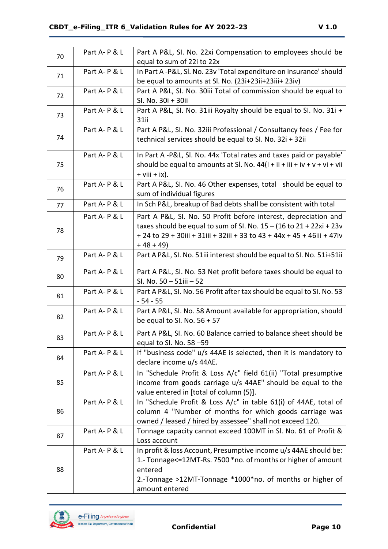| 70 | Part A-P & L | Part A P&L, SI. No. 22xi Compensation to employees should be                                                                        |
|----|--------------|-------------------------------------------------------------------------------------------------------------------------------------|
|    |              | equal to sum of 22i to 22x                                                                                                          |
| 71 | Part A-P & L | In Part A-P&L, Sl. No. 23v 'Total expenditure on insurance' should                                                                  |
|    |              | be equal to amounts at Sl. No. (23i+23ii+23iii+23iv)                                                                                |
| 72 | Part A-P & L | Part A P&L, SI. No. 30iii Total of commission should be equal to                                                                    |
|    |              | SI. No. 30i + 30ii                                                                                                                  |
| 73 | Part A-P & L | Part A P&L, SI. No. 31iii Royalty should be equal to SI. No. 31i +<br>31ii                                                          |
|    | Part A-P & L | Part A P&L, SI. No. 32iii Professional / Consultancy fees / Fee for                                                                 |
| 74 |              | technical services should be equal to SI. No. 32i + 32ii                                                                            |
|    | Part A-P & L | In Part A -P&L, Sl. No. 44x 'Total rates and taxes paid or payable'                                                                 |
| 75 |              | should be equal to amounts at Sl. No. $44(l + ii + iii + iv + v + vi + vi)$                                                         |
|    |              | $+$ viii $+$ ix).                                                                                                                   |
| 76 | Part A-P & L | Part A P&L, SI. No. 46 Other expenses, total should be equal to                                                                     |
|    |              | sum of individual figures                                                                                                           |
| 77 | Part A-P & L | In Sch P&L, breakup of Bad debts shall be consistent with total                                                                     |
|    | Part A-P & L | Part A P&L, SI. No. 50 Profit before interest, depreciation and                                                                     |
| 78 |              | taxes should be equal to sum of SI. No. $15 - (16$ to $21 + 22xi + 23v$                                                             |
|    |              | + 24 to 29 + 30iii + 31iii + 32iii + 33 to 43 + 44x + 45 + 46iii + 47iv                                                             |
|    |              | $+48+49$                                                                                                                            |
| 79 | Part A-P & L | Part A P&L, SI. No. 51iii interest should be equal to SI. No. 51i+51ii                                                              |
| 80 | Part A-P & L | Part A P&L, SI. No. 53 Net profit before taxes should be equal to                                                                   |
|    |              | SI. No. 50 - 51iii - 52                                                                                                             |
| 81 | Part A-P & L | Part A P&L, SI. No. 56 Profit after tax should be equal to SI. No. 53                                                               |
|    |              | $-54 - 55$                                                                                                                          |
| 82 | Part A-P & L | Part A P&L, SI. No. 58 Amount available for appropriation, should                                                                   |
|    |              | be equal to SI. No. $56 + 57$                                                                                                       |
| 83 | Part A-P & L | Part A P&L, SI. No. 60 Balance carried to balance sheet should be                                                                   |
|    |              | equal to SI. No. 58 -59                                                                                                             |
| 84 | Part A-P & L | If "business code" u/s 44AE is selected, then it is mandatory to                                                                    |
|    |              | declare income u/s 44AE.                                                                                                            |
|    | Part A-P & L | In "Schedule Profit & Loss A/c" field 61(ii) "Total presumptive                                                                     |
| 85 |              | income from goods carriage u/s 44AE" should be equal to the                                                                         |
|    |              | value entered in [total of column (5)].                                                                                             |
|    | Part A-P & L | In "Schedule Profit & Loss A/c" in table 61(i) of 44AE, total of                                                                    |
| 86 |              | column 4 "Number of months for which goods carriage was                                                                             |
|    |              | owned / leased / hired by assessee" shall not exceed 120.                                                                           |
| 87 | Part A-P & L | Tonnage capacity cannot exceed 100MT in Sl. No. 61 of Profit &                                                                      |
|    | Part A-P & L | Loss account                                                                                                                        |
|    |              | In profit & loss Account, Presumptive income u/s 44AE should be:<br>1.- Tonnage <= 12MT-Rs. 7500 *no. of months or higher of amount |
| 88 |              | entered                                                                                                                             |
|    |              | 2.-Tonnage >12MT-Tonnage *1000*no. of months or higher of                                                                           |
|    |              | amount entered                                                                                                                      |

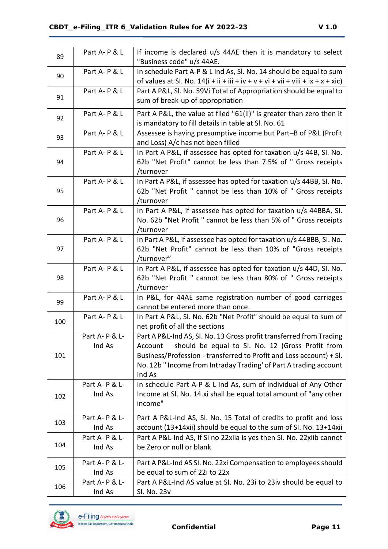| 89  | Part A-P & L             | If income is declared u/s 44AE then it is mandatory to select<br>"Business code" u/s 44AE.                                                                                                                                                                                               |
|-----|--------------------------|------------------------------------------------------------------------------------------------------------------------------------------------------------------------------------------------------------------------------------------------------------------------------------------|
| 90  | Part A-P & L             | In schedule Part A-P & L Ind As, Sl. No. 14 should be equal to sum<br>of values at SI. No. $14(i + ii + iii + iv + v + vi + vii + viii + ix + x + xic)$                                                                                                                                  |
| 91  | Part A-P & L             | Part A P&L, SI. No. 59Vi Total of Appropriation should be equal to<br>sum of break-up of appropriation                                                                                                                                                                                   |
| 92  | Part A-P & L             | Part A P&L, the value at filed "61(ii)" is greater than zero then it<br>is mandatory to fill details in table at Sl. No. 61                                                                                                                                                              |
| 93  | Part A-P & L             | Assessee is having presumptive income but Part-B of P&L (Profit<br>and Loss) A/c has not been filled                                                                                                                                                                                     |
| 94  | Part A-P & L             | In Part A P&L, if assessee has opted for taxation u/s 44B, SI. No.<br>62b "Net Profit" cannot be less than 7.5% of " Gross receipts<br>/turnover                                                                                                                                         |
| 95  | Part A-P & L             | In Part A P&L, if assessee has opted for taxation u/s 44BB, SI. No.<br>62b "Net Profit " cannot be less than 10% of " Gross receipts<br>/turnover                                                                                                                                        |
| 96  | Part A-P & L             | In Part A P&L, if assessee has opted for taxation u/s 44BBA, SI.<br>No. 62b "Net Profit " cannot be less than 5% of " Gross receipts<br>/turnover                                                                                                                                        |
| 97  | Part A-P & L             | In Part A P&L, if assessee has opted for taxation u/s 44BBB, SI. No.<br>62b "Net Profit" cannot be less than 10% of "Gross receipts<br>/turnover"                                                                                                                                        |
| 98  | Part A-P & L             | In Part A P&L, if assessee has opted for taxation u/s 44D, SI. No.<br>62b "Net Profit " cannot be less than 80% of " Gross receipts<br>/turnover                                                                                                                                         |
| 99  | Part A-P & L             | In P&L, for 44AE same registration number of good carriages<br>cannot be entered more than once.                                                                                                                                                                                         |
| 100 | Part A-P & L             | In Part A P&L, Sl. No. 62b "Net Profit" should be equal to sum of<br>net profit of all the sections                                                                                                                                                                                      |
| 101 | Part A- P & L-<br>Ind As | Part A P&L-Ind AS, SI. No. 13 Gross profit transferred from Trading<br>should be equal to SI. No. 12 (Gross Profit from<br>Account<br>Business/Profession - transferred to Profit and Loss account) + SI.<br>No. 12b " Income from Intraday Trading' of Part A trading account<br>Ind As |
| 102 | Part A- P & L-<br>Ind As | In schedule Part A-P & L Ind As, sum of individual of Any Other<br>Income at Sl. No. 14.xi shall be equal total amount of "any other<br>income"                                                                                                                                          |
| 103 | Part A- P & L-<br>Ind As | Part A P&L-Ind AS, SI. No. 15 Total of credits to profit and loss<br>account (13+14xii) should be equal to the sum of SI. No. 13+14xii                                                                                                                                                   |
| 104 | Part A-P & L-<br>Ind As  | Part A P&L-Ind AS, If Si no 22xiia is yes then SI. No. 22xiib cannot<br>be Zero or null or blank                                                                                                                                                                                         |
| 105 | Part A- P & L-<br>Ind As | Part A P&L-Ind AS SI. No. 22xi Compensation to employees should<br>be equal to sum of 22i to 22x                                                                                                                                                                                         |
| 106 | Part A- P & L-<br>Ind As | Part A P&L-Ind AS value at SI. No. 23i to 23iv should be equal to<br>SI. No. 23v                                                                                                                                                                                                         |

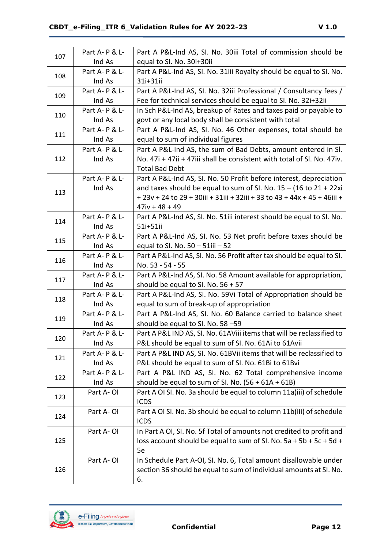| 107 | Part A- P & L- | Part A P&L-Ind AS, SI. No. 30iii Total of commission should be           |
|-----|----------------|--------------------------------------------------------------------------|
|     | Ind As         | equal to SI. No. 30i+30ii                                                |
| 108 | Part A- P & L- | Part A P&L-Ind AS, SI. No. 31iii Royalty should be equal to SI. No.      |
|     | Ind As         | 31i+31ii                                                                 |
| 109 | Part A-P & L-  | Part A P&L-Ind AS, SI. No. 32iii Professional / Consultancy fees /       |
|     | Ind As         | Fee for technical services should be equal to SI. No. 32i+32ii           |
| 110 | Part A- P & L- | In Sch P&L-Ind AS, breakup of Rates and taxes paid or payable to         |
|     | Ind As         | govt or any local body shall be consistent with total                    |
| 111 | Part A- P & L- | Part A P&L-Ind AS, SI. No. 46 Other expenses, total should be            |
|     | Ind As         | equal to sum of individual figures                                       |
|     | Part A-P & L-  | Part A P&L-Ind AS, the sum of Bad Debts, amount entered in SI.           |
| 112 | Ind As         | No. 47i + 47ii + 47iii shall be consistent with total of Sl. No. 47iv.   |
|     |                | <b>Total Bad Debt</b>                                                    |
|     | Part A- P & L- | Part A P&L-Ind AS, SI. No. 50 Profit before interest, depreciation       |
| 113 | Ind As         | and taxes should be equal to sum of SI. No. $15 - (16$ to $21 + 22xi$    |
|     |                | + 23v + 24 to 29 + 30iii + 31iii + 32iii + 33 to 43 + 44x + 45 + 46iii + |
|     |                | $47iv + 48 + 49$                                                         |
| 114 | Part A- P & L- | Part A P&L-Ind AS, SI. No. 51iii interest should be equal to SI. No.     |
|     | Ind As         | 51i+51ii                                                                 |
| 115 | Part A-P & L-  | Part A P&L-Ind AS, SI. No. 53 Net profit before taxes should be          |
|     | Ind As         | equal to SI. No. 50 - 51iii - 52                                         |
| 116 | Part A- P & L- | Part A P&L-Ind AS, SI. No. 56 Profit after tax should be equal to SI.    |
|     | Ind As         | No. 53 - 54 - 55                                                         |
| 117 | Part A-P & L-  | Part A P&L-Ind AS, SI. No. 58 Amount available for appropriation,        |
|     | Ind As         | should be equal to SI. No. $56 + 57$                                     |
| 118 | Part A- P & L- | Part A P&L-Ind AS, SI. No. 59Vi Total of Appropriation should be         |
|     | Ind As         | equal to sum of break-up of appropriation                                |
| 119 | Part A-P & L-  | Part A P&L-Ind AS, SI. No. 60 Balance carried to balance sheet           |
|     | Ind As         | should be equal to SI. No. 58 -59                                        |
| 120 | Part A- P & L- | Part A P&L IND AS, SI. No. 61AViii items that will be reclassified to    |
|     | Ind As         | P&L should be equal to sum of SI. No. 61Ai to 61Avii                     |
| 121 | Part A-P & L-  | Part A P&L IND AS, SI. No. 61BVii items that will be reclassified to     |
|     | Ind As         | P&L should be equal to sum of SI. No. 61Bi to 61Bvi                      |
| 122 | Part A-P & L-  | Part A P&L IND AS, SI. No. 62 Total comprehensive income                 |
|     | Ind As         | should be equal to sum of SI. No. $(56 + 61A + 61B)$                     |
| 123 | Part A-OI      | Part A OI SI. No. 3a should be equal to column 11a(iii) of schedule      |
|     |                | <b>ICDS</b>                                                              |
| 124 | Part A-OI      | Part A OI SI. No. 3b should be equal to column 11b(iii) of schedule      |
|     |                | <b>ICDS</b>                                                              |
|     | Part A-OI      | In Part A OI, SI. No. 5f Total of amounts not credited to profit and     |
| 125 |                | loss account should be equal to sum of SI. No. 5a + 5b + 5c + 5d +       |
|     |                | 5e                                                                       |
|     | Part A-OI      | In Schedule Part A-OI, SI. No. 6, Total amount disallowable under        |
| 126 |                | section 36 should be equal to sum of individual amounts at SI. No.       |
|     |                | 6.                                                                       |

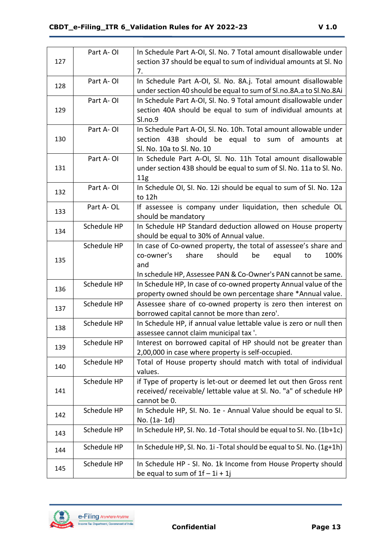|     | Part A-OI   | In Schedule Part A-OI, SI. No. 7 Total amount disallowable under      |
|-----|-------------|-----------------------------------------------------------------------|
| 127 |             | section 37 should be equal to sum of individual amounts at SI. No     |
|     |             | 7.                                                                    |
|     | Part A-OI   | In Schedule Part A-OI, Sl. No. 8A.j. Total amount disallowable        |
| 128 |             | under section 40 should be equal to sum of Sl.no.8A.a to Sl.No.8Ai    |
|     | Part A-OI   | In Schedule Part A-OI, Sl. No. 9 Total amount disallowable under      |
| 129 |             | section 40A should be equal to sum of individual amounts at           |
|     |             | Sl.no.9                                                               |
|     | Part A-OI   | In Schedule Part A-OI, SI. No. 10h. Total amount allowable under      |
| 130 |             | section 43B should be equal to sum of amounts at                      |
|     |             | Sl. No. 10a to Sl. No. 10                                             |
|     | Part A-OI   | In Schedule Part A-OI, Sl. No. 11h Total amount disallowable          |
| 131 |             | under section 43B should be equal to sum of SI. No. 11a to SI. No.    |
|     |             | 11g                                                                   |
|     | Part A-OI   | In Schedule OI, SI. No. 12i should be equal to sum of SI. No. 12a     |
| 132 |             | to 12h                                                                |
|     | Part A-OL   | If assessee is company under liquidation, then schedule OL            |
| 133 |             | should be mandatory                                                   |
|     | Schedule HP | In Schedule HP Standard deduction allowed on House property           |
| 134 |             | should be equal to 30% of Annual value.                               |
|     | Schedule HP | In case of Co-owned property, the total of assessee's share and       |
|     |             | should<br>co-owner's<br>share<br>be<br>equal<br>100%<br>to            |
| 135 |             | and                                                                   |
|     |             | In schedule HP, Assessee PAN & Co-Owner's PAN cannot be same.         |
|     | Schedule HP | In Schedule HP, In case of co-owned property Annual value of the      |
| 136 |             | property owned should be own percentage share *Annual value.          |
|     | Schedule HP | Assessee share of co-owned property is zero then interest on          |
| 137 |             | borrowed capital cannot be more than zero'.                           |
|     | Schedule HP | In Schedule HP, if annual value lettable value is zero or null then   |
| 138 |             | assessee cannot claim municipal tax '.                                |
|     | Schedule HP | Interest on borrowed capital of HP should not be greater than         |
| 139 |             | 2,00,000 in case where property is self-occupied.                     |
|     | Schedule HP | Total of House property should match with total of individual         |
| 140 |             | values.                                                               |
|     | Schedule HP | if Type of property is let-out or deemed let out then Gross rent      |
| 141 |             | received/ receivable/ lettable value at SI. No. "a" of schedule HP    |
|     |             | cannot be 0.                                                          |
|     | Schedule HP | In Schedule HP, SI. No. 1e - Annual Value should be equal to SI.      |
| 142 |             | No. (1a-1d)                                                           |
|     | Schedule HP | In Schedule HP, SI. No. 1d - Total should be equal to SI. No. (1b+1c) |
| 143 |             |                                                                       |
|     | Schedule HP | In Schedule HP, SI. No. 1i - Total should be equal to SI. No. (1g+1h) |
| 144 |             |                                                                       |
| 145 | Schedule HP | In Schedule HP - SI. No. 1k Income from House Property should         |
|     |             | be equal to sum of $1f - 1i + 1j$                                     |

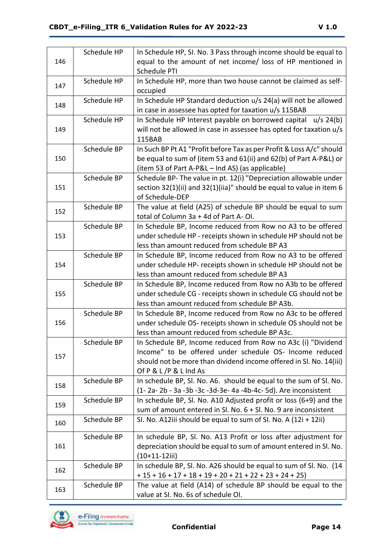|     | Schedule HP | In Schedule HP, SI. No. 3 Pass through income should be equal to     |
|-----|-------------|----------------------------------------------------------------------|
| 146 |             | equal to the amount of net income/ loss of HP mentioned in           |
|     |             | Schedule PTI                                                         |
|     | Schedule HP | In Schedule HP, more than two house cannot be claimed as self-       |
| 147 |             | occupied                                                             |
|     | Schedule HP | In Schedule HP Standard deduction u/s 24(a) will not be allowed      |
| 148 |             | in case in assessee has opted for taxation u/s 115BAB                |
|     | Schedule HP | In Schedule HP Interest payable on borrowed capital<br>$u/s$ 24(b)   |
| 149 |             | will not be allowed in case in assessee has opted for taxation u/s   |
|     |             | 115BAB                                                               |
|     | Schedule BP | In Such BP Pt A1 "Profit before Tax as per Profit & Loss A/c" should |
| 150 |             | be equal to sum of (item 53 and 61(ii) and 62(b) of Part A-P&L) or   |
|     |             | (item 53 of Part A-P&L – Ind AS) (as applicable)                     |
|     | Schedule BP | Schedule BP- The value in pt. 12(i) "Depreciation allowable under    |
| 151 |             | section 32(1)(ii) and 32(1)(iia)" should be equal to value in item 6 |
|     |             | of Schedule-DEP                                                      |
|     | Schedule BP | The value at field (A25) of schedule BP should be equal to sum       |
| 152 |             | total of Column 3a + 4d of Part A-OI.                                |
|     | Schedule BP | In Schedule BP, Income reduced from Row no A3 to be offered          |
| 153 |             | under schedule HP - receipts shown in schedule HP should not be      |
|     |             | less than amount reduced from schedule BP A3                         |
|     | Schedule BP | In Schedule BP, Income reduced from Row no A3 to be offered          |
| 154 |             | under schedule HP- receipts shown in schedule HP should not be       |
|     |             | less than amount reduced from schedule BP A3                         |
|     | Schedule BP | In Schedule BP, Income reduced from Row no A3b to be offered         |
| 155 |             | under schedule CG - receipts shown in schedule CG should not be      |
|     |             | less than amount reduced from schedule BP A3b.                       |
|     | Schedule BP | In Schedule BP, Income reduced from Row no A3c to be offered         |
| 156 |             | under schedule OS- receipts shown in schedule OS should not be       |
|     |             | less than amount reduced from schedule BP A3c.                       |
|     | Schedule BP | In Schedule BP, Income reduced from Row no A3c (i) "Dividend         |
|     |             | Income" to be offered under schedule OS- Income reduced              |
| 157 |             | should not be more than dividend income offered in Sl. No. 14(iii)   |
|     |             | Of P & L /P & L Ind As                                               |
|     | Schedule BP | In schedule BP, Sl. No. A6. should be equal to the sum of Sl. No.    |
| 158 |             | (1-2a-2b - 3a -3b -3c -3d-3e-4a -4b-4c-5d). Are inconsistent         |
|     | Schedule BP | In schedule BP, Sl. No. A10 Adjusted profit or loss $(6+9)$ and the  |
| 159 |             | sum of amount entered in Sl. No. 6 + Sl. No. 9 are inconsistent      |
|     | Schedule BP | SI. No. A12iii should be equal to sum of SI. No. A (12i + 12ii)      |
| 160 |             |                                                                      |
|     | Schedule BP | In schedule BP, SI. No. A13 Profit or loss after adjustment for      |
| 161 |             | depreciation should be equal to sum of amount entered in Sl. No.     |
|     |             | $(10+11-12iii)$                                                      |
|     | Schedule BP | In schedule BP, Sl. No. A26 should be equal to sum of Sl. No. (14    |
| 162 |             | $+ 15 + 16 + 17 + 18 + 19 + 20 + 21 + 22 + 23 + 24 + 25$             |
|     | Schedule BP | The value at field (A14) of schedule BP should be equal to the       |
| 163 |             | value at SI. No. 6s of schedule OI.                                  |

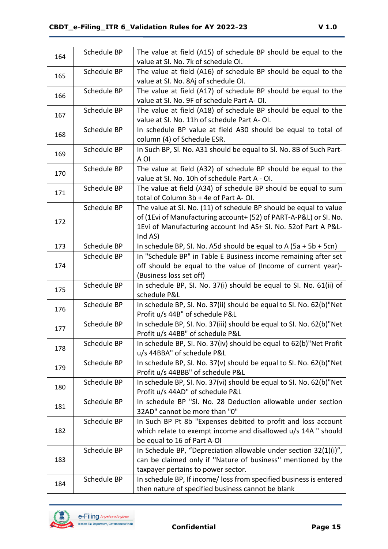| 164 | Schedule BP | The value at field (A15) of schedule BP should be equal to the       |
|-----|-------------|----------------------------------------------------------------------|
|     |             | value at SI. No. 7k of schedule OI.                                  |
| 165 | Schedule BP | The value at field (A16) of schedule BP should be equal to the       |
|     |             | value at SI. No. 8Aj of schedule OI.                                 |
|     | Schedule BP | The value at field (A17) of schedule BP should be equal to the       |
| 166 |             | value at SI. No. 9F of schedule Part A-OI.                           |
|     | Schedule BP | The value at field (A18) of schedule BP should be equal to the       |
| 167 |             | value at SI. No. 11h of schedule Part A-OI.                          |
|     | Schedule BP | In schedule BP value at field A30 should be equal to total of        |
| 168 |             | column (4) of Schedule ESR.                                          |
|     | Schedule BP | In Such BP, SI. No. A31 should be equal to SI. No. 8B of Such Part-  |
| 169 |             | A OI                                                                 |
|     | Schedule BP | The value at field (A32) of schedule BP should be equal to the       |
| 170 |             | value at SI. No. 10h of schedule Part A - OI.                        |
|     | Schedule BP | The value at field (A34) of schedule BP should be equal to sum       |
| 171 |             | total of Column 3b + 4e of Part A-OI.                                |
|     | Schedule BP | The value at SI. No. (11) of schedule BP should be equal to value    |
| 172 |             | of (1Evi of Manufacturing account+ (52) of PART-A-P&L) or SI. No.    |
|     |             | 1Evi of Manufacturing account Ind AS+ SI. No. 52of Part A P&L-       |
|     |             | Ind AS)                                                              |
| 173 | Schedule BP | In schedule BP, SI. No. A5d should be equal to A $(5a + 5b + 5cn)$   |
|     | Schedule BP | In "Schedule BP" in Table E Business income remaining after set      |
| 174 |             | off should be equal to the value of (Income of current year)-        |
|     |             | (Business loss set off)                                              |
| 175 | Schedule BP | In schedule BP, SI. No. 37(i) should be equal to SI. No. 61(ii) of   |
|     |             | schedule P&L                                                         |
| 176 | Schedule BP | In schedule BP, SI. No. 37(ii) should be equal to SI. No. 62(b)"Net  |
|     |             | Profit u/s 44B" of schedule P&L                                      |
| 177 | Schedule BP | In schedule BP, SI. No. 37(iii) should be equal to SI. No. 62(b)"Net |
|     |             | Profit u/s 44BB" of schedule P&L                                     |
| 178 | Schedule BP | In schedule BP, SI. No. 37(iv) should be equal to 62(b)"Net Profit   |
|     |             | u/s 44BBA" of schedule P&L                                           |
| 179 | Schedule BP | In schedule BP, SI. No. 37(v) should be equal to SI. No. 62(b)"Net   |
|     |             | Profit u/s 44BBB" of schedule P&L                                    |
| 180 | Schedule BP | In schedule BP, SI. No. 37(vi) should be equal to SI. No. 62(b)"Net  |
|     |             | Profit u/s 44AD" of schedule P&L                                     |
| 181 | Schedule BP | In schedule BP "SI. No. 28 Deduction allowable under section         |
|     |             | 32AD" cannot be more than "0"                                        |
|     | Schedule BP | In Such BP Pt 8b "Expenses debited to profit and loss account        |
| 182 |             | which relate to exempt income and disallowed u/s 14A " should        |
|     |             | be equal to 16 of Part A-OI                                          |
| 183 | Schedule BP | In Schedule BP, "Depreciation allowable under section 32(1)(i)",     |
|     |             | can be claimed only if "Nature of business" mentioned by the         |
|     |             | taxpayer pertains to power sector.                                   |
| 184 | Schedule BP | In schedule BP, If income/ loss from specified business is entered   |
|     |             | then nature of specified business cannot be blank                    |

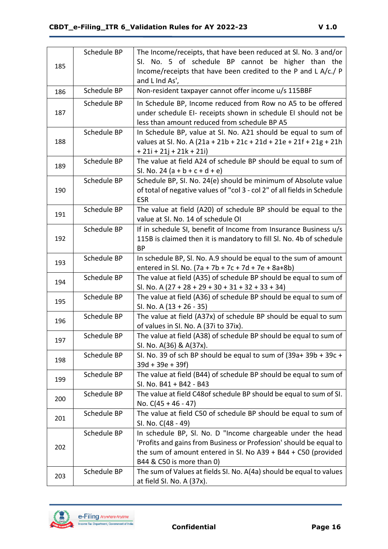| 185 | Schedule BP | The Income/receipts, that have been reduced at SI. No. 3 and/or<br>SI. No. 5 of schedule BP cannot be higher than the<br>Income/receipts that have been credited to the P and L A/c./ P<br>and L Ind As',                       |
|-----|-------------|---------------------------------------------------------------------------------------------------------------------------------------------------------------------------------------------------------------------------------|
| 186 | Schedule BP | Non-resident taxpayer cannot offer income u/s 115BBF                                                                                                                                                                            |
| 187 | Schedule BP | In Schedule BP, Income reduced from Row no A5 to be offered<br>under schedule EI- receipts shown in schedule EI should not be<br>less than amount reduced from schedule BP A5                                                   |
| 188 | Schedule BP | In Schedule BP, value at SI. No. A21 should be equal to sum of<br>values at SI. No. A (21a + 21b + 21c + 21d + 21e + 21f + 21g + 21h<br>$+ 21i + 21j + 21k + 21i)$                                                              |
| 189 | Schedule BP | The value at field A24 of schedule BP should be equal to sum of<br>SI. No. 24 $(a + b + c + d + e)$                                                                                                                             |
| 190 | Schedule BP | Schedule BP, SI. No. 24(e) should be minimum of Absolute value<br>of total of negative values of "col 3 - col 2" of all fields in Schedule<br><b>ESR</b>                                                                        |
| 191 | Schedule BP | The value at field (A20) of schedule BP should be equal to the<br>value at SI. No. 14 of schedule OI                                                                                                                            |
| 192 | Schedule BP | If in schedule SI, benefit of Income from Insurance Business u/s<br>115B is claimed then it is mandatory to fill Sl. No. 4b of schedule<br>BP                                                                                   |
| 193 | Schedule BP | In schedule BP, SI. No. A.9 should be equal to the sum of amount<br>entered in Sl. No. $(7a + 7b + 7c + 7d + 7e + 8a + 8b)$                                                                                                     |
| 194 | Schedule BP | The value at field (A35) of schedule BP should be equal to sum of<br>Sl. No. A $(27 + 28 + 29 + 30 + 31 + 32 + 33 + 34)$                                                                                                        |
| 195 | Schedule BP | The value at field (A36) of schedule BP should be equal to sum of<br>SI. No. A $(13 + 26 - 35)$                                                                                                                                 |
| 196 | Schedule BP | The value at field (A37x) of schedule BP should be equal to sum<br>of values in SI. No. A (37i to 37ix).                                                                                                                        |
| 197 | Schedule BP | The value at field (A38) of schedule BP should be equal to sum of<br>SI. No. A(36) & A(37x).                                                                                                                                    |
| 198 | Schedule BP | SI. No. 39 of sch BP should be equal to sum of (39a+39b +39c +<br>$39d + 39e + 39f$                                                                                                                                             |
| 199 | Schedule BP | The value at field (B44) of schedule BP should be equal to sum of<br>SI. No. B41 + B42 - B43                                                                                                                                    |
| 200 | Schedule BP | The value at field C48 of schedule BP should be equal to sum of SI.<br>No. $C(45 + 46 - 47)$                                                                                                                                    |
| 201 | Schedule BP | The value at field C50 of schedule BP should be equal to sum of<br>SI. No. C(48 - 49)                                                                                                                                           |
| 202 | Schedule BP | In schedule BP, Sl. No. D "Income chargeable under the head<br>'Profits and gains from Business or Profession' should be equal to<br>the sum of amount entered in Sl. No A39 + B44 + C50 (provided<br>B44 & C50 is more than 0) |
| 203 | Schedule BP | The sum of Values at fields SI. No. A(4a) should be equal to values<br>at field SI. No. A (37x).                                                                                                                                |

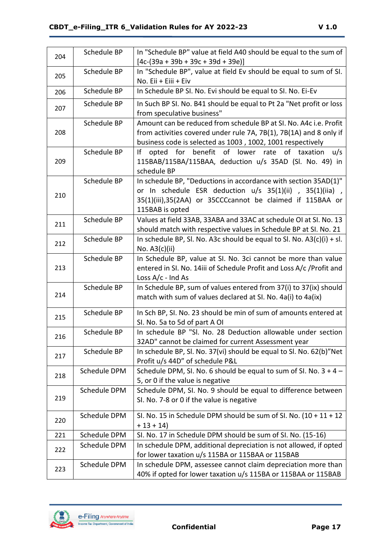| 204 | Schedule BP  | In "Schedule BP" value at field A40 should be equal to the sum of                           |
|-----|--------------|---------------------------------------------------------------------------------------------|
|     |              | $[4c-(39a + 39b + 39c + 39d + 39e)]$                                                        |
| 205 | Schedule BP  | In "Schedule BP", value at field Ev should be equal to sum of SI.                           |
|     |              | No. Eii + Eiii + Eiv                                                                        |
| 206 | Schedule BP  | In Schedule BP SI. No. Evi should be equal to SI. No. Ei-Ev                                 |
| 207 | Schedule BP  | In Such BP SI. No. B41 should be equal to Pt 2a "Net profit or loss                         |
|     |              | from speculative business"                                                                  |
|     | Schedule BP  | Amount can be reduced from schedule BP at SI. No. A4c i.e. Profit                           |
| 208 |              | from activities covered under rule 7A, 7B(1), 7B(1A) and 8 only if                          |
|     |              | business code is selected as 1003, 1002, 1001 respectively                                  |
|     | Schedule BP  | opted for benefit of lower rate of taxation<br>١f<br>u/s                                    |
| 209 |              | 115BAB/115BA/115BAA, deduction u/s 35AD (Sl. No. 49) in                                     |
|     |              | schedule BP                                                                                 |
|     | Schedule BP  | In schedule BP, "Deductions in accordance with section 35AD(1)"                             |
| 210 |              | or In schedule ESR deduction u/s 35(1)(ii), 35(1)(iia),                                     |
|     |              | 35(1)(iii),35(2AA) or 35CCCcannot be claimed if 115BAA or                                   |
|     |              | 115BAB is opted                                                                             |
| 211 | Schedule BP  | Values at field 33AB, 33ABA and 33AC at schedule OI at SI. No. 13                           |
|     | Schedule BP  | should match with respective values in Schedule BP at SI. No. 21                            |
| 212 |              | In schedule BP, SI. No. A3c should be equal to SI. No. $A3(c)(i) + sl$ .<br>No. $A3(c)(ii)$ |
|     | Schedule BP  | In Schedule BP, value at SI. No. 3ci cannot be more than value                              |
| 213 |              | entered in SI. No. 14iii of Schedule Profit and Loss A/c / Profit and                       |
|     |              | Loss $A/c$ - Ind As                                                                         |
|     | Schedule BP  | In Schedule BP, sum of values entered from 37(i) to 37(ix) should                           |
| 214 |              | match with sum of values declared at SI. No. 4a(i) to 4a(ix)                                |
|     |              |                                                                                             |
| 215 | Schedule BP  | In Sch BP, SI. No. 23 should be min of sum of amounts entered at                            |
|     |              | SI. No. 5a to 5d of part A OI                                                               |
| 216 | Schedule BP  | In schedule BP "SI. No. 28 Deduction allowable under section                                |
|     |              | 32AD" cannot be claimed for current Assessment year                                         |
| 217 | Schedule BP  | In schedule BP, SI. No. 37(vi) should be equal to SI. No. 62(b)"Net                         |
|     |              | Profit u/s 44D" of schedule P&L                                                             |
| 218 | Schedule DPM | Schedule DPM, SI. No. 6 should be equal to sum of SI. No. $3 + 4 -$                         |
|     |              | 5, or 0 if the value is negative                                                            |
|     | Schedule DPM | Schedule DPM, SI. No. 9 should be equal to difference between                               |
| 219 |              | SI. No. 7-8 or 0 if the value is negative                                                   |
|     | Schedule DPM | SI. No. 15 in Schedule DPM should be sum of SI. No. $(10 + 11 + 12)$                        |
| 220 |              | $+13 + 14$                                                                                  |
| 221 | Schedule DPM | SI. No. 17 in Schedule DPM should be sum of SI. No. (15-16)                                 |
|     | Schedule DPM | In schedule DPM, additional depreciation is not allowed, if opted                           |
| 222 |              | for lower taxation u/s 115BA or 115BAA or 115BAB                                            |
|     | Schedule DPM | In schedule DPM, assessee cannot claim depreciation more than                               |
| 223 |              | 40% if opted for lower taxation u/s 115BA or 115BAA or 115BAB                               |

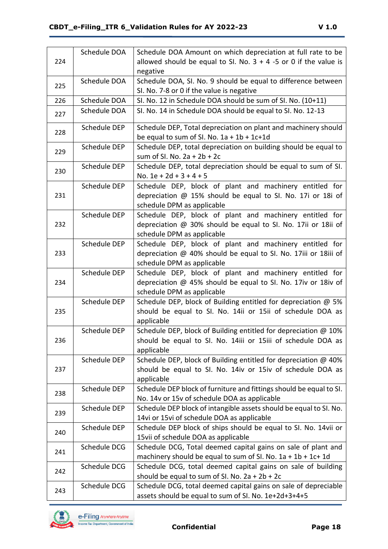|     | Schedule DOA | Schedule DOA Amount on which depreciation at full rate to be        |
|-----|--------------|---------------------------------------------------------------------|
| 224 |              | allowed should be equal to SI. No. $3 + 4 - 5$ or 0 if the value is |
|     |              | negative                                                            |
|     | Schedule DOA | Schedule DOA, SI. No. 9 should be equal to difference between       |
| 225 |              | SI. No. 7-8 or 0 if the value is negative                           |
| 226 | Schedule DOA | SI. No. 12 in Schedule DOA should be sum of SI. No. (10+11)         |
| 227 | Schedule DOA | SI. No. 14 in Schedule DOA should be equal to SI. No. 12-13         |
|     |              |                                                                     |
| 228 | Schedule DEP | Schedule DEP, Total depreciation on plant and machinery should      |
|     |              | be equal to sum of SI. No. $1a + 1b + 1c + 1d$                      |
| 229 | Schedule DEP | Schedule DEP, total depreciation on building should be equal to     |
|     |              | sum of SI. No. $2a + 2b + 2c$                                       |
| 230 | Schedule DEP | Schedule DEP, total depreciation should be equal to sum of SI.      |
|     |              | No. $1e + 2d + 3 + 4 + 5$                                           |
|     | Schedule DEP | Schedule DEP, block of plant and machinery entitled for             |
| 231 |              | depreciation @ 15% should be equal to SI. No. 17i or 18i of         |
|     |              | schedule DPM as applicable                                          |
|     | Schedule DEP | Schedule DEP, block of plant and machinery entitled for             |
| 232 |              | depreciation @ 30% should be equal to SI. No. 17ii or 18ii of       |
|     |              | schedule DPM as applicable                                          |
|     | Schedule DEP | Schedule DEP, block of plant and machinery entitled for             |
| 233 |              | depreciation @ 40% should be equal to SI. No. 17iii or 18iii of     |
|     |              | schedule DPM as applicable                                          |
|     | Schedule DEP | Schedule DEP, block of plant and machinery entitled for             |
| 234 |              | depreciation @ 45% should be equal to SI. No. 17iv or 18iv of       |
|     |              | schedule DPM as applicable                                          |
|     | Schedule DEP | Schedule DEP, block of Building entitled for depreciation @ 5%      |
| 235 |              | should be equal to SI. No. 14ii or 15ii of schedule DOA as          |
|     |              | applicable                                                          |
|     | Schedule DEP | Schedule DEP, block of Building entitled for depreciation @ 10%     |
| 236 |              | should be equal to SI. No. 14iii or 15iii of schedule DOA as        |
|     |              | applicable                                                          |
|     | Schedule DEP | Schedule DEP, block of Building entitled for depreciation @ 40%     |
| 237 |              | should be equal to SI. No. 14iv or 15iv of schedule DOA as          |
|     |              | applicable                                                          |
|     | Schedule DEP | Schedule DEP block of furniture and fittings should be equal to SI. |
| 238 |              | No. 14v or 15v of schedule DOA as applicable                        |
|     | Schedule DEP | Schedule DEP block of intangible assets should be equal to SI. No.  |
| 239 |              | 14vi or 15vi of schedule DOA as applicable                          |
|     | Schedule DEP | Schedule DEP block of ships should be equal to SI. No. 14vii or     |
| 240 |              | 15 vii of schedule DOA as applicable                                |
|     | Schedule DCG | Schedule DCG, Total deemed capital gains on sale of plant and       |
| 241 |              | machinery should be equal to sum of SI. No. $1a + 1b + 1c + 1d$     |
|     | Schedule DCG | Schedule DCG, total deemed capital gains on sale of building        |
| 242 |              | should be equal to sum of SI. No. $2a + 2b + 2c$                    |
|     | Schedule DCG | Schedule DCG, total deemed capital gains on sale of depreciable     |
| 243 |              | assets should be equal to sum of SI. No. 1e+2d+3+4+5                |

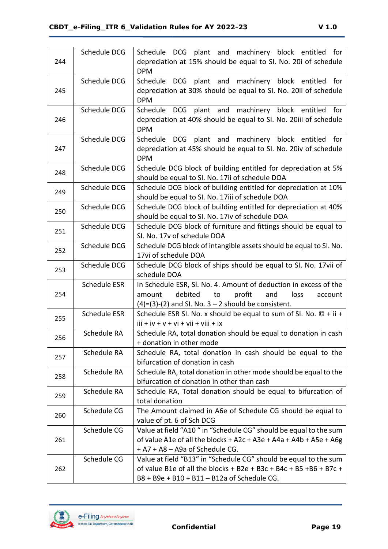| 244 | Schedule DCG        | Schedule DCG plant and machinery block entitled for<br>depreciation at 15% should be equal to SI. No. 20i of schedule<br><b>DPM</b>                                                      |
|-----|---------------------|------------------------------------------------------------------------------------------------------------------------------------------------------------------------------------------|
| 245 | Schedule DCG        | Schedule DCG plant and machinery block entitled for<br>depreciation at 30% should be equal to SI. No. 20ii of schedule<br><b>DPM</b>                                                     |
| 246 | Schedule DCG        | plant and machinery block entitled for<br>Schedule DCG<br>depreciation at 40% should be equal to SI. No. 20iii of schedule<br><b>DPM</b>                                                 |
| 247 | Schedule DCG        | Schedule DCG plant and machinery block entitled for<br>depreciation at 45% should be equal to SI. No. 20iv of schedule<br><b>DPM</b>                                                     |
| 248 | Schedule DCG        | Schedule DCG block of building entitled for depreciation at 5%<br>should be equal to SI. No. 17ii of schedule DOA                                                                        |
| 249 | Schedule DCG        | Schedule DCG block of building entitled for depreciation at 10%<br>should be equal to SI. No. 17iii of schedule DOA                                                                      |
| 250 | Schedule DCG        | Schedule DCG block of building entitled for depreciation at 40%<br>should be equal to SI. No. 17iv of schedule DOA                                                                       |
| 251 | Schedule DCG        | Schedule DCG block of furniture and fittings should be equal to<br>SI. No. 17v of schedule DOA                                                                                           |
| 252 | Schedule DCG        | Schedule DCG block of intangible assets should be equal to SI. No.<br>17vi of schedule DOA                                                                                               |
| 253 | Schedule DCG        | Schedule DCG block of ships should be equal to SI. No. 17vii of<br>schedule DOA                                                                                                          |
| 254 | Schedule ESR        | In Schedule ESR, Sl. No. 4. Amount of deduction in excess of the<br>debited<br>profit<br>to<br>and<br>loss<br>amount<br>account<br>$(4)=(3)-(2)$ and SI. No. $3-2$ should be consistent. |
| 255 | <b>Schedule ESR</b> | Schedule ESR SI. No. x should be equal to sum of SI. No. $\mathbb{O} + i\mathbf{i} +$<br>$iii + iv + v + vi + vii + viii + ix$                                                           |
| 256 | Schedule RA         | Schedule RA, total donation should be equal to donation in cash<br>+ donation in other mode                                                                                              |
| 257 | Schedule RA         | Schedule RA, total donation in cash should be equal to the<br>bifurcation of donation in cash                                                                                            |
| 258 | Schedule RA         | Schedule RA, total donation in other mode should be equal to the<br>bifurcation of donation in other than cash                                                                           |
| 259 | Schedule RA         | Schedule RA, Total donation should be equal to bifurcation of<br>total donation                                                                                                          |
| 260 | Schedule CG         | The Amount claimed in A6e of Schedule CG should be equal to<br>value of pt. 6 of Sch DCG                                                                                                 |
| 261 | Schedule CG         | Value at field "A10" in "Schedule CG" should be equal to the sum<br>of value A1e of all the blocks + A2c + A3e + A4a + A4b + A5e + A6g<br>+ A7 + A8 - A9a of Schedule CG.                |
| 262 | Schedule CG         | Value at field "B13" in "Schedule CG" should be equal to the sum<br>of value B1e of all the blocks + B2e + B3c + B4c + B5 +B6 + B7c +<br>B8 + B9e + B10 + B11 - B12a of Schedule CG.     |

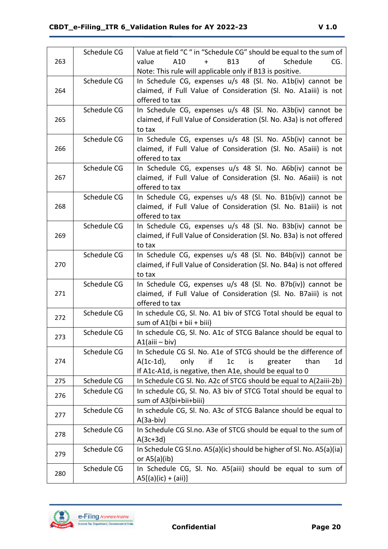|     | Schedule CG | Value at field "C" in "Schedule CG" should be equal to the sum of           |
|-----|-------------|-----------------------------------------------------------------------------|
| 263 |             | of<br>A10<br>$+$<br><b>B13</b><br>Schedule<br>value<br>CG.                  |
|     |             | Note: This rule will applicable only if B13 is positive.                    |
|     | Schedule CG | In Schedule CG, expenses u/s 48 (Sl. No. A1b(iv) cannot be                  |
| 264 |             | claimed, if Full Value of Consideration (Sl. No. A1aiii) is not             |
|     |             | offered to tax                                                              |
|     | Schedule CG | In Schedule CG, expenses u/s 48 (Sl. No. A3b(iv) cannot be                  |
| 265 |             | claimed, if Full Value of Consideration (Sl. No. A3a) is not offered        |
|     |             | to tax                                                                      |
|     | Schedule CG | In Schedule CG, expenses u/s 48 (Sl. No. A5b(iv) cannot be                  |
| 266 |             | claimed, if Full Value of Consideration (Sl. No. A5aiii) is not             |
|     |             | offered to tax                                                              |
|     | Schedule CG | In Schedule CG, expenses u/s 48 Sl. No. A6b(iv) cannot be                   |
| 267 |             | claimed, if Full Value of Consideration (Sl. No. A6aiii) is not             |
|     |             | offered to tax                                                              |
|     | Schedule CG | In Schedule CG, expenses u/s 48 (Sl. No. B1b(iv)) cannot be                 |
| 268 |             | claimed, if Full Value of Consideration (Sl. No. B1aiii) is not             |
|     |             | offered to tax                                                              |
|     | Schedule CG | In Schedule CG, expenses u/s 48 (Sl. No. B3b(iv) cannot be                  |
| 269 |             | claimed, if Full Value of Consideration (Sl. No. B3a) is not offered        |
|     |             | to tax                                                                      |
|     | Schedule CG | In Schedule CG, expenses u/s 48 (Sl. No. B4b(iv)) cannot be                 |
| 270 |             | claimed, if Full Value of Consideration (Sl. No. B4a) is not offered        |
|     |             | to tax                                                                      |
|     | Schedule CG | In Schedule CG, expenses u/s 48 (Sl. No. B7b(iv)) cannot be                 |
| 271 |             | claimed, if Full Value of Consideration (Sl. No. B7aiii) is not             |
|     |             | offered to tax                                                              |
| 272 | Schedule CG | In schedule CG, SI. No. A1 biv of STCG Total should be equal to             |
|     |             | sum of $A1(bi + bi + biii)$                                                 |
| 273 | Schedule CG | In schedule CG, SI. No. A1c of STCG Balance should be equal to              |
|     |             | $A1$ (aiii – biv)                                                           |
|     | Schedule CG | In Schedule CG SI. No. A1e of STCG should be the difference of              |
| 274 |             | $A(1c-1d)$ ,<br>if<br>than<br>only<br>1 <sub>c</sub><br>greater<br>1d<br>is |
|     |             | If A1c-A1d, is negative, then A1e, should be equal to 0                     |
| 275 | Schedule CG | In Schedule CG SI. No. A2c of STCG should be equal to A(2aiii-2b)           |
| 276 | Schedule CG | In schedule CG, Sl. No. A3 biv of STCG Total should be equal to             |
|     |             | sum of A3(bi+bii+biii)                                                      |
| 277 | Schedule CG | In schedule CG, SI. No. A3c of STCG Balance should be equal to              |
|     |             | $A(3a-biv)$                                                                 |
| 278 | Schedule CG | In Schedule CG SI.no. A3e of STCG should be equal to the sum of             |
|     |             | $A(3c+3d)$                                                                  |
| 279 | Schedule CG | In Schedule CG SI.no. A5(a)(ic) should be higher of SI. No. A5(a)(ia)       |
|     |             | or $A5(a)(ib)$                                                              |
| 280 | Schedule CG | In Schedule CG, SI. No. A5(aiii) should be equal to sum of                  |
|     |             | $AS[(a)(ic) + (aii)]$                                                       |

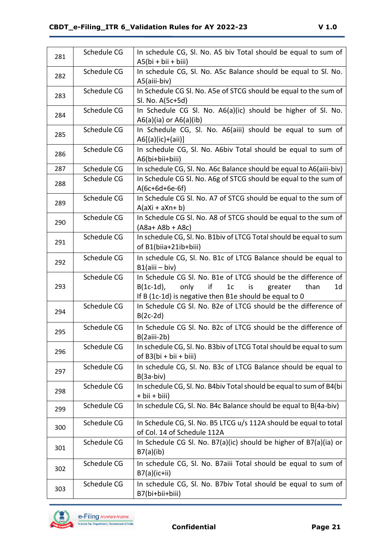| 281 | Schedule CG | In schedule CG, SI. No. A5 biv Total should be equal to sum of<br>$A5(bi + bii + biii)$                                                                                                                 |
|-----|-------------|---------------------------------------------------------------------------------------------------------------------------------------------------------------------------------------------------------|
| 282 | Schedule CG | In schedule CG, SI. No. A5c Balance should be equal to SI. No.<br>A5(aiii-biv)                                                                                                                          |
| 283 | Schedule CG | In Schedule CG SI. No. A5e of STCG should be equal to the sum of<br>Sl. No. A(5c+5d)                                                                                                                    |
| 284 | Schedule CG | In Schedule CG Sl. No. A6(a)(ic) should be higher of Sl. No.<br>$A6(a)(ia)$ or $A6(a)(ib)$                                                                                                              |
| 285 | Schedule CG | In Schedule CG, Sl. No. A6(aiii) should be equal to sum of<br>$A6[(a)(ic)+(ai)]$                                                                                                                        |
| 286 | Schedule CG | In schedule CG, SI. No. A6biv Total should be equal to sum of<br>A6(bi+bii+biii)                                                                                                                        |
| 287 | Schedule CG | In schedule CG, SI. No. A6c Balance should be equal to A6(aiii-biv)                                                                                                                                     |
| 288 | Schedule CG | In Schedule CG SI. No. A6g of STCG should be equal to the sum of<br>$A(6c+6d+6e-6f)$                                                                                                                    |
| 289 | Schedule CG | In Schedule CG SI. No. A7 of STCG should be equal to the sum of<br>$A(aXi + aXn + b)$                                                                                                                   |
| 290 | Schedule CG | In Schedule CG SI. No. A8 of STCG should be equal to the sum of<br>$(A8a + A8b + A8c)$                                                                                                                  |
| 291 | Schedule CG | In schedule CG, SI. No. B1biv of LTCG Total should be equal to sum<br>of B1(biia+21ib+biii)                                                                                                             |
| 292 | Schedule CG | In schedule CG, SI. No. B1c of LTCG Balance should be equal to<br>$B1$ (aiii – biv)                                                                                                                     |
| 293 | Schedule CG | In Schedule CG SI. No. B1e of LTCG should be the difference of<br>if<br>$B(1c-1d)$ ,<br>only<br>1 <sub>c</sub><br>is<br>greater<br>than<br>1d<br>If B (1c-1d) is negative then B1e should be equal to 0 |
| 294 | Schedule CG | In Schedule CG SI. No. B2e of LTCG should be the difference of<br>$B(2c-2d)$                                                                                                                            |
| 295 | Schedule CG | In Schedule CG SI. No. B2c of LTCG should be the difference of<br>$B(2aiii-2b)$                                                                                                                         |
| 296 | Schedule CG | In schedule CG, SI. No. B3biv of LTCG Total should be equal to sum<br>of $B3(bi + bi + biii)$                                                                                                           |
| 297 | Schedule CG | In schedule CG, Sl. No. B3c of LTCG Balance should be equal to<br>$B(3a-biv)$                                                                                                                           |
| 298 | Schedule CG | In schedule CG, Sl. No. B4biv Total should be equal to sum of B4(bi<br>+ bii + biii)                                                                                                                    |
| 299 | Schedule CG | In schedule CG, SI. No. B4c Balance should be equal to B(4a-biv)                                                                                                                                        |
| 300 | Schedule CG | In Schedule CG, Sl. No. B5 LTCG u/s 112A should be equal to total<br>of Col. 14 of Schedule 112A                                                                                                        |
| 301 | Schedule CG | In Schedule CG SI. No. B7(a)(ic) should be higher of B7(a)(ia) or<br>B7(a)(ib)                                                                                                                          |
| 302 | Schedule CG | In schedule CG, Sl. No. B7aiii Total should be equal to sum of<br>$B7(a)(ic+ii)$                                                                                                                        |
| 303 | Schedule CG | In schedule CG, Sl. No. B7biv Total should be equal to sum of<br>B7(bi+bii+biii)                                                                                                                        |

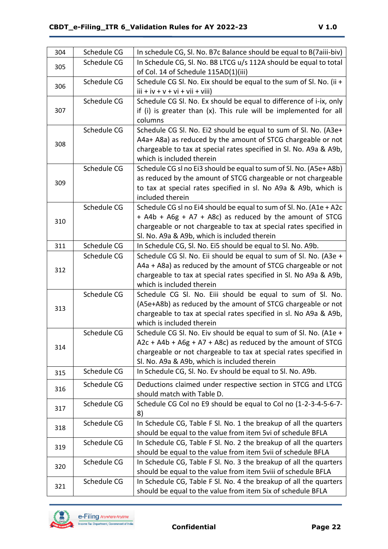| 304 | Schedule CG | In schedule CG, SI. No. B7c Balance should be equal to B(7aiii-biv) |
|-----|-------------|---------------------------------------------------------------------|
| 305 | Schedule CG | In Schedule CG, Sl. No. B8 LTCG u/s 112A should be equal to total   |
|     |             | of Col. 14 of Schedule 115AD(1)(iii)                                |
| 306 | Schedule CG | Schedule CG Sl. No. Eix should be equal to the sum of Sl. No. (ii + |
|     |             | $iii + iv + v + vi + vii + viii)$                                   |
|     | Schedule CG | Schedule CG SI. No. Ex should be equal to difference of i-ix, only  |
| 307 |             | if (i) is greater than (x). This rule will be implemented for all   |
|     |             | columns                                                             |
|     | Schedule CG | Schedule CG Sl. No. Ei2 should be equal to sum of Sl. No. (A3e+     |
| 308 |             | A4a+ A8a) as reduced by the amount of STCG chargeable or not        |
|     |             | chargeable to tax at special rates specified in Sl. No. A9a & A9b,  |
|     |             | which is included therein                                           |
|     | Schedule CG | Schedule CG sl no Ei3 should be equal to sum of Sl. No. (A5e+ A8b)  |
| 309 |             | as reduced by the amount of STCG chargeable or not chargeable       |
|     |             | to tax at special rates specified in sl. No A9a & A9b, which is     |
|     |             | included therein                                                    |
|     | Schedule CG | Schedule CG sl no Ei4 should be equal to sum of Sl. No. (A1e + A2c  |
| 310 |             | + A4b + A6g + A7 + A8c) as reduced by the amount of STCG            |
|     |             | chargeable or not chargeable to tax at special rates specified in   |
|     |             | Sl. No. A9a & A9b, which is included therein                        |
| 311 | Schedule CG | In Schedule CG, Sl. No. Ei5 should be equal to Sl. No. A9b.         |
|     | Schedule CG | Schedule CG Sl. No. Eii should be equal to sum of Sl. No. (A3e +    |
| 312 |             | A4a + A8a) as reduced by the amount of STCG chargeable or not       |
|     |             | chargeable to tax at special rates specified in Sl. No A9a & A9b,   |
|     |             | which is included therein                                           |
|     | Schedule CG | Schedule CG Sl. No. Eiii should be equal to sum of Sl. No.          |
| 313 |             | (A5e+A8b) as reduced by the amount of STCG chargeable or not        |
|     |             | chargeable to tax at special rates specified in sl. No A9a & A9b,   |
|     |             | which is included therein                                           |
|     | Schedule CG | Schedule CG SI. No. Eiv should be equal to sum of SI. No. (A1e +    |
| 314 |             | $A2c + A4b + A6g + A7 + A8c$ as reduced by the amount of STCG       |
|     |             | chargeable or not chargeable to tax at special rates specified in   |
|     |             | Sl. No. A9a & A9b, which is included therein                        |
| 315 | Schedule CG | In Schedule CG, Sl. No. Ev should be equal to Sl. No. A9b.          |
| 316 | Schedule CG | Deductions claimed under respective section in STCG and LTCG        |
|     |             | should match with Table D.                                          |
| 317 | Schedule CG | Schedule CG Col no E9 should be equal to Col no (1-2-3-4-5-6-7-     |
|     |             | 8)                                                                  |
|     | Schedule CG | In Schedule CG, Table F Sl. No. 1 the breakup of all the quarters   |
| 318 |             | should be equal to the value from item 5vi of schedule BFLA         |
| 319 | Schedule CG | In Schedule CG, Table F SI. No. 2 the breakup of all the quarters   |
|     |             | should be equal to the value from item 5vii of schedule BFLA        |
| 320 | Schedule CG | In Schedule CG, Table F SI. No. 3 the breakup of all the quarters   |
|     |             | should be equal to the value from item 5 viii of schedule BFLA      |
|     | Schedule CG | In Schedule CG, Table F SI. No. 4 the breakup of all the quarters   |
| 321 |             | should be equal to the value from item 5ix of schedule BFLA         |

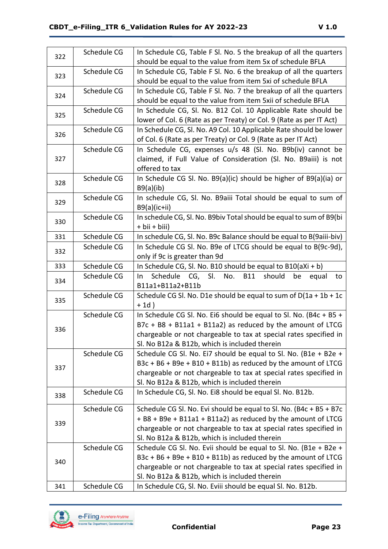| 322 | Schedule CG | In Schedule CG, Table F SI. No. 5 the breakup of all the quarters              |
|-----|-------------|--------------------------------------------------------------------------------|
|     |             | should be equal to the value from item 5x of schedule BFLA                     |
| 323 | Schedule CG | In Schedule CG, Table F SI. No. 6 the breakup of all the quarters              |
|     |             | should be equal to the value from item 5xi of schedule BFLA                    |
| 324 | Schedule CG | In Schedule CG, Table F SI. No. 7 the breakup of all the quarters              |
|     |             | should be equal to the value from item 5xii of schedule BFLA                   |
|     | Schedule CG | In Schedule CG, SI. No. B12 Col. 10 Applicable Rate should be                  |
| 325 |             | lower of Col. 6 (Rate as per Treaty) or Col. 9 (Rate as per IT Act)            |
| 326 | Schedule CG | In Schedule CG, Sl. No. A9 Col. 10 Applicable Rate should be lower             |
|     |             | of Col. 6 (Rate as per Treaty) or Col. 9 (Rate as per IT Act)                  |
|     | Schedule CG | In Schedule CG, expenses u/s 48 (Sl. No. B9b(iv) cannot be                     |
| 327 |             | claimed, if Full Value of Consideration (Sl. No. B9aiii) is not                |
|     |             | offered to tax                                                                 |
|     | Schedule CG | In Schedule CG SI. No. B9(a)(ic) should be higher of B9(a)(ia) or              |
| 328 |             | B9(a)(ib)                                                                      |
| 329 | Schedule CG | In schedule CG, Sl. No. B9aiii Total should be equal to sum of                 |
|     |             | $B9(a)(ic+ii)$                                                                 |
| 330 | Schedule CG | In schedule CG, Sl. No. B9biv Total should be equal to sum of B9(bi            |
|     |             | + bii + biii)                                                                  |
| 331 | Schedule CG | In schedule CG, SI. No. B9c Balance should be equal to B(9aiii-biv)            |
| 332 | Schedule CG | In Schedule CG SI. No. B9e of LTCG should be equal to B(9c-9d),                |
|     |             | only if 9c is greater than 9d                                                  |
| 333 | Schedule CG | In Schedule CG, Sl. No. B10 should be equal to $B10(aXi + b)$                  |
| 334 | Schedule CG | SI.<br>Schedule CG,<br>No.<br><b>B11</b><br>should<br>be<br>In.<br>equal<br>to |
|     |             | B11a1+B11a2+B11b                                                               |
| 335 | Schedule CG | Schedule CG SI. No. D1e should be equal to sum of $D(1a + 1b + 1c)$            |
|     |             | $+1d)$                                                                         |
|     | Schedule CG | In Schedule CG Sl. No. Ei6 should be equal to Sl. No. (B4c + B5 +              |
| 336 |             | $B7c + B8 + B11a1 + B11a2$ as reduced by the amount of LTCG                    |
|     |             | chargeable or not chargeable to tax at special rates specified in              |
|     |             | Sl. No B12a & B12b, which is included therein                                  |
|     | Schedule CG | Schedule CG Sl. No. Ei7 should be equal to Sl. No. (B1e + B2e +                |
| 337 |             | $B3c + B6 + B9e + B10 + B11b$ as reduced by the amount of LTCG                 |
|     |             | chargeable or not chargeable to tax at special rates specified in              |
|     |             | Sl. No B12a & B12b, which is included therein                                  |
| 338 | Schedule CG | In Schedule CG, SI. No. Ei8 should be equal SI. No. B12b.                      |
|     | Schedule CG | Schedule CG SI. No. Evi should be equal to SI. No. (B4c + B5 + B7c             |
|     |             | + B8 + B9e + B11a1 + B11a2) as reduced by the amount of LTCG                   |
| 339 |             | chargeable or not chargeable to tax at special rates specified in              |
|     |             | Sl. No B12a & B12b, which is included therein                                  |
|     | Schedule CG | Schedule CG SI. No. Evii should be equal to SI. No. (B1e + B2e +               |
|     |             | B3c + B6 + B9e + B10 + B11b) as reduced by the amount of LTCG                  |
| 340 |             | chargeable or not chargeable to tax at special rates specified in              |
|     |             | Sl. No B12a & B12b, which is included therein                                  |
| 341 | Schedule CG | In Schedule CG, SI. No. Eviii should be equal SI. No. B12b.                    |

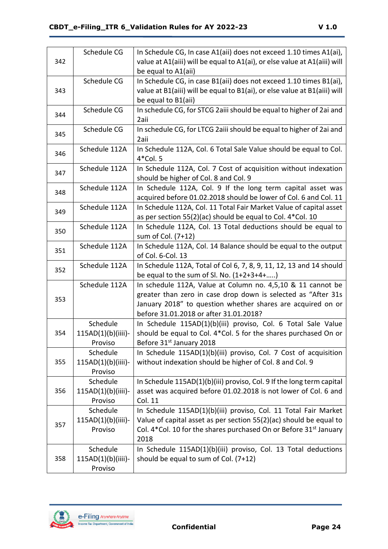|     | Schedule CG        | In Schedule CG, In case A1(aii) does not exceed 1.10 times A1(ai),            |
|-----|--------------------|-------------------------------------------------------------------------------|
| 342 |                    | value at A1(aiii) will be equal to A1(ai), or else value at A1(aiii) will     |
|     |                    | be equal to A1(aii)                                                           |
|     | Schedule CG        | In Schedule CG, in case B1(aii) does not exceed 1.10 times B1(ai),            |
| 343 |                    | value at B1(aiii) will be equal to B1(ai), or else value at B1(aiii) will     |
|     |                    | be equal to B1(aii)                                                           |
| 344 | Schedule CG        | In schedule CG, for STCG 2aiii should be equal to higher of 2ai and           |
|     |                    | 2aii                                                                          |
| 345 | Schedule CG        | In schedule CG, for LTCG 2aiii should be equal to higher of 2ai and           |
|     |                    | 2aii                                                                          |
| 346 | Schedule 112A      | In Schedule 112A, Col. 6 Total Sale Value should be equal to Col.             |
|     |                    | $4*$ Col. 5                                                                   |
| 347 | Schedule 112A      | In Schedule 112A, Col. 7 Cost of acquisition without indexation               |
|     |                    | should be higher of Col. 8 and Col. 9                                         |
| 348 | Schedule 112A      | In Schedule 112A, Col. 9 If the long term capital asset was                   |
|     |                    | acquired before 01.02.2018 should be lower of Col. 6 and Col. 11              |
| 349 | Schedule 112A      | In Schedule 112A, Col. 11 Total Fair Market Value of capital asset            |
|     |                    | as per section 55(2)(ac) should be equal to Col. 4*Col. 10                    |
| 350 | Schedule 112A      | In Schedule 112A, Col. 13 Total deductions should be equal to                 |
|     |                    | sum of Col. (7+12)                                                            |
| 351 | Schedule 112A      | In Schedule 112A, Col. 14 Balance should be equal to the output               |
|     |                    | of Col. 6-Col. 13                                                             |
| 352 | Schedule 112A      | In Schedule 112A, Total of Col 6, 7, 8, 9, 11, 12, 13 and 14 should           |
|     |                    | be equal to the sum of Sl. No. (1+2+3+4+)                                     |
|     | Schedule 112A      | In schedule 112A, Value at Column no. 4,5,10 & 11 cannot be                   |
| 353 |                    | greater than zero in case drop down is selected as "After 31s                 |
|     |                    | January 2018" to question whether shares are acquired on or                   |
|     |                    | before 31.01.2018 or after 31.01.2018?                                        |
|     | Schedule           | In Schedule 115AD(1)(b)(iii) proviso, Col. 6 Total Sale Value                 |
| 354 | 115AD(1)(b)(iiii)- | should be equal to Col. 4*Col. 5 for the shares purchased On or               |
|     | Proviso            | Before 31 <sup>st</sup> January 2018                                          |
|     | Schedule           | In Schedule 115AD(1)(b)(iii) proviso, Col. 7 Cost of acquisition              |
| 355 | 115AD(1)(b)(iiii)- | without indexation should be higher of Col. 8 and Col. 9                      |
|     | Proviso            |                                                                               |
|     | Schedule           | In Schedule 115AD(1)(b)(iii) proviso, Col. 9 If the long term capital         |
| 356 | 115AD(1)(b)(iiii)- | asset was acquired before 01.02.2018 is not lower of Col. 6 and               |
|     | Proviso            | Col. 11                                                                       |
|     | Schedule           | In Schedule 115AD(1)(b)(iii) proviso, Col. 11 Total Fair Market               |
| 357 | 115AD(1)(b)(iiii)- | Value of capital asset as per section 55(2)(ac) should be equal to            |
|     | Proviso            | Col. 4*Col. 10 for the shares purchased On or Before 31 <sup>st</sup> January |
|     |                    | 2018                                                                          |
|     | Schedule           | In Schedule 115AD(1)(b)(iii) proviso, Col. 13 Total deductions                |
| 358 | 115AD(1)(b)(iiii)- | should be equal to sum of Col. (7+12)                                         |
|     | Proviso            |                                                                               |

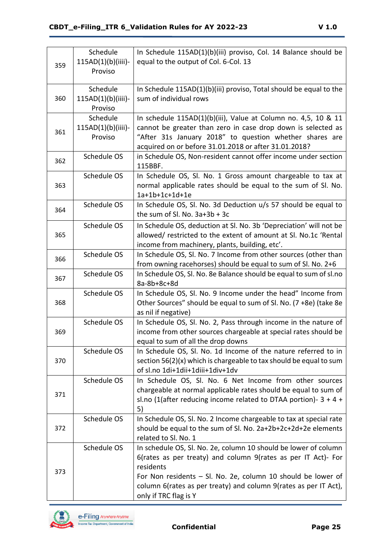| 359 | Schedule<br>115AD(1)(b)(iiii)-<br>Proviso | In Schedule 115AD(1)(b)(iii) proviso, Col. 14 Balance should be<br>equal to the output of Col. 6-Col. 13                                                                                                                                                                                                   |
|-----|-------------------------------------------|------------------------------------------------------------------------------------------------------------------------------------------------------------------------------------------------------------------------------------------------------------------------------------------------------------|
| 360 | Schedule<br>115AD(1)(b)(iiii)-<br>Proviso | In Schedule 115AD(1)(b)(iii) proviso, Total should be equal to the<br>sum of individual rows                                                                                                                                                                                                               |
| 361 | Schedule<br>115AD(1)(b)(iiii)-<br>Proviso | In schedule 115AD(1)(b)(iii), Value at Column no. 4,5, 10 & 11<br>cannot be greater than zero in case drop down is selected as<br>"After 31s January 2018" to question whether shares are<br>acquired on or before 31.01.2018 or after 31.01.2018?                                                         |
| 362 | Schedule OS                               | in Schedule OS, Non-resident cannot offer income under section<br>115BBF.                                                                                                                                                                                                                                  |
| 363 | Schedule OS                               | In Schedule OS, Sl. No. 1 Gross amount chargeable to tax at<br>normal applicable rates should be equal to the sum of Sl. No.<br>1a+1b+1c+1d+1e                                                                                                                                                             |
| 364 | Schedule OS                               | In Schedule OS, Sl. No. 3d Deduction u/s 57 should be equal to<br>the sum of Sl. No. $3a+3b+3c$                                                                                                                                                                                                            |
| 365 | Schedule OS                               | In Schedule OS, deduction at SI. No. 3b 'Depreciation' will not be<br>allowed/ restricted to the extent of amount at Sl. No.1c 'Rental<br>income from machinery, plants, building, etc'.                                                                                                                   |
| 366 | Schedule OS                               | In Schedule OS, Sl. No. 7 Income from other sources (other than<br>from owning racehorses) should be equal to sum of Sl. No. 2+6                                                                                                                                                                           |
| 367 | Schedule OS                               | In Schedule OS, SI. No. 8e Balance should be equal to sum of sl.no<br>8a-8b+8c+8d                                                                                                                                                                                                                          |
| 368 | Schedule OS                               | In Schedule OS, Sl. No. 9 Income under the head" Income from<br>Other Sources" should be equal to sum of Sl. No. (7 +8e) (take 8e<br>as nil if negative)                                                                                                                                                   |
| 369 | Schedule OS                               | In Schedule OS, Sl. No. 2, Pass through income in the nature of<br>income from other sources chargeable at special rates should be<br>equal to sum of all the drop downs                                                                                                                                   |
| 370 | Schedule OS                               | In Schedule OS, SI. No. 1d Income of the nature referred to in<br>section 56(2)(x) which is chargeable to tax should be equal to sum<br>of sl.no 1di+1dii+1diii+1div+1dv                                                                                                                                   |
| 371 | Schedule OS                               | In Schedule OS, SI. No. 6 Net Income from other sources<br>chargeable at normal applicable rates should be equal to sum of<br>sl.no (1(after reducing income related to DTAA portion)- $3 + 4 +$<br>5)                                                                                                     |
| 372 | Schedule OS                               | In Schedule OS, Sl. No. 2 Income chargeable to tax at special rate<br>should be equal to the sum of Sl. No. 2a+2b+2c+2d+2e elements<br>related to Sl. No. 1                                                                                                                                                |
| 373 | Schedule OS                               | In schedule OS, Sl. No. 2e, column 10 should be lower of column<br>6(rates as per treaty) and column 9(rates as per IT Act)- For<br>residents<br>For Non residents - Sl. No. 2e, column 10 should be lower of<br>column 6(rates as per treaty) and column 9(rates as per IT Act),<br>only if TRC flag is Y |



**Confidential Page 25**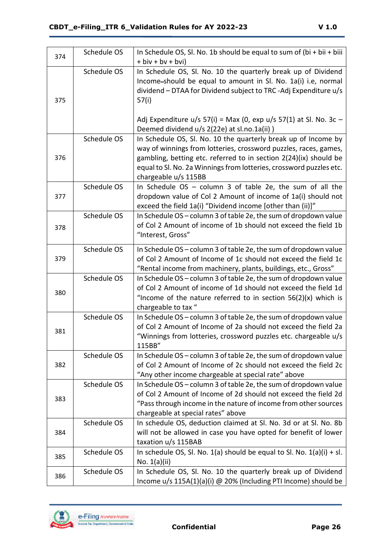| 374 | Schedule OS | In Schedule OS, Sl. No. 1b should be equal to sum of $(bi + bi + bi)$<br>$+$ biv $+$ bv $+$ bvi)                                                                                                                                                                                                       |
|-----|-------------|--------------------------------------------------------------------------------------------------------------------------------------------------------------------------------------------------------------------------------------------------------------------------------------------------------|
| 375 | Schedule OS | In Schedule OS, SI. No. 10 the quarterly break up of Dividend<br>Income-should be equal to amount in Sl. No. 1a(i) i.e, normal<br>dividend - DTAA for Dividend subject to TRC-Adj Expenditure u/s<br>57(i)                                                                                             |
|     |             | Adj Expenditure $u/s$ 57(i) = Max (0, exp $u/s$ 57(1) at Sl. No. 3c -<br>Deemed dividend u/s 2(22e) at sl.no.1a(ii))                                                                                                                                                                                   |
| 376 | Schedule OS | In Schedule OS, SI. No. 10 the quarterly break up of Income by<br>way of winnings from lotteries, crossword puzzles, races, games,<br>gambling, betting etc. referred to in section 2(24)(ix) should be<br>equal to Sl. No. 2a Winnings from lotteries, crossword puzzles etc.<br>chargeable u/s 115BB |
| 377 | Schedule OS | In Schedule $OS - column 3$ of table 2e, the sum of all the<br>dropdown value of Col 2 Amount of income of 1a(i) should not<br>exceed the field 1a(i) "Dividend income [other than (ii)]"                                                                                                              |
| 378 | Schedule OS | In Schedule OS - column 3 of table 2e, the sum of dropdown value<br>of Col 2 Amount of income of 1b should not exceed the field 1b<br>"Interest, Gross"                                                                                                                                                |
| 379 | Schedule OS | In Schedule OS - column 3 of table 2e, the sum of dropdown value<br>of Col 2 Amount of Income of 1c should not exceed the field 1c<br>"Rental income from machinery, plants, buildings, etc., Gross"                                                                                                   |
| 380 | Schedule OS | In Schedule OS - column 3 of table 2e, the sum of dropdown value<br>of Col 2 Amount of income of 1d should not exceed the field 1d<br>"Income of the nature referred to in section $56(2)(x)$ which is<br>chargeable to tax "                                                                          |
| 381 | Schedule OS | In Schedule OS - column 3 of table 2e, the sum of dropdown value<br>of Col 2 Amount of Income of 2a should not exceed the field 2a<br>"Winnings from lotteries, crossword puzzles etc. chargeable u/s<br>115BB"                                                                                        |
| 382 | Schedule OS | In Schedule OS - column 3 of table 2e, the sum of dropdown value<br>of Col 2 Amount of Income of 2c should not exceed the field 2c<br>"Any other income chargeable at special rate" above                                                                                                              |
| 383 | Schedule OS | In Schedule OS - column 3 of table 2e, the sum of dropdown value<br>of Col 2 Amount of Income of 2d should not exceed the field 2d<br>"Pass through income in the nature of income from other sources<br>chargeable at special rates" above                                                            |
| 384 | Schedule OS | In schedule OS, deduction claimed at Sl. No. 3d or at Sl. No. 8b<br>will not be allowed in case you have opted for benefit of lower<br>taxation u/s 115BAB                                                                                                                                             |
| 385 | Schedule OS | In schedule OS, SI. No. $1(a)$ should be equal to SI. No. $1(a)(i) + sI$ .<br>No. $1(a)(ii)$                                                                                                                                                                                                           |
| 386 | Schedule OS | In Schedule OS, Sl. No. 10 the quarterly break up of Dividend<br>Income u/s 115A(1)(a)(i) @ 20% (Including PTI Income) should be                                                                                                                                                                       |

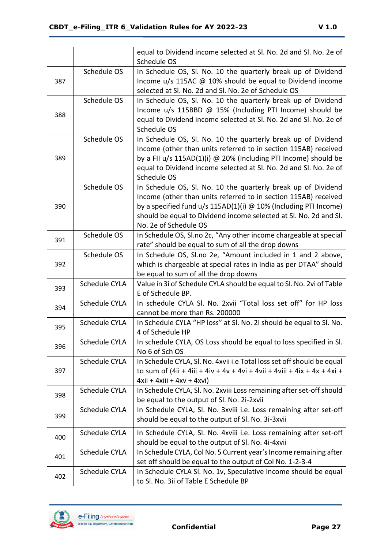|     |                      | equal to Dividend income selected at Sl. No. 2d and Sl. No. 2e of<br>Schedule OS                  |
|-----|----------------------|---------------------------------------------------------------------------------------------------|
|     | Schedule OS          | In Schedule OS, Sl. No. 10 the quarterly break up of Dividend                                     |
| 387 |                      | Income u/s 115AC @ 10% should be equal to Dividend income                                         |
|     |                      | selected at Sl. No. 2d and Sl. No. 2e of Schedule OS                                              |
|     | Schedule OS          | In Schedule OS, SI. No. 10 the quarterly break up of Dividend                                     |
| 388 |                      | Income u/s 115BBD @ 15% (Including PTI Income) should be                                          |
|     |                      | equal to Dividend income selected at Sl. No. 2d and Sl. No. 2e of                                 |
|     |                      | Schedule OS                                                                                       |
|     | Schedule OS          | In Schedule OS, SI. No. 10 the quarterly break up of Dividend                                     |
|     |                      | Income (other than units referred to in section 115AB) received                                   |
| 389 |                      | by a FII $u/s$ 115AD(1)(i) @ 20% (Including PTI Income) should be                                 |
|     |                      | equal to Dividend income selected at SI. No. 2d and SI. No. 2e of<br>Schedule OS                  |
|     | Schedule OS          | In Schedule OS, Sl. No. 10 the quarterly break up of Dividend                                     |
|     |                      | Income (other than units referred to in section 115AB) received                                   |
| 390 |                      | by a specified fund $u/s$ 115AD(1)(i) $@$ 10% (Including PTI Income)                              |
|     |                      | should be equal to Dividend income selected at Sl. No. 2d and Sl.                                 |
|     |                      | No. 2e of Schedule OS                                                                             |
| 391 | Schedule OS          | In Schedule OS, Sl.no 2c, "Any other income chargeable at special                                 |
|     |                      | rate" should be equal to sum of all the drop downs                                                |
|     | Schedule OS          | In Schedule OS, Sl.no 2e, "Amount included in 1 and 2 above,                                      |
| 392 |                      | which is chargeable at special rates in India as per DTAA" should                                 |
|     |                      | be equal to sum of all the drop downs                                                             |
| 393 | Schedule CYLA        | Value in 3i of Schedule CYLA should be equal to Sl. No. 2vi of Table                              |
|     |                      | E of Schedule BP.                                                                                 |
| 394 | Schedule CYLA        | In schedule CYLA SI. No. 2xvii "Total loss set off" for HP loss<br>cannot be more than Rs. 200000 |
|     | <b>Schedule CYLA</b> | In Schedule CYLA "HP loss" at SI. No. 2i should be equal to SI. No.                               |
| 395 |                      | 4 of Schedule HP                                                                                  |
|     | Schedule CYLA        | In schedule CYLA, OS Loss should be equal to loss specified in SI.                                |
| 396 |                      | No 6 of Sch OS                                                                                    |
|     | Schedule CYLA        | In Schedule CYLA, SI. No. 4xvii i.e Total loss set off should be equal                            |
| 397 |                      | to sum of (4ii + 4iii + 4iv + 4v + 4vi + 4vii + 4viii + 4ix + 4x + 4xi +                          |
|     |                      | $4xii + 4xiii + 4xv + 4xvi$                                                                       |
|     | Schedule CYLA        | In Schedule CYLA, Sl. No. 2xviii Loss remaining after set-off should                              |
| 398 |                      | be equal to the output of Sl. No. 2i-2xvii                                                        |
|     | Schedule CYLA        | In Schedule CYLA, Sl. No. 3xviii i.e. Loss remaining after set-off                                |
| 399 |                      | should be equal to the output of Sl. No. 3i-3xvii                                                 |
| 400 | <b>Schedule CYLA</b> | In Schedule CYLA, Sl. No. 4xviii i.e. Loss remaining after set-off                                |
|     |                      | should be equal to the output of Sl. No. 4i-4xvii                                                 |
| 401 | Schedule CYLA        | In Schedule CYLA, Col No. 5 Current year's Income remaining after                                 |
|     |                      | set off should be equal to the output of Col No. 1-2-3-4                                          |
| 402 | Schedule CYLA        | In Schedule CYLA SI. No. 1v, Speculative Income should be equal                                   |
|     |                      | to Sl. No. 3ii of Table E Schedule BP                                                             |

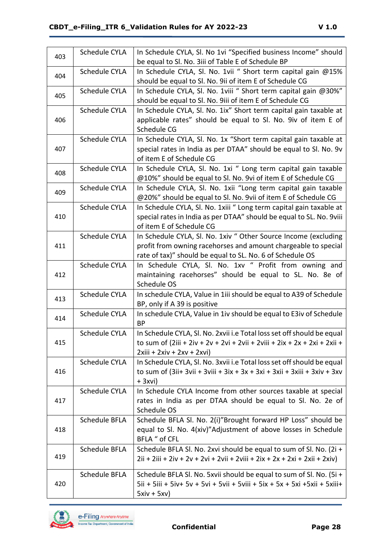| 403 | Schedule CYLA        | In Schedule CYLA, SI. No 1vi "Specified business Income" should<br>be equal to Sl. No. 3iii of Table E of Schedule BP                                                                          |
|-----|----------------------|------------------------------------------------------------------------------------------------------------------------------------------------------------------------------------------------|
| 404 | <b>Schedule CYLA</b> | In Schedule CYLA, SI. No. 1vii " Short term capital gain @15%<br>should be equal to SI. No. 9ii of item E of Schedule CG                                                                       |
| 405 | Schedule CYLA        | In Schedule CYLA, SI. No. 1viii " Short term capital gain @30%"<br>should be equal to Sl. No. 9iii of item E of Schedule CG                                                                    |
| 406 | Schedule CYLA        | In Schedule CYLA, Sl. No. 1ix" Short term capital gain taxable at<br>applicable rates" should be equal to Sl. No. 9iv of item E of<br>Schedule CG                                              |
| 407 | Schedule CYLA        | In Schedule CYLA, Sl. No. 1x "Short term capital gain taxable at<br>special rates in India as per DTAA" should be equal to Sl. No. 9v<br>of item E of Schedule CG                              |
| 408 | Schedule CYLA        | In Schedule CYLA, Sl. No. 1xi " Long term capital gain taxable<br>@10%" should be equal to Sl. No. 9vi of item E of Schedule CG                                                                |
| 409 | Schedule CYLA        | In Schedule CYLA, Sl. No. 1xii "Long term capital gain taxable<br>@20%" should be equal to Sl. No. 9vii of item E of Schedule CG                                                               |
| 410 | Schedule CYLA        | In Schedule CYLA, Sl. No. 1xiii " Long term capital gain taxable at<br>special rates in India as per DTAA" should be equal to SL. No. 9viii<br>of item E of Schedule CG                        |
| 411 | Schedule CYLA        | In Schedule CYLA, SI. No. 1xiv " Other Source Income (excluding<br>profit from owning racehorses and amount chargeable to special<br>rate of tax)" should be equal to SL. No. 6 of Schedule OS |
| 412 | Schedule CYLA        | In Schedule CYLA, Sl. No. 1xv " Profit from owning and<br>maintaining racehorses" should be equal to SL. No. 8e of<br>Schedule OS                                                              |
| 413 | Schedule CYLA        | In schedule CYLA, Value in 1iii should be equal to A39 of Schedule<br>BP, only if A 39 is positive                                                                                             |
| 414 | <b>Schedule CYLA</b> | In schedule CYLA, Value in 1iv should be equal to E3iv of Schedule<br><b>BP</b>                                                                                                                |
| 415 | Schedule CYLA        | In Schedule CYLA, SI. No. 2xvii i.e Total loss set off should be equal<br>to sum of (2iii + 2iv + 2v + 2vi + 2vii + 2viii + 2ix + 2x + 2xi + 2xii +<br>$2xiii + 2xiv + 2xv + 2xvi)$            |
| 416 | Schedule CYLA        | In Schedule CYLA, Sl. No. 3xvii i.e Total loss set off should be equal<br>to sum of (3ii+ 3vii + 3viii + 3ix + 3x + 3xi + 3xii + 3xiii + 3xiv + 3xv<br>$+3$ xvi)                               |
| 417 | Schedule CYLA        | In Schedule CYLA Income from other sources taxable at special<br>rates in India as per DTAA should be equal to SI. No. 2e of<br>Schedule OS                                                    |
| 418 | Schedule BFLA        | Schedule BFLA Sl. No. 2(i)"Brought forward HP Loss" should be<br>equal to Sl. No. 4(xiv)"Adjustment of above losses in Schedule<br>BFLA " of CFL                                               |
| 419 | Schedule BFLA        | Schedule BFLA Sl. No. 2xvi should be equal to sum of Sl. No. (2i +<br>$2ii + 2iii + 2iv + 2v + 2vi + 2vii + 2viii + 2ix + 2x + 2xi + 2xii + 2xiv)$                                             |
| 420 | Schedule BFLA        | Schedule BFLA SI. No. 5xvii should be equal to sum of SI. No. (5i +<br>5ii + 5iii + 5iv+ 5v + 5vi + 5vii + 5viii + 5ix + 5x + 5xi + 5xii + 5xiii+<br>$5xiv + 5xv)$                             |

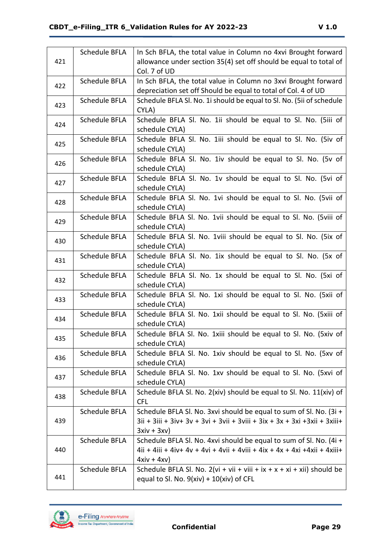|     | Schedule BFLA        | In Sch BFLA, the total value in Column no 4xvi Brought forward             |
|-----|----------------------|----------------------------------------------------------------------------|
| 421 |                      | allowance under section 35(4) set off should be equal to total of          |
|     |                      | Col. 7 of UD                                                               |
| 422 | Schedule BFLA        | In Sch BFLA, the total value in Column no 3xvi Brought forward             |
|     |                      | depreciation set off Should be equal to total of Col. 4 of UD              |
| 423 | Schedule BFLA        | Schedule BFLA SI. No. 1i should be equal to SI. No. (5ii of schedule       |
|     |                      | CYLA)                                                                      |
| 424 | Schedule BFLA        | Schedule BFLA Sl. No. 1ii should be equal to Sl. No. (5iii of              |
|     |                      | schedule CYLA)                                                             |
| 425 | Schedule BFLA        | Schedule BFLA Sl. No. 1iii should be equal to Sl. No. (5iv of              |
|     |                      | schedule CYLA)                                                             |
| 426 | Schedule BFLA        | Schedule BFLA Sl. No. 1iv should be equal to Sl. No. (5v of                |
|     |                      | schedule CYLA)                                                             |
| 427 | <b>Schedule BFLA</b> | Schedule BFLA SI. No. 1v should be equal to SI. No. (5vi of                |
|     |                      | schedule CYLA)                                                             |
| 428 | Schedule BFLA        | Schedule BFLA Sl. No. 1vi should be equal to Sl. No. (5vii of              |
|     |                      | schedule CYLA)                                                             |
| 429 | Schedule BFLA        | Schedule BFLA Sl. No. 1vii should be equal to Sl. No. (5viii of            |
|     |                      | schedule CYLA)                                                             |
| 430 | Schedule BFLA        | Schedule BFLA Sl. No. 1viii should be equal to Sl. No. (5ix of             |
|     |                      | schedule CYLA)                                                             |
| 431 | Schedule BFLA        | Schedule BFLA SI. No. 1ix should be equal to SI. No. (5x of                |
|     |                      | schedule CYLA)                                                             |
| 432 | Schedule BFLA        | Schedule BFLA Sl. No. 1x should be equal to Sl. No. (5xi of                |
|     |                      | schedule CYLA)                                                             |
| 433 | Schedule BFLA        | Schedule BFLA Sl. No. 1xi should be equal to Sl. No. (5xii of              |
|     |                      | schedule CYLA)                                                             |
| 434 | Schedule BFLA        | Schedule BFLA Sl. No. 1xii should be equal to Sl. No. (5xiii of            |
|     |                      | schedule CYLA)                                                             |
| 435 | Schedule BFLA        | Schedule BFLA SI. No. 1xiii should be equal to SI. No. (5xiv of            |
|     |                      | schedule CYLA)                                                             |
| 436 | Schedule BFLA        | Schedule BFLA SI. No. 1xiv should be equal to SI. No. (5xv of              |
|     |                      | schedule CYLA)                                                             |
| 437 | Schedule BFLA        | Schedule BFLA SI. No. 1xv should be equal to SI. No. (5xvi of              |
|     |                      | schedule CYLA)                                                             |
| 438 | Schedule BFLA        | Schedule BFLA Sl. No. 2(xiv) should be equal to Sl. No. 11(xiv) of         |
|     |                      | <b>CFL</b>                                                                 |
|     | Schedule BFLA        | Schedule BFLA Sl. No. 3xvi should be equal to sum of Sl. No. (3i +         |
| 439 |                      | 3ii + 3iii + 3iv+ 3v + 3vi + 3vii + 3viii + 3ix + 3x + 3xi + 3xii + 3xiii+ |
|     |                      | $3xiv + 3xv)$                                                              |
|     | Schedule BFLA        | Schedule BFLA Sl. No. 4xvi should be equal to sum of Sl. No. (4i +         |
| 440 |                      | 4ii + 4iii + 4iv+ 4v + 4vi + 4vii + 4viii + 4ix + 4x + 4xi + 4xii + 4xiii+ |
|     |                      | $4xiv + 4xv)$                                                              |
| 441 | Schedule BFLA        | Schedule BFLA Sl. No. 2(vi + vii + viii + ix + x + xi + xii) should be     |
|     |                      | equal to Sl. No. $9(xiv) + 10(xiv)$ of CFL                                 |

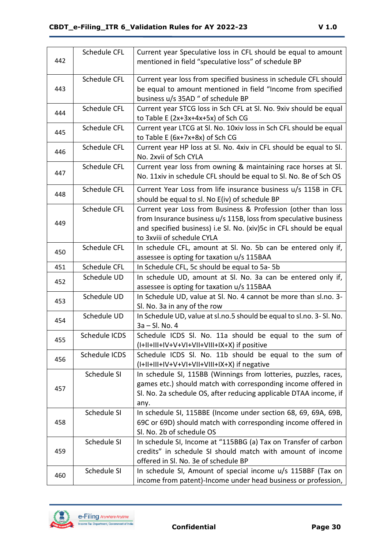| 442 | Schedule CFL  | Current year Speculative loss in CFL should be equal to amount<br>mentioned in field "speculative loss" of schedule BP                                                                                                                |
|-----|---------------|---------------------------------------------------------------------------------------------------------------------------------------------------------------------------------------------------------------------------------------|
| 443 | Schedule CFL  | Current year loss from specified business in schedule CFL should<br>be equal to amount mentioned in field "Income from specified<br>business u/s 35AD " of schedule BP                                                                |
| 444 | Schedule CFL  | Current year STCG loss in Sch CFL at Sl. No. 9xiv should be equal<br>to Table E $(2x+3x+4x+5x)$ of Sch CG                                                                                                                             |
| 445 | Schedule CFL  | Current year LTCG at Sl. No. 10xiv loss in Sch CFL should be equal<br>to Table E $(6x+7x+8x)$ of Sch CG                                                                                                                               |
| 446 | Schedule CFL  | Current year HP loss at Sl. No. 4xiv in CFL should be equal to Sl.<br>No. 2xvii of Sch CYLA                                                                                                                                           |
| 447 | Schedule CFL  | Current year loss from owning & maintaining race horses at SI.<br>No. 11xiv in schedule CFL should be equal to SI. No. 8e of Sch OS                                                                                                   |
| 448 | Schedule CFL  | Current Year Loss from life insurance business u/s 115B in CFL<br>should be equal to sl. No E(iv) of schedule BP                                                                                                                      |
| 449 | Schedule CFL  | Current year Loss from Business & Profession (other than loss<br>from Insurance business u/s 115B, loss from speculative business<br>and specified business) i.e Sl. No. (xiv)5c in CFL should be equal<br>to 3xviii of schedule CYLA |
| 450 | Schedule CFL  | In schedule CFL, amount at SI. No. 5b can be entered only if,<br>assessee is opting for taxation u/s 115BAA                                                                                                                           |
| 451 | Schedule CFL  | In Schedule CFL, 5c should be equal to 5a-5b                                                                                                                                                                                          |
| 452 | Schedule UD   | In schedule UD, amount at SI. No. 3a can be entered only if,<br>assessee is opting for taxation u/s 115BAA                                                                                                                            |
| 453 | Schedule UD   | In Schedule UD, value at Sl. No. 4 cannot be more than sl.no. 3-<br>Sl. No. 3a in any of the row                                                                                                                                      |
| 454 | Schedule UD   | In Schedule UD, value at sl.no.5 should be equal to sl.no. 3- Sl. No.<br>$3a - SI.$ No. 4                                                                                                                                             |
| 455 | Schedule ICDS | Schedule ICDS SI. No. 11a should be equal to the sum of<br>(I+II+III+IV+V+VI+VII+VIII+IX+X) if positive                                                                                                                               |
| 456 | Schedule ICDS | Schedule ICDS Sl. No. 11b should be equal to the sum of<br>(I+II+III+IV+V+VI+VII+VIII+IX+X) if negative                                                                                                                               |
| 457 | Schedule SI   | In schedule SI, 115BB (Winnings from lotteries, puzzles, races,<br>games etc.) should match with corresponding income offered in<br>Sl. No. 2a schedule OS, after reducing applicable DTAA income, if<br>any.                         |
| 458 | Schedule SI   | In schedule SI, 115BBE (Income under section 68, 69, 69A, 69B,<br>69C or 69D) should match with corresponding income offered in<br>Sl. No. 2b of schedule OS                                                                          |
| 459 | Schedule SI   | In schedule SI, Income at "115BBG (a) Tax on Transfer of carbon<br>credits" in schedule SI should match with amount of income<br>offered in Sl. No. 3e of schedule BP                                                                 |
| 460 | Schedule SI   | In schedule SI, Amount of special income u/s 115BBF (Tax on<br>income from patent)-Income under head business or profession,                                                                                                          |

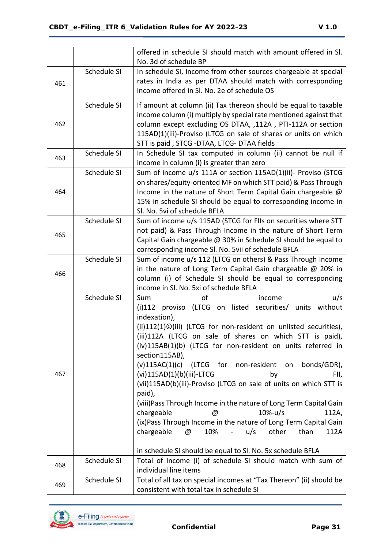|     |             | offered in schedule SI should match with amount offered in SI.                                                                 |
|-----|-------------|--------------------------------------------------------------------------------------------------------------------------------|
|     | Schedule SI | No. 3d of schedule BP<br>In schedule SI, Income from other sources chargeable at special                                       |
|     |             | rates in India as per DTAA should match with corresponding                                                                     |
| 461 |             | income offered in Sl. No. 2e of schedule OS                                                                                    |
|     |             |                                                                                                                                |
|     | Schedule SI | If amount at column (ii) Tax thereon should be equal to taxable                                                                |
| 462 |             | income column (i) multiply by special rate mentioned against that                                                              |
|     |             | column except excluding OS DTAA, ,112A, PTI-112A or section<br>115AD(1)(iii)-Proviso (LTCG on sale of shares or units on which |
|     |             | STT is paid, STCG -DTAA, LTCG- DTAA fields                                                                                     |
|     | Schedule SI | In Schedule SI tax computed in column (ii) cannot be null if                                                                   |
| 463 |             | income in column (i) is greater than zero                                                                                      |
|     | Schedule SI | Sum of income u/s 111A or section 115AD(1)(ii)- Proviso (STCG                                                                  |
|     |             | on shares/equity-oriented MF on which STT paid) & Pass Through                                                                 |
| 464 |             | Income in the nature of Short Term Capital Gain chargeable @                                                                   |
|     |             | 15% in schedule SI should be equal to corresponding income in                                                                  |
|     |             | Sl. No. 5vi of schedule BFLA                                                                                                   |
|     | Schedule SI | Sum of income u/s 115AD (STCG for FIIs on securities where STT                                                                 |
| 465 |             | not paid) & Pass Through Income in the nature of Short Term                                                                    |
|     |             | Capital Gain chargeable @ 30% in Schedule SI should be equal to                                                                |
|     | Schedule SI | corresponding income Sl. No. 5vii of schedule BFLA<br>Sum of income u/s 112 (LTCG on others) & Pass Through Income             |
|     |             | in the nature of Long Term Capital Gain chargeable @ 20% in                                                                    |
| 466 |             | column (i) of Schedule SI should be equal to corresponding                                                                     |
|     |             | income in Sl. No. 5xi of schedule BFLA                                                                                         |
|     | Schedule SI | of<br>Sum<br>u/s<br>income                                                                                                     |
|     |             | (i)112 proviso (LTCG on listed securities/ units without                                                                       |
|     |             | indexation),                                                                                                                   |
|     |             | (ii)112(1)©(iii) (LTCG for non-resident on unlisted securities),                                                               |
|     |             | (iii)112A (LTCG on sale of shares on which STT is paid),                                                                       |
|     |             | (iv)115AB(1)(b) (LTCG for non-resident on units referred in                                                                    |
|     |             | section115AB),                                                                                                                 |
|     |             | $(v)115AC(1)(c)$ (LTCG<br>for<br>non-resident on<br>bonds/GDR),                                                                |
| 467 |             | (vi)115AD(1)(b)(iii)-LTCG<br>by<br>FII,<br>(vii)115AD(b)(iii)-Proviso (LTCG on sale of units on which STT is                   |
|     |             | paid),                                                                                                                         |
|     |             | (viii) Pass Through Income in the nature of Long Term Capital Gain                                                             |
|     |             | chargeable<br>$10% - u/s$<br>112A,<br>$^\circledR$                                                                             |
|     |             | (ix) Pass Through Income in the nature of Long Term Capital Gain                                                               |
|     |             | other<br>chargeable<br>$\omega$<br>10%<br>u/s<br>than<br>$\frac{1}{2} \left( \frac{1}{2} \right)$<br>112A                      |
|     |             |                                                                                                                                |
|     |             | in schedule SI should be equal to SI. No. 5x schedule BFLA                                                                     |
| 468 | Schedule SI | Total of Income (i) of schedule SI should match with sum of                                                                    |
|     |             | individual line items                                                                                                          |
| 469 | Schedule SI | Total of all tax on special incomes at "Tax Thereon" (ii) should be                                                            |
|     |             | consistent with total tax in schedule SI                                                                                       |

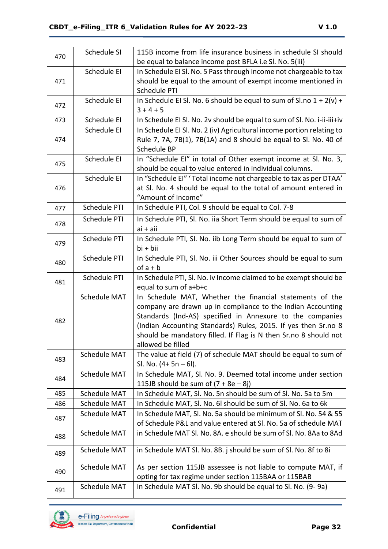| 470 | Schedule SI         | 115B income from life insurance business in schedule SI should                        |
|-----|---------------------|---------------------------------------------------------------------------------------|
|     |                     | be equal to balance income post BFLA i.e Sl. No. 5(iii)                               |
|     | Schedule EI         | In Schedule EI SI. No. 5 Pass through income not chargeable to tax                    |
| 471 |                     | should be equal to the amount of exempt income mentioned in                           |
|     |                     | Schedule PTI                                                                          |
| 472 | Schedule EI         | In Schedule EI SI. No. 6 should be equal to sum of SI.no $1 + 2(v) +$                 |
|     |                     | $3 + 4 + 5$                                                                           |
| 473 | Schedule EI         | In Schedule EI SI. No. 2v should be equal to sum of SI. No. i-ii-iii+iv               |
|     | Schedule EI         | In Schedule EI SI. No. 2 (iv) Agricultural income portion relating to                 |
| 474 |                     | Rule 7, 7A, 7B(1), 7B(1A) and 8 should be equal to Sl. No. 40 of                      |
|     |                     | Schedule BP                                                                           |
| 475 | Schedule EI         | In "Schedule EI" in total of Other exempt income at Sl. No. 3,                        |
|     |                     | should be equal to value entered in individual columns.                               |
|     | Schedule EI         | In "Schedule EI" ' Total income not chargeable to tax as per DTAA'                    |
| 476 |                     | at SI. No. 4 should be equal to the total of amount entered in                        |
|     |                     | "Amount of Income"                                                                    |
| 477 | Schedule PTI        | In Schedule PTI, Col. 9 should be equal to Col. 7-8                                   |
| 478 | Schedule PTI        | In Schedule PTI, Sl. No. iia Short Term should be equal to sum of                     |
|     |                     | $ai + ai$                                                                             |
|     | Schedule PTI        | In Schedule PTI, Sl. No. iib Long Term should be equal to sum of                      |
| 479 |                     | bi + bii                                                                              |
|     | Schedule PTI        | In Schedule PTI, Sl. No. iii Other Sources should be equal to sum                     |
| 480 |                     | $of a + b$                                                                            |
|     |                     |                                                                                       |
|     | Schedule PTI        | In Schedule PTI, SI. No. iv Income claimed to be exempt should be                     |
| 481 |                     | equal to sum of a+b+c                                                                 |
|     | Schedule MAT        | In Schedule MAT, Whether the financial statements of the                              |
|     |                     | company are drawn up in compliance to the Indian Accounting                           |
|     |                     |                                                                                       |
| 482 |                     | Standards (Ind-AS) specified in Annexure to the companies                             |
|     |                     | (Indian Accounting Standards) Rules, 2015. If yes then Sr.no 8                        |
|     |                     | should be mandatory filled. If Flag is N then Sr.no 8 should not<br>allowed be filled |
|     |                     |                                                                                       |
| 483 | <b>Schedule MAT</b> | The value at field (7) of schedule MAT should be equal to sum of                      |
|     |                     | Sl. No. $(4+5n-6)$ .                                                                  |
| 484 | <b>Schedule MAT</b> | In Schedule MAT, Sl. No. 9. Deemed total income under section                         |
|     |                     | 115JB should be sum of $(7 + 8e - 8j)$                                                |
| 485 | Schedule MAT        | In Schedule MAT, SI. No. 5n should be sum of SI. No. 5a to 5m                         |
| 486 | <b>Schedule MAT</b> | In Schedule MAT, Sl. No. 6l should be sum of Sl. No. 6a to 6k                         |
| 487 | <b>Schedule MAT</b> | In Schedule MAT, Sl. No. 5a should be minimum of Sl. No. 54 & 55                      |
|     |                     | of Schedule P&L and value entered at Sl. No. 5a of schedule MAT                       |
| 488 | <b>Schedule MAT</b> | in Schedule MAT Sl. No. 8A. e should be sum of Sl. No. 8Aa to 8Ad                     |
|     | <b>Schedule MAT</b> | in Schedule MAT Sl. No. 8B. j should be sum of Sl. No. 8f to 8i                       |
| 489 |                     |                                                                                       |
|     | Schedule MAT        | As per section 115JB assessee is not liable to compute MAT, if                        |
| 490 |                     | opting for tax regime under section 115BAA or 115BAB                                  |
| 491 | Schedule MAT        | in Schedule MAT Sl. No. 9b should be equal to Sl. No. (9-9a)                          |

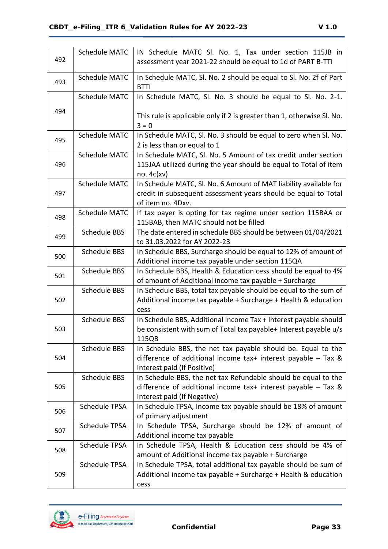| 492 | <b>Schedule MATC</b> | IN Schedule MATC Sl. No. 1, Tax under section 115JB in<br>assessment year 2021-22 should be equal to 1d of PART B-TTI                                            |
|-----|----------------------|------------------------------------------------------------------------------------------------------------------------------------------------------------------|
| 493 | <b>Schedule MATC</b> | In Schedule MATC, Sl. No. 2 should be equal to Sl. No. 2f of Part<br><b>BTTI</b>                                                                                 |
|     | Schedule MATC        | In Schedule MATC, Sl. No. 3 should be equal to Sl. No. 2-1.                                                                                                      |
| 494 |                      | This rule is applicable only if 2 is greater than 1, otherwise Sl. No.<br>$3 = 0$                                                                                |
| 495 | <b>Schedule MATC</b> | In Schedule MATC, Sl. No. 3 should be equal to zero when Sl. No.<br>2 is less than or equal to 1                                                                 |
| 496 | <b>Schedule MATC</b> | In Schedule MATC, Sl. No. 5 Amount of tax credit under section<br>115JAA utilized during the year should be equal to Total of item<br>no. $4c(xv)$               |
| 497 | <b>Schedule MATC</b> | In Schedule MATC, Sl. No. 6 Amount of MAT liability available for<br>credit in subsequent assessment years should be equal to Total<br>of item no. 4Dxv.         |
| 498 | Schedule MATC        | If tax payer is opting for tax regime under section 115BAA or<br>115BAB, then MATC should not be filled                                                          |
| 499 | <b>Schedule BBS</b>  | The date entered in schedule BBS should be between 01/04/2021<br>to 31.03.2022 for AY 2022-23                                                                    |
| 500 | <b>Schedule BBS</b>  | In Schedule BBS, Surcharge should be equal to 12% of amount of<br>Additional income tax payable under section 115QA                                              |
| 501 | <b>Schedule BBS</b>  | In Schedule BBS, Health & Education cess should be equal to 4%<br>of amount of Additional income tax payable + Surcharge                                         |
| 502 | <b>Schedule BBS</b>  | In Schedule BBS, total tax payable should be equal to the sum of<br>Additional income tax payable + Surcharge + Health & education<br>cess                       |
| 503 | <b>Schedule BBS</b>  | In Schedule BBS, Additional Income Tax + Interest payable should<br>be consistent with sum of Total tax payable+ Interest payable u/s<br>115QB                   |
| 504 | <b>Schedule BBS</b>  | In Schedule BBS, the net tax payable should be. Equal to the<br>difference of additional income tax+ interest payable $-$ Tax &<br>Interest paid (If Positive)   |
| 505 | <b>Schedule BBS</b>  | In Schedule BBS, the net tax Refundable should be equal to the<br>difference of additional income tax+ interest payable $-$ Tax &<br>Interest paid (If Negative) |
| 506 | <b>Schedule TPSA</b> | In Schedule TPSA, Income tax payable should be 18% of amount<br>of primary adjustment                                                                            |
| 507 | <b>Schedule TPSA</b> | In Schedule TPSA, Surcharge should be 12% of amount of<br>Additional income tax payable                                                                          |
| 508 | <b>Schedule TPSA</b> | In Schedule TPSA, Health & Education cess should be 4% of<br>amount of Additional income tax payable + Surcharge                                                 |
| 509 | <b>Schedule TPSA</b> | In Schedule TPSA, total additional tax payable should be sum of<br>Additional income tax payable + Surcharge + Health & education<br>cess                        |

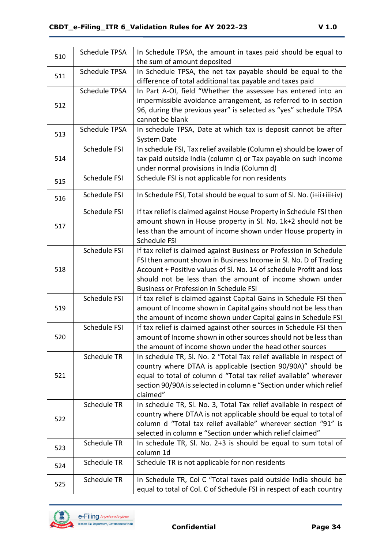| 510 | <b>Schedule TPSA</b> | In Schedule TPSA, the amount in taxes paid should be equal to          |
|-----|----------------------|------------------------------------------------------------------------|
|     |                      | the sum of amount deposited                                            |
| 511 | <b>Schedule TPSA</b> | In Schedule TPSA, the net tax payable should be equal to the           |
|     |                      | difference of total additional tax payable and taxes paid              |
|     | <b>Schedule TPSA</b> | In Part A-OI, field "Whether the assessee has entered into an          |
| 512 |                      | impermissible avoidance arrangement, as referred to in section         |
|     |                      | 96, during the previous year" is selected as "yes" schedule TPSA       |
|     |                      | cannot be blank                                                        |
| 513 | <b>Schedule TPSA</b> | In schedule TPSA, Date at which tax is deposit cannot be after         |
|     |                      | System Date                                                            |
|     | Schedule FSI         | In schedule FSI, Tax relief available (Column e) should be lower of    |
| 514 |                      | tax paid outside India (column c) or Tax payable on such income        |
|     |                      | under normal provisions in India (Column d)                            |
| 515 | Schedule FSI         | Schedule FSI is not applicable for non residents                       |
|     |                      |                                                                        |
| 516 | Schedule FSI         | In Schedule FSI, Total should be equal to sum of SI. No. (i+ii+iii+iv) |
|     | Schedule FSI         | If tax relief is claimed against House Property in Schedule FSI then   |
|     |                      | amount shown in House property in Sl. No. 1k+2 should not be           |
| 517 |                      | less than the amount of income shown under House property in           |
|     |                      | Schedule FSI                                                           |
|     | Schedule FSI         | If tax relief is claimed against Business or Profession in Schedule    |
|     |                      | FSI then amount shown in Business Income in Sl. No. D of Trading       |
| 518 |                      | Account + Positive values of SI. No. 14 of schedule Profit and loss    |
|     |                      | should not be less than the amount of income shown under               |
|     |                      | <b>Business or Profession in Schedule FSI</b>                          |
|     | Schedule FSI         | If tax relief is claimed against Capital Gains in Schedule FSI then    |
| 519 |                      | amount of Income shown in Capital gains should not be less than        |
|     |                      | the amount of income shown under Capital gains in Schedule FSI         |
|     | Schedule FSI         | If tax relief is claimed against other sources in Schedule FSI then    |
| 520 |                      | amount of Income shown in other sources should not be less than        |
|     |                      | the amount of income shown under the head other sources                |
|     | Schedule TR          | In schedule TR, Sl. No. 2 "Total Tax relief available in respect of    |
|     |                      | country where DTAA is applicable (section 90/90A)" should be           |
| 521 |                      | equal to total of column d "Total tax relief available" wherever       |
|     |                      | section 90/90A is selected in column e "Section under which relief     |
|     |                      | claimed"                                                               |
|     | Schedule TR          | In schedule TR, Sl. No. 3, Total Tax relief available in respect of    |
|     |                      | country where DTAA is not applicable should be equal to total of       |
| 522 |                      | column d "Total tax relief available" wherever section "91" is         |
|     |                      | selected in column e "Section under which relief claimed"              |
|     | Schedule TR          | In schedule TR, Sl. No. 2+3 is should be equal to sum total of         |
| 523 |                      | column 1d                                                              |
|     | Schedule TR          | Schedule TR is not applicable for non residents                        |
| 524 |                      |                                                                        |
| 525 | <b>Schedule TR</b>   | In Schedule TR, Col C "Total taxes paid outside India should be        |
|     |                      | equal to total of Col. C of Schedule FSI in respect of each country    |

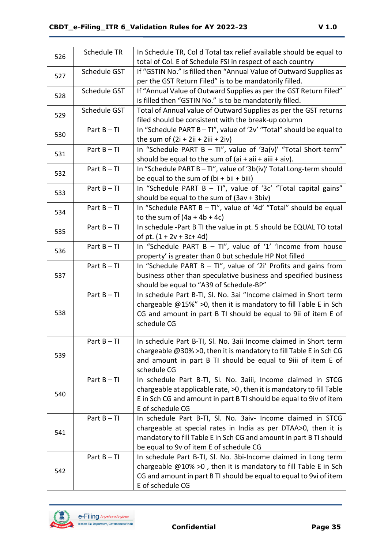| 526 | Schedule TR   | In Schedule TR, Col d Total tax relief available should be equal to         |
|-----|---------------|-----------------------------------------------------------------------------|
|     |               | total of Col. E of Schedule FSI in respect of each country                  |
| 527 | Schedule GST  | If "GSTIN No." is filled then "Annual Value of Outward Supplies as          |
|     |               | per the GST Return Filed" is to be mandatorily filled.                      |
|     | Schedule GST  | If "Annual Value of Outward Supplies as per the GST Return Filed"           |
| 528 |               | is filled then "GSTIN No." is to be mandatorily filled.                     |
|     | Schedule GST  | Total of Annual value of Outward Supplies as per the GST returns            |
| 529 |               | filed should be consistent with the break-up column                         |
|     | Part $B - TI$ | In "Schedule PART B - TI", value of '2v' "Total" should be equal to         |
| 530 |               | the sum of $(2i + 2ii + 2iii + 2iv)$                                        |
|     | Part $B - TI$ | In "Schedule PART B - TI", value of '3a(v)' "Total Short-term"              |
| 531 |               | should be equal to the sum of $(ai + aii + aiii + aiv)$ .                   |
|     | Part $B - TI$ | In "Schedule PART B - TI", value of '3b(iv)' Total Long-term should         |
| 532 |               | be equal to the sum of $(bi + bi + biii)$                                   |
|     | Part $B - TI$ | In "Schedule PART B - TI", value of '3c' "Total capital gains"              |
| 533 |               | should be equal to the sum of (3av + 3biv)                                  |
|     | Part $B - TI$ | In "Schedule PART B - TI", value of '4d' "Total" should be equal            |
| 534 |               | to the sum of $(4a + 4b + 4c)$                                              |
|     | Part $B - TI$ | In schedule -Part B TI the value in pt. 5 should be EQUAL TO total          |
| 535 |               | of pt. $(1 + 2v + 3c + 4d)$                                                 |
| 536 | Part $B - TI$ | In "Schedule PART B - TI", value of '1' 'Income from house                  |
|     |               | property' is greater than 0 but schedule HP Not filled                      |
|     | Part $B - TI$ | In "Schedule PART B $-$ TI", value of '2i' Profits and gains from           |
| 537 |               | business other than speculative business and specified business             |
|     |               | should be equal to "A39 of Schedule-BP"                                     |
|     | Part $B - TI$ | In schedule Part B-TI, Sl. No. 3ai "Income claimed in Short term            |
|     |               | chargeable @15%" > 0, then it is mandatory to fill Table E in Sch           |
| 538 |               | CG and amount in part B TI should be equal to 9ii of item E of              |
|     |               | schedule CG                                                                 |
|     |               |                                                                             |
|     | Part $B - TI$ | In schedule Part B-TI, Sl. No. 3aii Income claimed in Short term            |
| 539 |               | chargeable @30% > 0, then it is mandatory to fill Table E in Sch CG         |
|     |               | and amount in part B TI should be equal to 9iii of item E of<br>schedule CG |
|     | Part $B - TI$ | In schedule Part B-TI, Sl. No. 3aiii, Income claimed in STCG                |
|     |               | chargeable at applicable rate, >0, then it is mandatory to fill Table       |
| 540 |               | E in Sch CG and amount in part B TI should be equal to 9iv of item          |
|     |               | E of schedule CG                                                            |
|     | Part $B - TI$ | In schedule Part B-TI, Sl. No. 3aiv- Income claimed in STCG                 |
|     |               | chargeable at special rates in India as per DTAA>0, then it is              |
| 541 |               | mandatory to fill Table E in Sch CG and amount in part B TI should          |
|     |               | be equal to 9v of item E of schedule CG                                     |
|     | Part $B - TI$ | In schedule Part B-TI, Sl. No. 3bi-Income claimed in Long term              |
|     |               | chargeable $@10\% >0$ , then it is mandatory to fill Table E in Sch         |
| 542 |               | CG and amount in part B TI should be equal to equal to 9vi of item          |
|     |               | E of schedule CG                                                            |

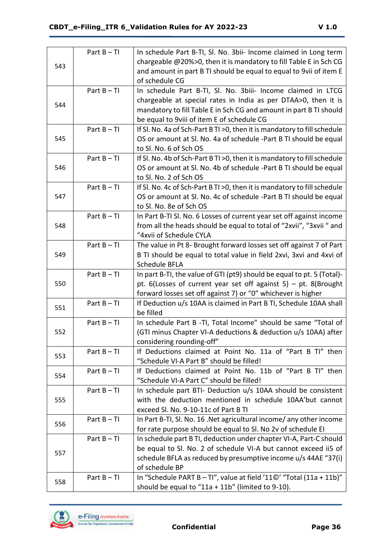|     | Part $B - TI$ | In schedule Part B-TI, Sl. No. 3bii- Income claimed in Long term          |
|-----|---------------|---------------------------------------------------------------------------|
|     |               | chargeable @20%>0, then it is mandatory to fill Table E in Sch CG         |
| 543 |               | and amount in part B TI should be equal to equal to 9vii of item E        |
|     |               | of schedule CG                                                            |
|     | Part $B - TI$ | In schedule Part B-TI, Sl. No. 3biii- Income claimed in LTCG              |
|     |               | chargeable at special rates in India as per DTAA>0, then it is            |
| 544 |               | mandatory to fill Table E in Sch CG and amount in part B TI should        |
|     |               | be equal to 9viii of item E of schedule CG                                |
|     | Part $B - TI$ | If SI. No. 4a of Sch-Part B TI > 0, then it is mandatory to fill schedule |
| 545 |               | OS or amount at Sl. No. 4a of schedule -Part B TI should be equal         |
|     |               | to Sl. No. 6 of Sch OS                                                    |
|     | Part $B - TI$ | If SI. No. 4b of Sch-Part B TI > 0, then it is mandatory to fill schedule |
| 546 |               | OS or amount at Sl. No. 4b of schedule -Part B TI should be equal         |
|     |               | to Sl. No. 2 of Sch OS                                                    |
|     | Part $B - TI$ | If SI. No. 4c of Sch-Part B TI > 0, then it is mandatory to fill schedule |
| 547 |               | OS or amount at Sl. No. 4c of schedule -Part B TI should be equal         |
|     |               | to Sl. No. 8e of Sch OS                                                   |
|     | Part $B - TI$ | In Part B-TI SI. No. 6 Losses of current year set off against income      |
| 548 |               | from all the heads should be equal to total of "2xvii", "3xvii" and       |
|     |               | "4xvii of Schedule CYLA                                                   |
|     | Part $B - TI$ | The value in Pt 8- Brought forward losses set off against 7 of Part       |
| 549 |               | B TI should be equal to total value in field 2xvi, 3xvi and 4xvi of       |
|     |               | Schedule BFLA                                                             |
|     | Part $B - TI$ | In part B-TI, the value of GTI (pt9) should be equal to pt. 5 (Total)-    |
| 550 |               | pt. $6$ (Losses of current year set off against 5) – pt. 8(Brought        |
|     |               | forward losses set off against 7) or "0" whichever is higher              |
|     | Part $B - TI$ | If Deduction u/s 10AA is claimed in Part B TI, Schedule 10AA shall        |
| 551 |               | be filled                                                                 |
|     | Part $B - TI$ | In schedule Part B -TI, Total Income" should be same "Total of            |
| 552 |               |                                                                           |
|     |               | (GTI minus Chapter VI-A deductions & deduction u/s 10AA) after            |
|     |               | considering rounding-off"                                                 |
|     | Part $B - TI$ | If Deductions claimed at Point No. 11a of "Part B TI" then                |
| 553 |               | "Schedule VI-A Part B" should be filled!                                  |
|     | Part $B - TI$ | If Deductions claimed at Point No. 11b of "Part B TI" then                |
| 554 |               | "Schedule VI-A Part C" should be filled!                                  |
|     | Part $B - TI$ | In schedule part BTI- Deduction u/s 10AA should be consistent             |
| 555 |               | with the deduction mentioned in schedule 10AA'but cannot                  |
|     |               | exceed Sl. No. 9-10-11c of Part B TI                                      |
|     | Part $B - TI$ | In Part B-TI, Sl. No. 16. Net agricultural income/ any other income       |
| 556 |               | for rate purpose should be equal to SI. No 2v of schedule EI              |
|     | Part $B - TI$ | In schedule part B TI, deduction under chapter VI-A, Part-C should        |
|     |               | be equal to Sl. No. 2 of schedule VI-A but cannot exceed ii5 of           |
| 557 |               | schedule BFLA as reduced by presumptive income u/s 44AE "37(i)            |
|     |               | of schedule BP                                                            |
| 558 | Part $B - TI$ | In "Schedule PART B - TI", value at field '110' "Total (11a + 11b)"       |

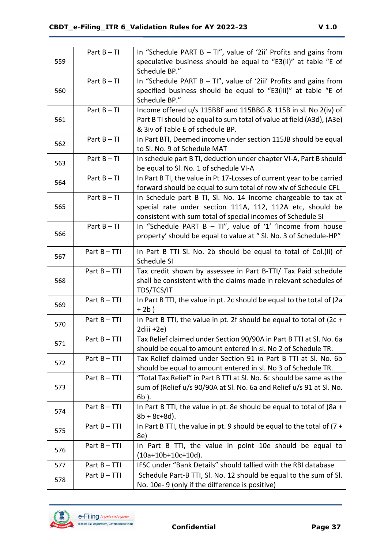|     | Part $B - TI$ | In "Schedule PART B $-$ TI", value of '2ii' Profits and gains from                                                                    |
|-----|---------------|---------------------------------------------------------------------------------------------------------------------------------------|
| 559 |               | speculative business should be equal to "E3(ii)" at table "E of                                                                       |
|     |               | Schedule BP."                                                                                                                         |
|     | Part $B - TI$ | In "Schedule PART B $-$ TI", value of '2iii' Profits and gains from                                                                   |
| 560 |               | specified business should be equal to "E3(iii)" at table "E of                                                                        |
|     |               | Schedule BP."                                                                                                                         |
|     | Part $B - TI$ | Income offered u/s 115BBF and 115BBG & 115B in sl. No 2(iv) of                                                                        |
| 561 |               | Part B TI should be equal to sum total of value at field (A3d), (A3e)                                                                 |
|     |               | & 3iv of Table E of schedule BP.                                                                                                      |
|     | Part $B - TI$ | In Part BTI, Deemed income under section 115JB should be equal                                                                        |
| 562 |               | to Sl. No. 9 of Schedule MAT                                                                                                          |
|     | Part $B - TI$ | In schedule part B TI, deduction under chapter VI-A, Part B should                                                                    |
| 563 |               | be equal to Sl. No. 1 of schedule VI-A                                                                                                |
|     | Part $B - TI$ | In Part B TI, the value in Pt 17-Losses of current year to be carried                                                                 |
| 564 |               | forward should be equal to sum total of row xiv of Schedule CFL                                                                       |
|     | Part $B - TI$ | In Schedule part B TI, Sl. No. 14 Income chargeable to tax at                                                                         |
| 565 |               | special rate under section 111A, 112, 112A etc, should be                                                                             |
|     |               | consistent with sum total of special incomes of Schedule SI                                                                           |
|     | Part $B - TI$ | In "Schedule PART B - TI", value of '1' 'Income from house                                                                            |
| 566 |               | property' should be equal to value at " SI. No. 3 of Schedule-HP"                                                                     |
|     |               |                                                                                                                                       |
| 567 | Part B-TTI    | In Part B TTI SI. No. 2b should be equal to total of Col.(ii) of                                                                      |
|     |               | Schedule SI                                                                                                                           |
|     | Part B-TTI    | Tax credit shown by assessee in Part B-TTI/ Tax Paid schedule                                                                         |
| 568 |               | shall be consistent with the claims made in relevant schedules of                                                                     |
|     |               | TDS/TCS/IT                                                                                                                            |
| 569 | Part B-TTI    | In Part B TTI, the value in pt. 2c should be equal to the total of (2a                                                                |
|     |               | $+2b)$                                                                                                                                |
| 570 | Part B-TTI    | In Part B TTI, the value in pt. 2f should be equal to total of (2c +                                                                  |
|     |               | 2diii +2e)                                                                                                                            |
| 571 | Part B - TTI  | Tax Relief claimed under Section 90/90A in Part B TTI at Sl. No. 6a                                                                   |
|     |               | should be equal to amount entered in sl. No 2 of Schedule TR.<br>Tax Relief claimed under Section 91 in Part B TTI at Sl. No. 6b      |
| 572 | Part B-TTI    |                                                                                                                                       |
|     | Part B-TTI    | should be equal to amount entered in sl. No 3 of Schedule TR.<br>"Total Tax Relief" in Part B TTI at SI. No. 6c should be same as the |
| 573 |               |                                                                                                                                       |
|     |               | sum of (Relief u/s 90/90A at Sl. No. 6a and Relief u/s 91 at Sl. No.                                                                  |
|     | Part B-TTI    | $6b$ ).<br>In Part B TTI, the value in pt. 8e should be equal to total of (8a +                                                       |
| 574 |               | $8b + 8c + 8d$ ).                                                                                                                     |
|     | Part B-TTI    | In Part B TTI, the value in pt. 9 should be equal to the total of $(7 +$                                                              |
| 575 |               | 8e)                                                                                                                                   |
|     |               |                                                                                                                                       |
| 576 | Part B-TTI    | In Part B TTI, the value in point 10e should be equal to<br>$(10a+10b+10c+10d)$ .                                                     |
| 577 | Part B-TTI    | IFSC under "Bank Details" should tallied with the RBI database                                                                        |
|     |               |                                                                                                                                       |
| 578 | Part B-TTI    | Schedule Part-B TTI, Sl. No. 12 should be equal to the sum of Sl.                                                                     |
|     |               | No. 10e-9 (only if the difference is positive)                                                                                        |

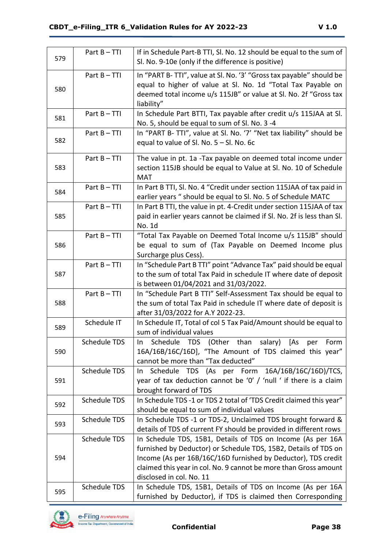| 579 | Part B-TTI          | If in Schedule Part-B TTI, Sl. No. 12 should be equal to the sum of<br>Sl. No. 9-10e (only if the difference is positive)                                                                                                                                                                       |  |  |
|-----|---------------------|-------------------------------------------------------------------------------------------------------------------------------------------------------------------------------------------------------------------------------------------------------------------------------------------------|--|--|
| 580 | Part B-TTI          | In "PART B-TTI", value at Sl. No. '3' "Gross tax payable" should be<br>equal to higher of value at Sl. No. 1d "Total Tax Payable on<br>deemed total income u/s 115JB" or value at Sl. No. 2f "Gross tax<br>liability"                                                                           |  |  |
| 581 | Part B-TTI          | In Schedule Part BTTI, Tax payable after credit u/s 115JAA at Sl.<br>No. 5, should be equal to sum of Sl. No. 3 -4                                                                                                                                                                              |  |  |
| 582 | Part B-TTI          | In "PART B- TTI", value at Sl. No. '7' "Net tax liability" should be<br>equal to value of Sl. No. $5 - SI$ . No. 6c                                                                                                                                                                             |  |  |
| 583 | Part B-TTI          | The value in pt. 1a -Tax payable on deemed total income under<br>section 115JB should be equal to Value at Sl. No. 10 of Schedule<br><b>MAT</b>                                                                                                                                                 |  |  |
| 584 | Part B-TTI          | In Part B TTI, Sl. No. 4 "Credit under section 115JAA of tax paid in<br>earlier years " should be equal to Sl. No. 5 of Schedule MATC                                                                                                                                                           |  |  |
| 585 | Part B-TTI          | In Part B TTI, the value in pt. 4-Credit under section 115JAA of tax<br>paid in earlier years cannot be claimed if Sl. No. 2f is less than Sl.<br>No. 1d                                                                                                                                        |  |  |
| 586 | Part B-TTI          | "Total Tax Payable on Deemed Total Income u/s 115JB" should<br>be equal to sum of (Tax Payable on Deemed Income plus<br>Surcharge plus Cess).                                                                                                                                                   |  |  |
| 587 | Part B-TTI          | In "Schedule Part B TTI" point "Advance Tax" paid should be equal<br>to the sum of total Tax Paid in schedule IT where date of deposit<br>is between 01/04/2021 and 31/03/2022.                                                                                                                 |  |  |
| 588 | Part B-TTI          | In "Schedule Part B TTI" Self-Assessment Tax should be equal to<br>the sum of total Tax Paid in schedule IT where date of deposit is<br>after 31/03/2022 for A.Y 2022-23.                                                                                                                       |  |  |
| 589 | Schedule IT         | In Schedule IT, Total of col 5 Tax Paid/Amount should be equal to<br>sum of individual values                                                                                                                                                                                                   |  |  |
| 590 | Schedule TDS        | Schedule TDS (Other than salary) [As<br>per<br>Form<br>In.<br>16A/16B/16C/16D], "The Amount of TDS claimed this year"<br>cannot be more than "Tax deducted"                                                                                                                                     |  |  |
| 591 | <b>Schedule TDS</b> | Schedule TDS (As per Form 16A/16B/16C/16D)/TCS,<br>In In<br>year of tax deduction cannot be '0' / 'null ' if there is a claim<br>brought forward of TDS                                                                                                                                         |  |  |
| 592 | <b>Schedule TDS</b> | In Schedule TDS -1 or TDS 2 total of 'TDS Credit claimed this year"<br>should be equal to sum of individual values                                                                                                                                                                              |  |  |
| 593 | Schedule TDS        | In Schedule TDS -1 or TDS-2, Unclaimed TDS brought forward &<br>details of TDS of current FY should be provided in different rows                                                                                                                                                               |  |  |
| 594 | Schedule TDS        | In Schedule TDS, 15B1, Details of TDS on Income (As per 16A<br>furnished by Deductor) or Schedule TDS, 15B2, Details of TDS on<br>Income (As per 16B/16C/16D furnished by Deductor), TDS credit<br>claimed this year in col. No. 9 cannot be more than Gross amount<br>disclosed in col. No. 11 |  |  |
| 595 | Schedule TDS        | In Schedule TDS, 15B1, Details of TDS on Income (As per 16A<br>furnished by Deductor), if TDS is claimed then Corresponding                                                                                                                                                                     |  |  |

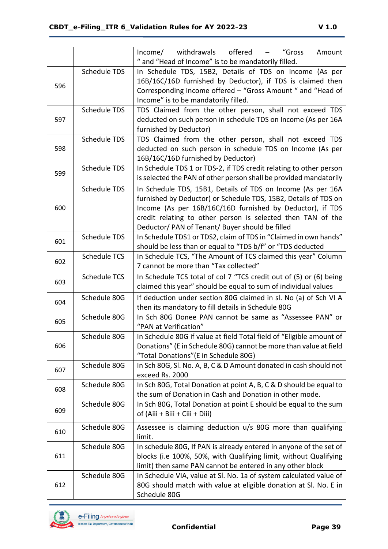|     |                     | Income/ withdrawals offered -<br>"Gross<br>Amount                    |  |  |  |  |
|-----|---------------------|----------------------------------------------------------------------|--|--|--|--|
|     |                     | " and "Head of Income" is to be mandatorily filled.                  |  |  |  |  |
|     | <b>Schedule TDS</b> | In Schedule TDS, 15B2, Details of TDS on Income (As per              |  |  |  |  |
| 596 |                     | 16B/16C/16D furnished by Deductor), if TDS is claimed then           |  |  |  |  |
|     |                     | Corresponding Income offered - "Gross Amount " and "Head of          |  |  |  |  |
|     |                     | Income" is to be mandatorily filled.                                 |  |  |  |  |
|     | <b>Schedule TDS</b> | TDS Claimed from the other person, shall not exceed TDS              |  |  |  |  |
| 597 |                     | deducted on such person in schedule TDS on Income (As per 16A        |  |  |  |  |
|     |                     | furnished by Deductor)                                               |  |  |  |  |
|     | <b>Schedule TDS</b> | TDS Claimed from the other person, shall not exceed TDS              |  |  |  |  |
| 598 |                     | deducted on such person in schedule TDS on Income (As per            |  |  |  |  |
|     |                     | 16B/16C/16D furnished by Deductor)                                   |  |  |  |  |
| 599 | <b>Schedule TDS</b> | In Schedule TDS 1 or TDS-2, if TDS credit relating to other person   |  |  |  |  |
|     |                     | is selected the PAN of other person shall be provided mandatorily    |  |  |  |  |
|     | Schedule TDS        | In Schedule TDS, 15B1, Details of TDS on Income (As per 16A          |  |  |  |  |
|     |                     | furnished by Deductor) or Schedule TDS, 15B2, Details of TDS on      |  |  |  |  |
| 600 |                     | Income (As per 16B/16C/16D furnished by Deductor), if TDS            |  |  |  |  |
|     |                     | credit relating to other person is selected then TAN of the          |  |  |  |  |
|     |                     | Deductor/ PAN of Tenant/ Buyer should be filled                      |  |  |  |  |
| 601 | <b>Schedule TDS</b> | In Schedule TDS1 or TDS2, claim of TDS in "Claimed in own hands"     |  |  |  |  |
|     |                     | should be less than or equal to "TDS b/f" or "TDS deducted           |  |  |  |  |
| 602 | <b>Schedule TCS</b> | In Schedule TCS, "The Amount of TCS claimed this year" Column        |  |  |  |  |
|     |                     | 7 cannot be more than "Tax collected"                                |  |  |  |  |
| 603 | <b>Schedule TCS</b> | In Schedule TCS total of col 7 "TCS credit out of (5) or (6) being   |  |  |  |  |
|     |                     | claimed this year" should be equal to sum of individual values       |  |  |  |  |
| 604 | Schedule 80G        | If deduction under section 80G claimed in sl. No (a) of Sch VI A     |  |  |  |  |
|     |                     | then its mandatory to fill details in Schedule 80G                   |  |  |  |  |
| 605 | Schedule 80G        | In Sch 80G Donee PAN cannot be same as "Assessee PAN" or             |  |  |  |  |
|     |                     | "PAN at Verification"                                                |  |  |  |  |
|     | Schedule 80G        | In Schedule 80G if value at field Total field of "Eligible amount of |  |  |  |  |
| 606 |                     | Donations" (E in Schedule 80G) cannot be more than value at field    |  |  |  |  |
|     |                     | "Total Donations" (E in Schedule 80G)                                |  |  |  |  |
| 607 | Schedule 80G        | In Sch 80G, Sl. No. A, B, C & D Amount donated in cash should not    |  |  |  |  |
|     |                     | exceed Rs. 2000                                                      |  |  |  |  |
| 608 | Schedule 80G        | In Sch 80G, Total Donation at point A, B, C & D should be equal to   |  |  |  |  |
|     |                     | the sum of Donation in Cash and Donation in other mode.              |  |  |  |  |
| 609 | Schedule 80G        | In Sch 80G, Total Donation at point E should be equal to the sum     |  |  |  |  |
|     |                     | of (Aiii + Biii + Ciii + Diii)                                       |  |  |  |  |
| 610 | Schedule 80G        | Assessee is claiming deduction u/s 80G more than qualifying          |  |  |  |  |
|     |                     | limit.                                                               |  |  |  |  |
|     | Schedule 80G        | In schedule 80G, If PAN is already entered in anyone of the set of   |  |  |  |  |
| 611 |                     | blocks (i.e 100%, 50%, with Qualifying limit, without Qualifying     |  |  |  |  |
|     |                     | limit) then same PAN cannot be entered in any other block            |  |  |  |  |
|     | Schedule 80G        | In Schedule VIA, value at SI. No. 1a of system calculated value of   |  |  |  |  |
| 612 |                     | 80G should match with value at eligible donation at Sl. No. E in     |  |  |  |  |
|     |                     | Schedule 80G                                                         |  |  |  |  |

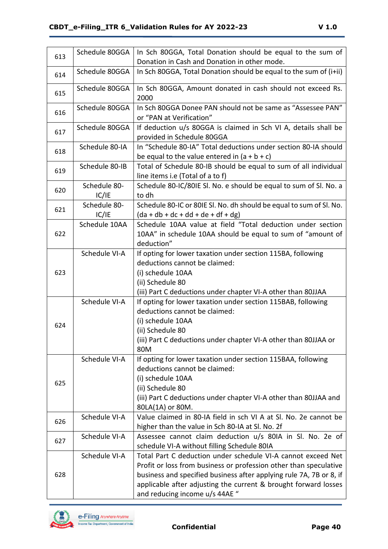| 613 | Schedule 80GGA        | In Sch 80GGA, Total Donation should be equal to the sum of                                                                                                                                                                                                                                                    |  |  |  |
|-----|-----------------------|---------------------------------------------------------------------------------------------------------------------------------------------------------------------------------------------------------------------------------------------------------------------------------------------------------------|--|--|--|
|     |                       | Donation in Cash and Donation in other mode.                                                                                                                                                                                                                                                                  |  |  |  |
| 614 | Schedule 80GGA        | In Sch 80GGA, Total Donation should be equal to the sum of (i+ii)                                                                                                                                                                                                                                             |  |  |  |
| 615 | Schedule 80GGA        | In Sch 80GGA, Amount donated in cash should not exceed Rs.<br>2000                                                                                                                                                                                                                                            |  |  |  |
| 616 | Schedule 80GGA        | In Sch 80GGA Donee PAN should not be same as "Assessee PAN"<br>or "PAN at Verification"                                                                                                                                                                                                                       |  |  |  |
| 617 | Schedule 80GGA        | If deduction u/s 80GGA is claimed in Sch VI A, details shall be<br>provided in Schedule 80GGA                                                                                                                                                                                                                 |  |  |  |
| 618 | Schedule 80-IA        | In "Schedule 80-IA" Total deductions under section 80-IA should<br>be equal to the value entered in $(a + b + c)$                                                                                                                                                                                             |  |  |  |
| 619 | Schedule 80-IB        | Total of Schedule 80-IB should be equal to sum of all individual<br>line items i.e (Total of a to f)                                                                                                                                                                                                          |  |  |  |
| 620 | Schedule 80-<br>IC/IE | Schedule 80-IC/80IE Sl. No. e should be equal to sum of Sl. No. a<br>to dh                                                                                                                                                                                                                                    |  |  |  |
| 621 | Schedule 80-<br>IC/IE | Schedule 80-IC or 80IE SI. No. dh should be equal to sum of SI. No.<br>$(da + db + dc + dd + de + df + dg)$                                                                                                                                                                                                   |  |  |  |
| 622 | Schedule 10AA         | Schedule 10AA value at field "Total deduction under section<br>10AA" in schedule 10AA should be equal to sum of "amount of<br>deduction"                                                                                                                                                                      |  |  |  |
| 623 | Schedule VI-A         | If opting for lower taxation under section 115BA, following<br>deductions cannot be claimed:<br>(i) schedule 10AA<br>(ii) Schedule 80<br>(iii) Part C deductions under chapter VI-A other than 80JJAA                                                                                                         |  |  |  |
| 624 | Schedule VI-A         | If opting for lower taxation under section 115BAB, following<br>deductions cannot be claimed:<br>(i) schedule 10AA<br>(ii) Schedule 80<br>(iii) Part C deductions under chapter VI-A other than 80JJAA or<br>80M                                                                                              |  |  |  |
| 625 | Schedule VI-A         | If opting for lower taxation under section 115BAA, following<br>deductions cannot be claimed:<br>(i) schedule 10AA<br>(ii) Schedule 80<br>(iii) Part C deductions under chapter VI-A other than 80JJAA and<br>80LA(1A) or 80M.                                                                                |  |  |  |
| 626 | Schedule VI-A         | Value claimed in 80-IA field in sch VI A at SI. No. 2e cannot be<br>higher than the value in Sch 80-IA at Sl. No. 2f                                                                                                                                                                                          |  |  |  |
| 627 | Schedule VI-A         | Assessee cannot claim deduction u/s 80IA in Sl. No. 2e of<br>schedule VI-A without filling Schedule 80IA                                                                                                                                                                                                      |  |  |  |
| 628 | Schedule VI-A         | Total Part C deduction under schedule VI-A cannot exceed Net<br>Profit or loss from business or profession other than speculative<br>business and specified business after applying rule 7A, 7B or 8, if<br>applicable after adjusting the current & brought forward losses<br>and reducing income u/s 44AE " |  |  |  |

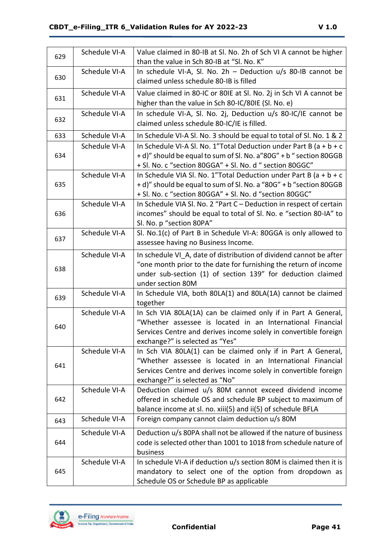| 629 | Schedule VI-A | Value claimed in 80-IB at Sl. No. 2h of Sch VI A cannot be higher<br>than the value in Sch 80-IB at "SI. No. K"                                                                                                                    |  |  |
|-----|---------------|------------------------------------------------------------------------------------------------------------------------------------------------------------------------------------------------------------------------------------|--|--|
| 630 | Schedule VI-A | In schedule VI-A, SI. No. $2h$ – Deduction $u/s$ 80-IB cannot be<br>claimed unless schedule 80-IB is filled                                                                                                                        |  |  |
| 631 | Schedule VI-A | Value claimed in 80-IC or 80IE at Sl. No. 2j in Sch VI A cannot be<br>higher than the value in Sch 80-IC/80IE (Sl. No. e)                                                                                                          |  |  |
| 632 | Schedule VI-A | In schedule VI-A, Sl. No. 2j, Deduction u/s 80-IC/IE cannot be<br>claimed unless schedule 80-IC/IE is filled.                                                                                                                      |  |  |
| 633 | Schedule VI-A | In Schedule VI-A SI. No. 3 should be equal to total of SI. No. 1 & 2                                                                                                                                                               |  |  |
| 634 | Schedule VI-A | In Schedule VI-A SI. No. 1"Total Deduction under Part B ( $a + b + c$<br>+ d)" should be equal to sum of Sl. No. a"80G" + b " section 80GGB<br>+ Sl. No. c "section 80GGA" + Sl. No. d " section 80GGC"                            |  |  |
| 635 | Schedule VI-A | In Schedule VIA SI. No. 1"Total Deduction under Part B ( $a + b + c$<br>+ d)" should be equal to sum of Sl. No. a "80G" + b "section 80GGB<br>+ Sl. No. c "section 80GGA" + Sl. No. d "section 80GGC"                              |  |  |
| 636 | Schedule VI-A | In Schedule VIA SI. No. 2 "Part C - Deduction in respect of certain<br>incomes" should be equal to total of Sl. No. e "section 80-IA" to<br>Sl. No. p "section 80PA"                                                               |  |  |
| 637 | Schedule VI-A | Sl. No.1(c) of Part B in Schedule VI-A: 80GGA is only allowed to<br>assessee having no Business Income.                                                                                                                            |  |  |
| 638 | Schedule VI-A | In schedule VI A, date of distribution of dividend cannot be after<br>"one month prior to the date for furnishing the return of income<br>under sub-section (1) of section 139" for deduction claimed<br>under section 80M         |  |  |
| 639 | Schedule VI-A | In Schedule VIA, both 80LA(1) and 80LA(1A) cannot be claimed<br>together                                                                                                                                                           |  |  |
| 640 | Schedule VI-A | In Sch VIA 80LA(1A) can be claimed only if in Part A General,<br>"Whether assessee is located in an International Financial<br>Services Centre and derives income solely in convertible foreign<br>exchange?" is selected as "Yes" |  |  |
| 641 | Schedule VI-A | In Sch VIA 80LA(1) can be claimed only if in Part A General,<br>"Whether assessee is located in an International Financial<br>Services Centre and derives income solely in convertible foreign<br>exchange?" is selected as "No"   |  |  |
| 642 | Schedule VI-A | Deduction claimed u/s 80M cannot exceed dividend income<br>offered in schedule OS and schedule BP subject to maximum of<br>balance income at sl. no. xiii(5) and ii(5) of schedule BFLA                                            |  |  |
| 643 | Schedule VI-A | Foreign company cannot claim deduction u/s 80M                                                                                                                                                                                     |  |  |
| 644 | Schedule VI-A | Deduction u/s 80PA shall not be allowed if the nature of business<br>code is selected other than 1001 to 1018 from schedule nature of<br>business                                                                                  |  |  |
| 645 | Schedule VI-A | In schedule VI-A if deduction u/s section 80M is claimed then it is<br>mandatory to select one of the option from dropdown as<br>Schedule OS or Schedule BP as applicable                                                          |  |  |

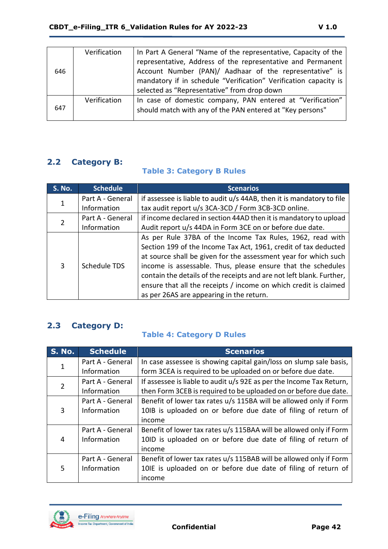| 646 | Verification | In Part A General "Name of the representative, Capacity of the   |
|-----|--------------|------------------------------------------------------------------|
|     |              | representative, Address of the representative and Permanent      |
|     |              | Account Number (PAN)/ Aadhaar of the representative" is          |
|     |              | mandatory if in schedule "Verification" Verification capacity is |
|     |              | selected as "Representative" from drop down                      |
|     | Verification | In case of domestic company, PAN entered at "Verification"       |
| 647 |              | should match with any of the PAN entered at "Key persons"        |
|     |              |                                                                  |

# <span id="page-41-0"></span>**2.2 Category B:**

#### **Table 3: Category B Rules**

| <b>S. No.</b> | <b>Schedule</b>  | <b>Scenarios</b>                                                      |  |  |
|---------------|------------------|-----------------------------------------------------------------------|--|--|
| 1             | Part A - General | if assessee is liable to audit u/s 44AB, then it is mandatory to file |  |  |
|               | Information      | tax audit report u/s 3CA-3CD / Form 3CB-3CD online.                   |  |  |
|               | Part A - General | if income declared in section 44AD then it is mandatory to upload     |  |  |
|               | Information      | Audit report u/s 44DA in Form 3CE on or before due date.              |  |  |
|               | Schedule TDS     | As per Rule 37BA of the Income Tax Rules, 1962, read with             |  |  |
|               |                  | Section 199 of the Income Tax Act, 1961, credit of tax deducted       |  |  |
|               |                  | at source shall be given for the assessment year for which such       |  |  |
| 3             |                  | income is assessable. Thus, please ensure that the schedules          |  |  |
|               |                  | contain the details of the receipts and are not left blank. Further,  |  |  |
|               |                  | ensure that all the receipts / income on which credit is claimed      |  |  |
|               |                  | as per 26AS are appearing in the return.                              |  |  |

# <span id="page-41-1"></span>**2.3 Category D:**

### **Table 4: Category D Rules**

| <b>S. No.</b>  | <b>Schedule</b>  | <b>Scenarios</b>                                                     |  |  |  |
|----------------|------------------|----------------------------------------------------------------------|--|--|--|
|                | Part A - General | In case assessee is showing capital gain/loss on slump sale basis,   |  |  |  |
|                | Information      | form 3CEA is required to be uploaded on or before due date.          |  |  |  |
| $\overline{2}$ | Part A - General | If assessee is liable to audit u/s 92E as per the Income Tax Return, |  |  |  |
|                | Information      | then Form 3CEB is required to be uploaded on or before due date.     |  |  |  |
|                | Part A - General | Benefit of lower tax rates u/s 115BA will be allowed only if Form    |  |  |  |
| 3              | Information      | 10IB is uploaded on or before due date of filing of return of        |  |  |  |
|                |                  | income                                                               |  |  |  |
|                | Part A - General | Benefit of lower tax rates u/s 115BAA will be allowed only if Form   |  |  |  |
| 4              | Information      | 10ID is uploaded on or before due date of filing of return of        |  |  |  |
|                |                  | income                                                               |  |  |  |
|                | Part A - General | Benefit of lower tax rates u/s 115BAB will be allowed only if Form   |  |  |  |
| 5              | Information      | 10IE is uploaded on or before due date of filing of return of        |  |  |  |
|                |                  | income                                                               |  |  |  |

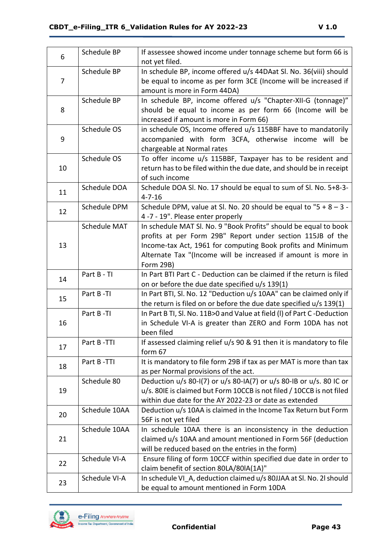| 6  | Schedule BP   | If assessee showed income under tonnage scheme but form 66 is<br>not yet filed.                                                      |  |  |
|----|---------------|--------------------------------------------------------------------------------------------------------------------------------------|--|--|
| 7  | Schedule BP   | In schedule BP, income offered u/s 44DAat Sl. No. 36(viii) should<br>be equal to income as per form 3CE (Income will be increased if |  |  |
|    |               | amount is more in Form 44DA)                                                                                                         |  |  |
|    | Schedule BP   | In schedule BP, income offered u/s "Chapter-XII-G (tonnage)"                                                                         |  |  |
| 8  |               | should be equal to income as per form 66 (Income will be                                                                             |  |  |
|    |               | increased if amount is more in Form 66)                                                                                              |  |  |
|    | Schedule OS   | in schedule OS, Income offered u/s 115BBF have to mandatorily                                                                        |  |  |
| 9  |               | accompanied with form 3CFA, otherwise income will be<br>chargeable at Normal rates                                                   |  |  |
|    | Schedule OS   | To offer income u/s 115BBF, Taxpayer has to be resident and                                                                          |  |  |
| 10 |               | return has to be filed within the due date, and should be in receipt                                                                 |  |  |
|    |               | of such income                                                                                                                       |  |  |
| 11 | Schedule DOA  | Schedule DOA Sl. No. 17 should be equal to sum of Sl. No. 5+8-3-                                                                     |  |  |
|    |               | $4 - 7 - 16$                                                                                                                         |  |  |
| 12 | Schedule DPM  | Schedule DPM, value at Sl. No. 20 should be equal to " $5 + 8 - 3 - 1$                                                               |  |  |
|    |               | 4 -7 - 19". Please enter properly                                                                                                    |  |  |
|    | Schedule MAT  | In schedule MAT SI. No. 9 "Book Profits" should be equal to book                                                                     |  |  |
| 13 |               | profits at per Form 29B" Report under section 115JB of the<br>Income-tax Act, 1961 for computing Book profits and Minimum            |  |  |
|    |               | Alternate Tax "(Income will be increased if amount is more in                                                                        |  |  |
|    |               | Form 29B)                                                                                                                            |  |  |
|    | Part B - TI   | In Part BTI Part C - Deduction can be claimed if the return is filed                                                                 |  |  |
| 14 |               | on or before the due date specified u/s 139(1)                                                                                       |  |  |
|    | Part B-TI     | In Part BTI, Sl. No. 12 "Deduction u/s 10AA" can be claimed only if                                                                  |  |  |
|    |               | the return is filed on or before the due date specified $u/s$ 139(1)                                                                 |  |  |
| 15 |               |                                                                                                                                      |  |  |
|    | Part B-TI     | In Part B TI, Sl. No. 11B>0 and Value at field (I) of Part C-Deduction                                                               |  |  |
| 16 |               | in Schedule VI-A is greater than ZERO and Form 10DA has not                                                                          |  |  |
|    |               | been filed                                                                                                                           |  |  |
| 17 | Part B-TTI    | If assessed claiming relief u/s 90 & 91 then it is mandatory to file                                                                 |  |  |
|    |               | form 67                                                                                                                              |  |  |
| 18 | Part B-TTI    | It is mandatory to file form 29B if tax as per MAT is more than tax                                                                  |  |  |
|    | Schedule 80   | as per Normal provisions of the act.<br>Deduction u/s 80-I(7) or u/s 80-IA(7) or u/s 80-IB or u/s. 80 IC or                          |  |  |
| 19 |               | u/s. 80IE is claimed but Form 10CCB is not filed / 10CCB is not filed                                                                |  |  |
|    |               | within due date for the AY 2022-23 or date as extended                                                                               |  |  |
|    | Schedule 10AA | Deduction u/s 10AA is claimed in the Income Tax Return but Form                                                                      |  |  |
| 20 |               | 56F is not yet filed                                                                                                                 |  |  |
|    | Schedule 10AA | In schedule 10AA there is an inconsistency in the deduction                                                                          |  |  |
| 21 |               | claimed u/s 10AA and amount mentioned in Form 56F (deduction                                                                         |  |  |
|    |               | will be reduced based on the entries in the form)                                                                                    |  |  |
| 22 | Schedule VI-A | Ensure filing of form 10CCF within specified due date in order to                                                                    |  |  |
| 23 | Schedule VI-A | claim benefit of section 80LA/80lA(1A)"<br>In schedule VI A, deduction claimed u/s 80JJAA at SI. No. 2l should                       |  |  |

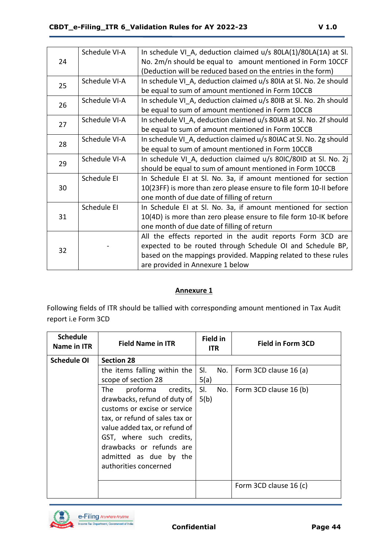|    | Schedule VI-A | In schedule VI A, deduction claimed u/s 80LA(1)/80LA(1A) at SI.    |  |  |  |
|----|---------------|--------------------------------------------------------------------|--|--|--|
| 24 |               | No. 2m/n should be equal to amount mentioned in Form 10CCF         |  |  |  |
|    |               | (Deduction will be reduced based on the entries in the form)       |  |  |  |
| 25 | Schedule VI-A | In schedule VI_A, deduction claimed u/s 80IA at Sl. No. 2e should  |  |  |  |
|    |               | be equal to sum of amount mentioned in Form 10CCB                  |  |  |  |
| 26 | Schedule VI-A | In schedule VI_A, deduction claimed u/s 80IB at Sl. No. 2h should  |  |  |  |
|    |               | be equal to sum of amount mentioned in Form 10CCB                  |  |  |  |
| 27 | Schedule VI-A | In schedule VI_A, deduction claimed u/s 80IAB at SI. No. 2f should |  |  |  |
|    |               | be equal to sum of amount mentioned in Form 10CCB                  |  |  |  |
| 28 | Schedule VI-A | In schedule VI A, deduction claimed u/s 80IAC at SI. No. 2g should |  |  |  |
|    |               | be equal to sum of amount mentioned in Form 10CCB                  |  |  |  |
| 29 | Schedule VI-A | In schedule VI A, deduction claimed u/s 80IC/80ID at Sl. No. 2j    |  |  |  |
|    |               | should be equal to sum of amount mentioned in Form 10CCB           |  |  |  |
|    | Schedule EI   | In Schedule EI at SI. No. 3a, if amount mentioned for section      |  |  |  |
| 30 |               | 10(23FF) is more than zero please ensure to file form 10-II before |  |  |  |
|    |               | one month of due date of filling of return                         |  |  |  |
|    | Schedule EI   | In Schedule EI at SI. No. 3a, if amount mentioned for section      |  |  |  |
| 31 |               | 10(4D) is more than zero please ensure to file form 10-IK before   |  |  |  |
|    |               | one month of due date of filling of return                         |  |  |  |
|    |               | All the effects reported in the audit reports Form 3CD are         |  |  |  |
|    |               | expected to be routed through Schedule OI and Schedule BP,         |  |  |  |
| 32 |               | based on the mappings provided. Mapping related to these rules     |  |  |  |
|    |               | are provided in Annexure 1 below                                   |  |  |  |

#### **Annexure 1**

Following fields of ITR should be tallied with corresponding amount mentioned in Tax Audit report i.e Form 3CD

| <b>Schedule</b><br>Name in ITR          | <b>Field Name in ITR</b>       | <b>Field in</b><br><b>ITR</b> | <b>Field in Form 3CD</b>      |
|-----------------------------------------|--------------------------------|-------------------------------|-------------------------------|
| <b>Schedule OI</b><br><b>Section 28</b> |                                |                               |                               |
|                                         | the items falling within the   | SI.                           | No.<br>Form 3CD clause 16 (a) |
|                                         | scope of section 28            | 5(a)                          |                               |
|                                         | proforma credits,<br>The       | SI.                           | No.<br>Form 3CD clause 16 (b) |
|                                         | drawbacks, refund of duty of   | 5(b)                          |                               |
|                                         | customs or excise or service   |                               |                               |
|                                         | tax, or refund of sales tax or |                               |                               |
|                                         | value added tax, or refund of  |                               |                               |
|                                         | GST, where such credits,       |                               |                               |
|                                         | drawbacks or refunds are       |                               |                               |
|                                         | admitted as due by the         |                               |                               |
|                                         | authorities concerned          |                               |                               |
|                                         |                                |                               |                               |
|                                         |                                |                               | Form 3CD clause 16 (c)        |
|                                         |                                |                               |                               |

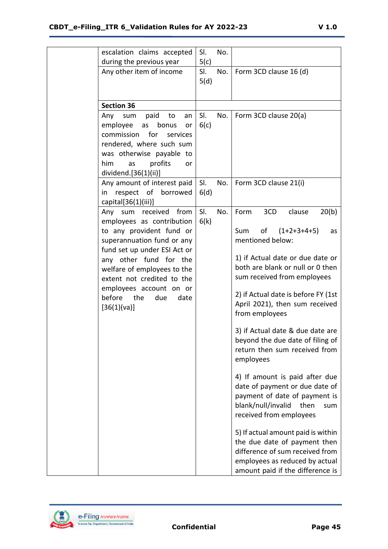| escalation claims accepted                                     | SI.         | No. |                                     |
|----------------------------------------------------------------|-------------|-----|-------------------------------------|
| during the previous year                                       | 5(c)        |     |                                     |
| Any other item of income                                       | SI.<br>5(d) | No. | Form 3CD clause 16 (d)              |
|                                                                |             |     |                                     |
|                                                                |             |     |                                     |
| <b>Section 36</b>                                              |             |     |                                     |
| sum<br>paid<br>Any<br>to<br>an                                 | SI.         | No. | Form 3CD clause 20(a)               |
| employee<br>as<br>bonus<br>or<br>for<br>commission<br>services | 6(c)        |     |                                     |
| rendered, where such sum                                       |             |     |                                     |
| was otherwise payable to                                       |             |     |                                     |
| him<br>profits<br>as<br>or                                     |             |     |                                     |
| dividend.[36(1)(ii)]                                           |             |     |                                     |
| Any amount of interest paid                                    | SI.         | No. | Form 3CD clause 21(i)               |
| respect of borrowed<br>in                                      | 6(d)        |     |                                     |
| capital $[36(1)(iii)]$                                         |             |     |                                     |
| Any sum received from                                          | SI.         | No. | 3CD<br>20(b)<br>Form<br>clause      |
| employees as contribution<br>to any provident fund or          | 6(k)        |     | of $(1+2+3+4+5)$<br>Sum             |
| superannuation fund or any                                     |             |     | as<br>mentioned below:              |
| fund set up under ESI Act or                                   |             |     |                                     |
| any other fund for the                                         |             |     | 1) if Actual date or due date or    |
| welfare of employees to the                                    |             |     | both are blank or null or 0 then    |
| extent not credited to the                                     |             |     | sum received from employees         |
| employees account on or                                        |             |     | 2) if Actual date is before FY (1st |
| before the<br>due<br>date                                      |             |     | April 2021), then sum received      |
| [36(1)(va)]                                                    |             |     | from employees                      |
|                                                                |             |     |                                     |
|                                                                |             |     | 3) if Actual date & due date are    |
|                                                                |             |     | beyond the due date of filing of    |
|                                                                |             |     | return then sum received from       |
|                                                                |             |     | employees                           |
|                                                                |             |     | 4) If amount is paid after due      |
|                                                                |             |     | date of payment or due date of      |
|                                                                |             |     | payment of date of payment is       |
|                                                                |             |     | blank/null/invalid<br>then<br>sum   |
|                                                                |             |     | received from employees             |
|                                                                |             |     | 5) If actual amount paid is within  |
|                                                                |             |     | the due date of payment then        |
|                                                                |             |     | difference of sum received from     |
|                                                                |             |     | employees as reduced by actual      |
|                                                                |             |     | amount paid if the difference is    |



**Confidential Page 45**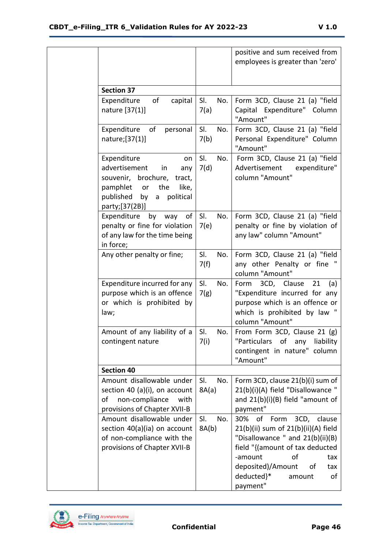|                                                                                                                                                                         |                     | positive and sum received from<br>employees is greater than 'zero'                                                                                                                                                                           |
|-------------------------------------------------------------------------------------------------------------------------------------------------------------------------|---------------------|----------------------------------------------------------------------------------------------------------------------------------------------------------------------------------------------------------------------------------------------|
| <b>Section 37</b>                                                                                                                                                       |                     |                                                                                                                                                                                                                                              |
| Expenditure<br>of<br>capital<br>nature [37(1)]                                                                                                                          | SI.<br>No.<br>7(a)  | Form 3CD, Clause 21 (a) "field<br>Capital Expenditure" Column<br>"Amount"                                                                                                                                                                    |
| of<br>Expenditure<br>personal<br>nature;[37(1)]                                                                                                                         | SI.<br>No.<br>7(b)  | Form 3CD, Clause 21 (a) "field<br>Personal Expenditure" Column<br>"Amount"                                                                                                                                                                   |
| Expenditure<br>on<br>advertisement<br>in<br>any<br>souvenir, brochure,<br>tract,<br>the<br>pamphlet<br>or<br>like,<br>published<br>political<br>by a<br>party; [37(2B)] | SI.<br>No.<br>7(d)  | Form 3CD, Clause 21 (a) "field<br>Advertisement<br>expenditure"<br>column "Amount"                                                                                                                                                           |
| Expenditure<br>by way<br>of<br>penalty or fine for violation<br>of any law for the time being<br>in force;                                                              | SI.<br>No.<br>7(e)  | Form 3CD, Clause 21 (a) "field<br>penalty or fine by violation of<br>any law" column "Amount"                                                                                                                                                |
| Any other penalty or fine;                                                                                                                                              | SI.<br>No.<br>7(f)  | Form 3CD, Clause 21 (a) "field<br>any other Penalty or fine "<br>column "Amount"                                                                                                                                                             |
| Expenditure incurred for any<br>purpose which is an offence<br>or which is prohibited by<br>law;                                                                        | SI.<br>No.<br>7(g)  | Form<br>3CD, Clause<br>21<br>(a)<br>"Expenditure incurred for any<br>purpose which is an offence or<br>which is prohibited by law "<br>column "Amount"                                                                                       |
| Amount of any liability of a<br>contingent nature                                                                                                                       | SI.<br>No.<br>7(i)  | From Form 3CD, Clause 21 (g)<br>"Particulars of any liability<br>contingent in nature" column<br>"Amount"                                                                                                                                    |
| <b>Section 40</b>                                                                                                                                                       |                     |                                                                                                                                                                                                                                              |
| Amount disallowable under<br>section 40 (a)(i), on account<br>of<br>non-compliance<br>with<br>provisions of Chapter XVII-B                                              | SI.<br>No.<br>8A(a) | Form 3CD, clause 21(b)(i) sum of<br>21(b)(i)(A) field "Disallowance "<br>and 21(b)(i)(B) field "amount of<br>payment"                                                                                                                        |
| Amount disallowable under<br>section 40(a)(ia) on account<br>of non-compliance with the<br>provisions of Chapter XVII-B                                                 | SI.<br>No.<br>8A(b) | 30% of Form<br>3CD, clause<br>21(b)(ii) sum of 21(b)(ii)(A) field<br>"Disallowance " and 21(b)(ii)(B)<br>field "{(amount of tax deducted<br>-amount<br>of<br>tax<br>deposited)/Amount<br>οf<br>tax<br>deducted}*<br>of<br>amount<br>payment" |

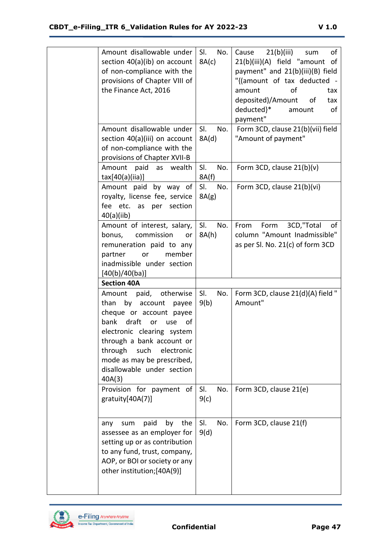of non-compliance with the

Amount disallowable under | SI. section 40(a)(ib) on account 8A(c)

No.

| Cause 21(b)(iii) sum<br>οf        |
|-----------------------------------|
| 21(b)(iii)(A) field "amount of    |
| payment" and 21(b)(iii)(B) field  |
| "{(amount of tax deducted -       |
| Ωf<br>amount<br>tax               |
| deposited)/Amount<br>of<br>tax    |
| deducted}*<br>οf<br>amount        |
| payment"                          |
| Form 3CD, clause 21(b)(vii) field |
| "Amount of payment"               |

| provisions of Chapter VIII of<br>the Finance Act, 2016                                                                                                                                                                                                                              |                     | "{(amount of tax deducted -<br>of<br>amount<br>tax<br>deposited)/Amount<br>of<br>tax<br>deducted}*<br>of<br>amount<br>payment" |
|-------------------------------------------------------------------------------------------------------------------------------------------------------------------------------------------------------------------------------------------------------------------------------------|---------------------|--------------------------------------------------------------------------------------------------------------------------------|
| Amount disallowable under<br>section 40(a)(iii) on account<br>of non-compliance with the<br>provisions of Chapter XVII-B                                                                                                                                                            | SI.<br>No.<br>8A(d) | Form 3CD, clause 21(b)(vii) field<br>"Amount of payment"                                                                       |
| Amount paid as wealth<br>$\text{tax}[40(a)(iia)]$                                                                                                                                                                                                                                   | SI.<br>No.<br>8A(f) | Form 3CD, clause $21(b)(v)$                                                                                                    |
| Amount paid by way of<br>royalty, license fee, service<br>fee etc.<br>as per<br>section<br>40(a)(iib)                                                                                                                                                                               | SI.<br>No.<br>8A(g) | Form 3CD, clause 21(b)(vi)                                                                                                     |
| Amount of interest, salary,<br>bonus, commission<br>or<br>remuneration paid to any<br>partner<br>member<br>or<br>inadmissible under section<br>[40(b)/40(ba)]                                                                                                                       | SI.<br>No.<br>8A(h) | From<br>Form<br>3CD,"Total<br>of<br>column "Amount Inadmissible"<br>as per Sl. No. 21(c) of form 3CD                           |
| <b>Section 40A</b>                                                                                                                                                                                                                                                                  |                     |                                                                                                                                |
| paid, otherwise<br>Amount<br>than<br>by account<br>payee<br>cheque or account payee<br>bank draft or<br>use<br>οf<br>electronic clearing system<br>through a bank account or<br>through<br>such<br>electronic<br>mode as may be prescribed,<br>disallowable under section<br>40A(3) | SI.<br>No.<br>9(b)  | Form 3CD, clause 21(d)(A) field "<br>Amount"                                                                                   |
| Provision for payment of<br>gratuity[40A(7)]                                                                                                                                                                                                                                        | SI.<br>No.<br>9(c)  | Form 3CD, clause 21(e)                                                                                                         |
| paid<br>by the<br>sum<br>any<br>assessee as an employer for<br>setting up or as contribution<br>to any fund, trust, company,<br>AOP, or BOI or society or any<br>other institution;[40A(9)]                                                                                         | SI.<br>No.<br>9(d)  | Form 3CD, clause 21(f)                                                                                                         |

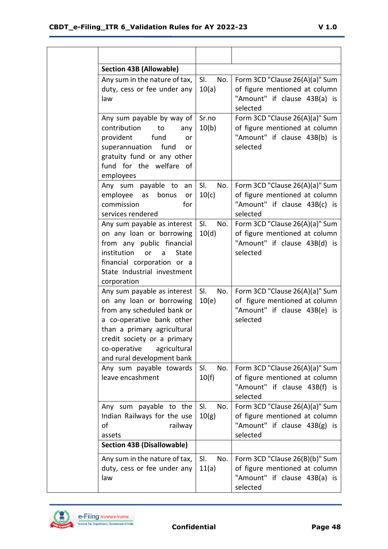| <b>Section 43B (Allowable)</b>                                                                                                                                                                                                                 |                     |                                                                                                             |
|------------------------------------------------------------------------------------------------------------------------------------------------------------------------------------------------------------------------------------------------|---------------------|-------------------------------------------------------------------------------------------------------------|
| Any sum in the nature of tax,<br>duty, cess or fee under any<br>law                                                                                                                                                                            | SI.<br>No.<br>10(a) | Form 3CD "Clause 26(A)(a)" Sum<br>of figure mentioned at column<br>"Amount" if clause 43B(a) is<br>selected |
| Any sum payable by way of<br>contribution<br>to<br>any<br>provident<br>fund<br>or<br>fund<br>superannuation<br>or<br>gratuity fund or any other<br>fund for the welfare<br>ാf<br>employees                                                     | Sr.no<br>10(b)      | Form 3CD "Clause 26(A)(a)" Sum<br>of figure mentioned at column<br>"Amount" if clause 43B(b) is<br>selected |
| Any sum payable to<br>an<br>employee<br>bonus<br>as<br>or<br>commission<br>for<br>services rendered                                                                                                                                            | SI.<br>No.<br>10(c) | Form 3CD "Clause 26(A)(a)" Sum<br>of figure mentioned at column<br>"Amount" if clause 43B(c) is<br>selected |
| Any sum payable as interest<br>on any loan or borrowing<br>from any public financial<br>institution<br>State<br>or<br>a<br>financial corporation or a<br>State Industrial investment<br>corporation                                            | SI.<br>No.<br>10(d) | Form 3CD "Clause 26(A)(a)" Sum<br>of figure mentioned at column<br>"Amount" if clause 43B(d) is<br>selected |
| Any sum payable as interest<br>on any loan or borrowing<br>from any scheduled bank or<br>a co-operative bank other<br>than a primary agricultural<br>credit society or a primary<br>co-operative<br>agricultural<br>and rural development bank | SI.<br>No.<br>10(e) | Form 3CD "Clause 26(A)(a)" Sum<br>of figure mentioned at column<br>"Amount" if clause 43B(e) is<br>selected |
| Any sum payable towards<br>leave encashment                                                                                                                                                                                                    | SI.<br>No.<br>10(f) | Form 3CD "Clause 26(A)(a)" Sum<br>of figure mentioned at column<br>"Amount" if clause 43B(f) is<br>selected |
| Any sum payable to the<br>Indian Railways for the use<br>of<br>railway<br>assets                                                                                                                                                               | SI.<br>No.<br>10(g) | Form 3CD "Clause 26(A)(a)" Sum<br>of figure mentioned at column<br>"Amount" if clause 43B(g) is<br>selected |
| <b>Section 43B (Disallowable)</b>                                                                                                                                                                                                              |                     |                                                                                                             |
| Any sum in the nature of tax,<br>duty, cess or fee under any<br>law                                                                                                                                                                            | SI.<br>No.<br>11(a) | Form 3CD "Clause 26(B)(b)" Sum<br>of figure mentioned at column<br>"Amount" if clause 43B(a) is<br>selected |

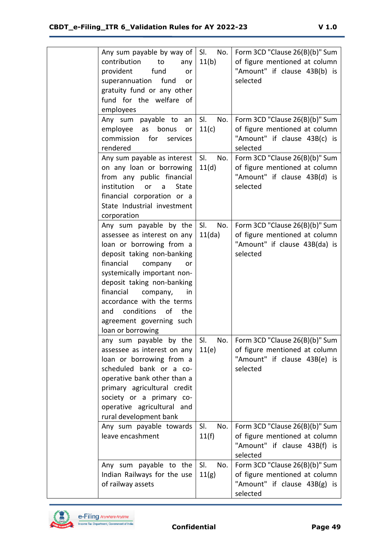| Any sum payable by way of<br>contribution<br>to<br>any<br>provident<br>fund<br>or<br>superannuation<br>fund<br>or<br>gratuity fund or any other<br>fund for the welfare of<br>employees                                                                                                                                                                   | SI.<br>No.<br>11(b)  | Form 3CD "Clause 26(B)(b)" Sum<br>of figure mentioned at column<br>"Amount" if clause 43B(b) is<br>selected  |
|-----------------------------------------------------------------------------------------------------------------------------------------------------------------------------------------------------------------------------------------------------------------------------------------------------------------------------------------------------------|----------------------|--------------------------------------------------------------------------------------------------------------|
| Any sum payable to<br>an<br>employee<br>as<br>bonus<br>or<br>commission<br>for<br>services<br>rendered                                                                                                                                                                                                                                                    | SI.<br>No.<br>11(c)  | Form 3CD "Clause 26(B)(b)" Sum<br>of figure mentioned at column<br>"Amount" if clause 43B(c) is<br>selected  |
| Any sum payable as interest<br>on any loan or borrowing<br>from any public financial<br>institution<br><b>State</b><br>or<br>a<br>financial corporation or a<br>State Industrial investment<br>corporation                                                                                                                                                | SI.<br>No.<br>11(d)  | Form 3CD "Clause 26(B)(b)" Sum<br>of figure mentioned at column<br>"Amount" if clause 43B(d) is<br>selected  |
| Any sum payable by the<br>assessee as interest on any<br>loan or borrowing from a<br>deposit taking non-banking<br>financial<br>company<br>or<br>systemically important non-<br>deposit taking non-banking<br>financial<br>company,<br>in<br>accordance with the terms<br>conditions<br>of<br>the<br>and<br>agreement governing such<br>loan or borrowing | SI.<br>No.<br>11(da) | Form 3CD "Clause 26(B)(b)" Sum<br>of figure mentioned at column<br>"Amount" if clause 43B(da) is<br>selected |
| any sum payable by the<br>assessee as interest on any<br>loan or borrowing from a<br>scheduled bank or a co-<br>operative bank other than a<br>primary agricultural credit<br>society or a primary co-<br>operative agricultural and<br>rural development bank                                                                                            | SI.<br>No.<br>11(e)  | Form 3CD "Clause 26(B)(b)" Sum<br>of figure mentioned at column<br>"Amount" if clause 43B(e) is<br>selected  |
| Any sum payable towards<br>leave encashment                                                                                                                                                                                                                                                                                                               | SI.<br>No.<br>11(f)  | Form 3CD "Clause 26(B)(b)" Sum<br>of figure mentioned at column<br>"Amount" if clause 43B(f) is<br>selected  |
| Any sum payable to the<br>Indian Railways for the use<br>of railway assets                                                                                                                                                                                                                                                                                | SI.<br>No.<br>11(g)  | Form 3CD "Clause 26(B)(b)" Sum<br>of figure mentioned at column<br>"Amount" if clause 43B(g) is<br>selected  |

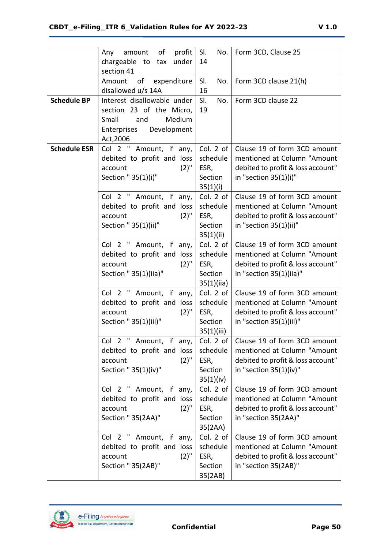|                     | of<br>profit<br>amount<br>Any<br>chargeable to tax<br>under                                                                     | SI.<br>No.<br>14                                                      | Form 3CD, Clause 25                                                                                                                                          |
|---------------------|---------------------------------------------------------------------------------------------------------------------------------|-----------------------------------------------------------------------|--------------------------------------------------------------------------------------------------------------------------------------------------------------|
|                     | section 41<br>of<br>expenditure<br>Amount<br>disallowed u/s 14A                                                                 | SI.<br>No.<br>16                                                      | Form 3CD clause 21(h)                                                                                                                                        |
| <b>Schedule BP</b>  | Interest disallowable under<br>section 23 of the Micro,<br>Medium<br>Small<br>and<br>Enterprises<br>Development<br>Act, 2006    | SI.<br>No.<br>19                                                      | Form 3CD clause 22                                                                                                                                           |
| <b>Schedule ESR</b> | Col 2 " Amount, if any,<br>debited to profit and loss<br>$(2)$ "<br>account<br>Section " 35(1)(i)"<br>Col 2"<br>Amount, if any, | Col. 2 of<br>schedule<br>ESR,<br>Section<br>35(1)(i)<br>Col. 2 of $ $ | Clause 19 of form 3CD amount<br>mentioned at Column "Amount<br>debited to profit & loss account"<br>in "section $35(1)(i)$ "<br>Clause 19 of form 3CD amount |
|                     | debited to profit and loss<br>$(2)$ "<br>account<br>Section " 35(1)(ii)"                                                        | schedule<br>ESR,<br>Section<br>35(1)(ii)                              | mentioned at Column "Amount<br>debited to profit & loss account"<br>in "section 35(1)(ii)"                                                                   |
|                     | Col 2 " Amount, if any,<br>debited to profit and loss<br>$(2)$ "<br>account<br>Section " 35(1)(iia)"                            | Col. $2$ of<br>schedule<br>ESR,<br>Section<br>35(1)(ii)               | Clause 19 of form 3CD amount<br>mentioned at Column "Amount<br>debited to profit & loss account"<br>in "section 35(1)(iia)"                                  |
|                     | Col 2 " Amount, if any,<br>debited to profit and<br>loss<br>$(2)$ "<br>account<br>Section " 35(1)(iii)"                         | Col. 2 of<br>schedule<br>ESR,<br>Section<br>35(1)(iii)                | Clause 19 of form 3CD amount<br>mentioned at Column "Amount<br>debited to profit & loss account"<br>in "section 35(1)(iii)"                                  |
|                     | Col 2 " Amount, if any,<br>debited to profit and loss<br>$(2)$ "<br>account<br>Section " 35(1)(iv)"                             | Col. 2 of<br>schedule<br>ESR,<br>Section<br>35(1)(iv)                 | Clause 19 of form 3CD amount<br>mentioned at Column "Amount<br>debited to profit & loss account"<br>in "section $35(1)(iv)$ "                                |
|                     | Col 2 " Amount, if any,<br>debited to profit and loss<br>$(2)$ "<br>account<br>Section " 35(2AA)"                               | Col. $2$ of<br>schedule<br>ESR,<br>Section<br>35(2AA)                 | Clause 19 of form 3CD amount<br>mentioned at Column "Amount<br>debited to profit & loss account"<br>in "section 35(2AA)"                                     |
|                     | Col 2 " Amount, if any,<br>debited to profit and loss<br>$(2)$ "<br>account<br>Section " 35(2AB)"                               | Col. 2 of<br>schedule<br>ESR,<br>Section<br>35(2AB)                   | Clause 19 of form 3CD amount<br>mentioned at Column "Amount<br>debited to profit & loss account"<br>in "section 35(2AB)"                                     |

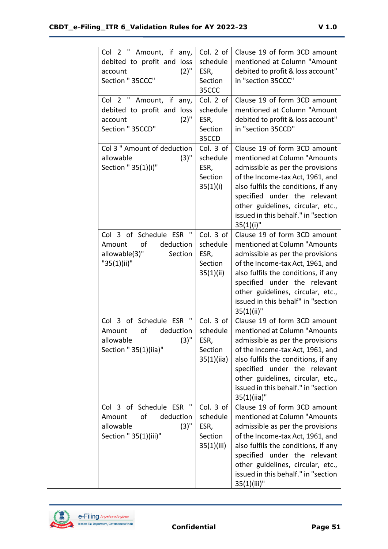| Col 2 " Amount, if any,<br>debited to profit and loss<br>$(2)$ "<br>account<br>Section " 35CCC"                     | Col. 2 of<br>schedule<br>ESR,<br>Section<br>35CCC      | Clause 19 of form 3CD amount<br>mentioned at Column "Amount<br>debited to profit & loss account"<br>in "section 35CCC"                                                                                                                                                                                   |
|---------------------------------------------------------------------------------------------------------------------|--------------------------------------------------------|----------------------------------------------------------------------------------------------------------------------------------------------------------------------------------------------------------------------------------------------------------------------------------------------------------|
| Col 2 " Amount, if any,<br>debited to profit and loss<br>$(2)$ "<br>account<br>Section " 35CCD"                     | Col. 2 of<br>schedule<br>ESR,<br>Section<br>35CCD      | Clause 19 of form 3CD amount<br>mentioned at Column "Amount<br>debited to profit & loss account"<br>in "section 35CCD"                                                                                                                                                                                   |
| Col 3 " Amount of deduction<br>$(3)$ "<br>allowable<br>Section " 35(1)(i)"                                          | Col. 3 of<br>schedule<br>ESR,<br>Section<br>35(1)(i)   | Clause 19 of form 3CD amount<br>mentioned at Column "Amounts<br>admissible as per the provisions<br>of the Income-tax Act, 1961, and<br>also fulfils the conditions, if any<br>specified under the relevant<br>other guidelines, circular, etc.,<br>issued in this behalf." in "section<br>$35(1)(i)$ "  |
| $\mathbf{u}$<br>Col 3 of Schedule ESR<br>of<br>deduction<br>Amount<br>allowable(3)"<br>Section<br>"35(1)(ii)"       | Col. 3 of<br>schedule<br>ESR,<br>Section<br>35(1)(ii)  | Clause 19 of form 3CD amount<br>mentioned at Column "Amounts<br>admissible as per the provisions<br>of the Income-tax Act, 1961, and<br>also fulfils the conditions, if any<br>specified under the relevant<br>other guidelines, circular, etc.,<br>issued in this behalf" in "section<br>$35(1)(ii)$ "  |
| $\mathbf{u}$<br>Col 3 of Schedule ESR<br>Amount<br>deduction<br>of<br>$(3)$ "<br>allowable<br>Section " 35(1)(iia)" | Col. 3 of<br>schedule<br>ESR,<br>Section<br>35(1)(ii)  | Clause 19 of form 3CD amount<br>mentioned at Column "Amounts<br>admissible as per the provisions<br>of the Income-tax Act, 1961, and<br>also fulfils the conditions, if any<br>specified under the relevant<br>other guidelines, circular, etc.,<br>issued in this behalf." in "section<br>$35(1)(ii)$ " |
| ш<br>Col 3 of Schedule ESR<br>оf<br>deduction<br>Amount<br>allowable<br>$(3)$ "<br>Section " 35(1)(iii)"            | Col. 3 of<br>schedule<br>ESR,<br>Section<br>35(1)(iii) | Clause 19 of form 3CD amount<br>mentioned at Column "Amounts<br>admissible as per the provisions<br>of the Income-tax Act, 1961, and<br>also fulfils the conditions, if any<br>specified under the relevant<br>other guidelines, circular, etc.,<br>issued in this behalf." in "section<br>35(1)(iii)"   |